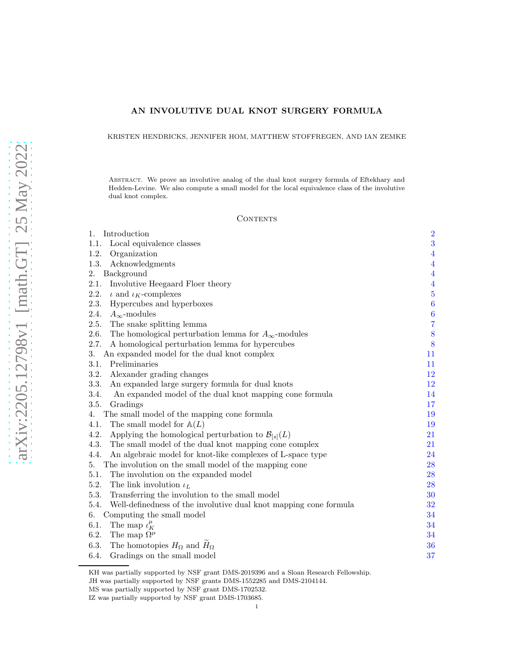# AN INVOLUTIVE DUAL KNOT SURGERY FORMULA

KRISTEN HENDRICKS, JENNIFER HOM, MATTHEW STOFFREGEN, AND IAN ZEMKE

Abstract. We prove an involutive analog of the dual knot surgery formula of Eftekhary and Hedden-Levine. We also compute a small model for the local equivalence class of the involutive dual knot complex.

#### CONTENTS

| Introduction<br>1.                                                        | $\overline{2}$   |
|---------------------------------------------------------------------------|------------------|
| 1.1.<br>Local equivalence classes                                         | 3                |
| 1.2.<br>Organization                                                      | $\overline{4}$   |
| 1.3.<br>Acknowledgments                                                   | $\overline{4}$   |
| 2.<br>Background                                                          | $\overline{4}$   |
| 2.1.<br>Involutive Heegaard Floer theory                                  | $\overline{4}$   |
| 2.2.<br>$\iota$ and $\iota_K$ -complexes                                  | $\overline{5}$   |
| 2.3.<br>Hypercubes and hyperboxes                                         | $\boldsymbol{6}$ |
| 2.4.<br>$A_{\infty}$ -modules                                             | $\boldsymbol{6}$ |
| The snake splitting lemma<br>2.5.                                         | $\overline{7}$   |
| 2.6.<br>The homological perturbation lemma for $A_{\infty}$ -modules      | 8                |
| 2.7.<br>A homological perturbation lemma for hypercubes                   | 8                |
| 3.<br>An expanded model for the dual knot complex                         | 11               |
| 3.1.<br>Preliminaries                                                     | 11               |
| 3.2.<br>Alexander grading changes                                         | 12               |
| 3.3.<br>An expanded large surgery formula for dual knots                  | 12               |
| 3.4.<br>An expanded model of the dual knot mapping cone formula           | 14               |
| 3.5.<br>Gradings                                                          | 17               |
| The small model of the mapping cone formula<br>4.                         | 19               |
| 4.1.<br>The small model for $\mathbb{A}(L)$                               | 19               |
| 4.2.<br>Applying the homological perturbation to $\mathcal{B}_{[s]}(L)$   | 21               |
| 4.3.<br>The small model of the dual knot mapping cone complex             | 21               |
| 4.4.<br>An algebraic model for knot-like complexes of L-space type        | 24               |
| 5.<br>The involution on the small model of the mapping cone               | 28               |
| 5.1.<br>The involution on the expanded model                              | 28               |
| 5.2.<br>The link involution $\iota_L$                                     | 28               |
| 5.3.<br>Transferring the involution to the small model                    | 30               |
| 5.4.<br>Well-definedness of the involutive dual knot mapping cone formula | 32               |
| Computing the small model<br>6.                                           | 34               |
| The map $\iota_K^{\mu}$<br>6.1.                                           | 34               |
| 6.2.<br>The map $\Omega^{\mu}$                                            | 34               |
| 6.3.<br>The homotopies $H_{\Omega}$ and $H_{\Omega}$                      | 36               |
| 6.4.<br>Gradings on the small model                                       | 37               |
|                                                                           |                  |

KH was partially supported by NSF grant DMS-2019396 and a Sloan Research Fellowship.

JH was partially supported by NSF grants DMS-1552285 and DMS-2104144.

MS was partially supported by NSF grant DMS-1702532.

IZ was partially supported by NSF grant DMS-1703685.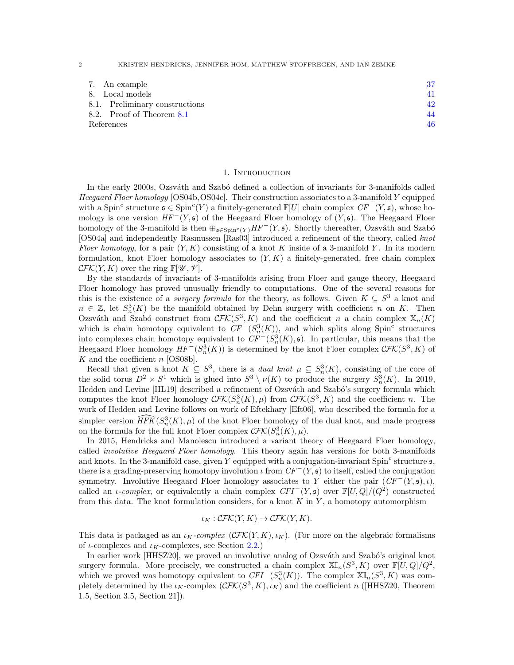2 KRISTEN HENDRICKS, JENNIFER HOM, MATTHEW STOFFREGEN, AND IAN ZEMKE

| 7. An example                  |    |
|--------------------------------|----|
| 8. Local models                | 41 |
| 8.1. Preliminary constructions |    |
| 8.2. Proof of Theorem 8.1      | 44 |
| References                     | 46 |

#### 1. INTRODUCTION

<span id="page-1-0"></span>In the early 2000s, Ozsváth and Szabó defined a collection of invariants for 3-manifolds called Heegaard Floer homology [\[OS04b,](#page-45-1) [OS04c\]](#page-45-2). Their construction associates to a 3-manifold Y equipped with a Spin<sup>c</sup> structure  $\mathfrak{s} \in \text{Spin}^c(Y)$  a finitely-generated  $\mathbb{F}[U]$  chain complex  $CF^-(Y, \mathfrak{s})$ , whose homology is one version  $HF^{-}(Y, \mathfrak{s})$  of the Heegaard Floer homology of  $(Y, \mathfrak{s})$ . The Heegaard Floer homology of the 3-manifold is then  $\bigoplus_{\mathfrak{s} \in \text{Spin}^c(Y)} HF^-(Y, \mathfrak{s})$ . Shortly thereafter, Ozsváth and Szabó [\[OS04a\]](#page-45-3) and independently Rasmussen [\[Ras03\]](#page-45-4) introduced a refinement of the theory, called knot Floer homology, for a pair  $(Y, K)$  consisting of a knot K inside of a 3-manifold Y. In its modern formulation, knot Floer homology associates to  $(Y, K)$  a finitely-generated, free chain complex  $\mathcal{CFK}(Y, K)$  over the ring  $\mathbb{F}[\mathscr{U}, \mathscr{V}].$ 

By the standards of invariants of 3-manifolds arising from Floer and gauge theory, Heegaard Floer homology has proved unusually friendly to computations. One of the several reasons for this is the existence of a *surgery formula* for the theory, as follows. Given  $K \subseteq S^3$  a knot and  $n \in \mathbb{Z}$ , let  $S_n^3(K)$  be the manifold obtained by Dehn surgery with coefficient n on K. Then Ozsváth and Szabó construct from  $\mathcal{CFK}(S^3, K)$  and the coefficient n a chain complex  $\mathbb{X}_n(K)$ which is chain homotopy equivalent to  $CF^-(S^3_n(K))$ , and which splits along Spin<sup>c</sup> structures into complexes chain homotopy equivalent to  $CF^-(S^3_n(K), \mathfrak{s})$ . In particular, this means that the Heegaard Floer homology  $HF^-(S^3_n(K))$  is determined by the knot Floer complex  $\mathcal{CFK}(S^3, K)$  of K and the coefficient  $n$  [\[OS08b\]](#page-45-5).

Recall that given a knot  $K \subseteq S^3$ , there is a *dual knot*  $\mu \subseteq S^3_n(K)$ , consisting of the core of the solid torus  $D^2 \times S^1$  which is glued into  $S^3 \setminus \nu(K)$  to produce the surgery  $S^3_n(K)$ . In 2019, Hedden and Levine [\[HL19\]](#page-45-6) described a refinement of Ozsváth and Szabó's surgery formula which computes the knot Floer homology  $\mathcal{CFK}(S_n^3(K), \mu)$  from  $\mathcal{CFK}(S^3, K)$  and the coefficient n. The work of Hedden and Levine follows on work of Eftekhary [\[Eft06\]](#page-45-7), who described the formula for a simpler version  $\widehat{HFK}(S_n^3(K), \mu)$  of the knot Floer homology of the dual knot, and made progress on the formula for the full knot Floer complex  $\mathcal{CFK}(S_n^3(K), \mu)$ .

In 2015, Hendricks and Manolescu introduced a variant theory of Heegaard Floer homology, called *involutive Heegaard Floer homology*. This theory again has versions for both 3-manifolds and knots. In the 3-manifold case, given Y equipped with a conjugation-invariant Spin<sup>c</sup> structure  $\mathfrak{s}$ , there is a grading-preserving homotopy involution  $\iota$  from  $CF^{-}(Y, \mathfrak{s})$  to itself, called the conjugation symmetry. Involutive Heegaard Floer homology associates to Y either the pair  $(CF^-(Y, \mathfrak{s}), \iota)$ , called an *ι-complex*, or equivalently a chain complex  $CFI^{-}(Y, \mathfrak{s})$  over  $\mathbb{F}[U, Q]/(Q^2)$  constructed from this data. The knot formulation considers, for a knot  $K$  in  $Y$ , a homotopy automorphism

$$
\iota_K: \mathcal{CFK}(Y, K) \to \mathcal{CFK}(Y, K).
$$

This data is packaged as an  $\iota_K$ -complex  $(\mathcal{CFK}(Y, K), \iota_K)$ . (For more on the algebraic formalisms of *ι*-complexes and  $\iota_K$ -complexes, see Section [2.2.](#page-4-0))

In earlier work [\[HHSZ20\]](#page-45-8), we proved an involutive analog of Ozsváth and Szabó's original knot surgery formula. More precisely, we constructed a chain complex  $\mathbb{XI}_n(S^3, K)$  over  $\mathbb{F}[U, Q]/Q^2$ , which we proved was homotopy equivalent to  $CFI^{-}(S_n^{3}(K))$ . The complex  $\mathbb{XI}_n(S^3, K)$  was completely determined by the  $\iota_K$ -complex  $(\mathcal{CFK}(S^3, K), \iota_K)$  and the coefficient n ([\[HHSZ20,](#page-45-8) Theorem 1.5, Section 3.5, Section 21]).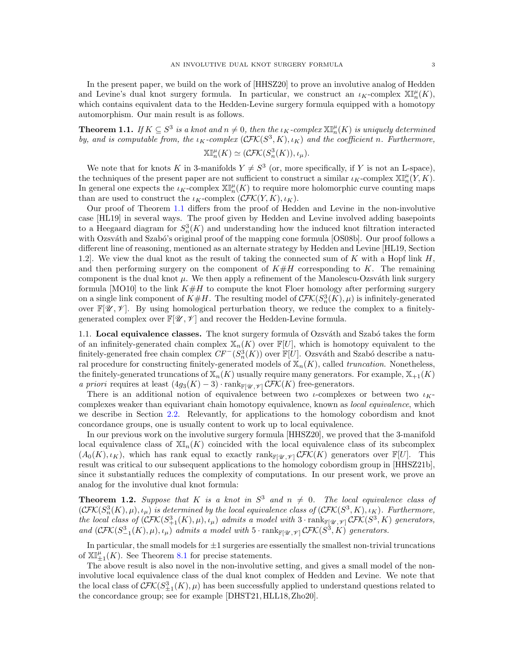<span id="page-2-1"></span>**Theorem 1.1.** If  $K \subseteq S^3$  is a knot and  $n \neq 0$ , then the  $\iota_K$ -complex  $\mathbb{X} \mathbb{I}_n^{\mu}(K)$  is uniquely determined by, and is computable from, the  $\iota_K$ -complex  $(\mathcal{CFK}(S^3, K), \iota_K)$  and the coefficient n. Furthermore,

$$
\mathbb{XI}_{n}^{\mu}(K)\simeq(\mathcal{CFK}(S_{n}^{3}(K)),\iota_{\mu}).
$$

We note that for knots K in 3-manifolds  $Y \neq S^3$  (or, more specifically, if Y is not an L-space), the techniques of the present paper are not sufficient to construct a similar  $\iota_K$ -complex  $\mathbb{X} \mathbb{I}_n^{\mu}(Y, K)$ . In general one expects the  $\iota_K$ -complex  $\mathbb{X}^{\mu}_n(K)$  to require more holomorphic curve counting maps than are used to construct the  $\iota_K$ -complex  $(\mathcal{CFK}(Y, K), \iota_K)$ .

Our proof of Theorem [1.1](#page-2-1) differs from the proof of Hedden and Levine in the non-involutive case [\[HL19\]](#page-45-6) in several ways. The proof given by Hedden and Levine involved adding basepoints to a Heegaard diagram for  $S_n^3(K)$  and understanding how the induced knot filtration interacted with Ozsváth and Szabó's original proof of the mapping cone formula [\[OS08b\]](#page-45-5). Our proof follows a different line of reasoning, mentioned as an alternate strategy by Hedden and Levine [\[HL19,](#page-45-6) Section 1.2. We view the dual knot as the result of taking the connected sum of K with a Hopf link  $H$ , and then performing surgery on the component of  $K\#H$  corresponding to K. The remaining component is the dual knot  $\mu$ . We then apply a refinement of the Manolescu-Ozsváth link surgery formula [\[MO10\]](#page-45-9) to the link  $K\#H$  to compute the knot Floer homology after performing surgery on a single link component of  $K\#H$ . The resulting model of  $\mathcal{CFK}(S^3_n(K), \mu)$  is infinitely-generated over  $\mathbb{F}[\mathscr{U},\mathscr{V}]$ . By using homological perturbation theory, we reduce the complex to a finitelygenerated complex over  $\mathbb{F}[\mathscr{U}, \mathscr{V}]$  and recover the Hedden-Levine formula.

<span id="page-2-0"></span>1.1. Local equivalence classes. The knot surgery formula of Ozsváth and Szabó takes the form of an infinitely-generated chain complex  $\mathbb{X}_n(K)$  over  $\mathbb{F}[U]$ , which is homotopy equivalent to the finitely-generated free chain complex  $CF^-(S^3_n(K))$  over  $\mathbb{F}[U]$ . Ozsváth and Szabó describe a natural procedure for constructing finitely-generated models of  $\mathbb{X}_n(K)$ , called *truncation*. Nonetheless, the finitely-generated truncations of  $\mathbb{X}_n(K)$  usually require many generators. For example,  $\mathbb{X}_{+1}(K)$ a priori requires at least  $(4g_3(K) - 3) \cdot \text{rank}_{\mathbb{F}[\mathscr{U},\mathscr{V}]} \mathcal{CFK}(K)$  free-generators.

There is an additional notion of equivalence between two  $\iota$ -complexes or between two  $\iota_K$ complexes weaker than equivariant chain homotopy equivalence, known as *local equivalence*, which we describe in Section [2.2.](#page-4-0) Relevantly, for applications to the homology cobordism and knot concordance groups, one is usually content to work up to local equivalence.

In our previous work on the involutive surgery formula [\[HHSZ20\]](#page-45-8), we proved that the 3-manifold local equivalence class of  $\mathbb{X}_{n}(K)$  coincided with the local equivalence class of its subcomplex  $(A_0(K), \iota_K)$ , which has rank equal to exactly rank $\mathbb{F}[\mathscr{U}, \mathscr{V}]$  CFK(K) generators over  $\mathbb{F}[U]$ . This result was critical to our subsequent applications to the homology cobordism group in [\[HHSZ21b\]](#page-45-10), since it substantially reduces the complexity of computations. In our present work, we prove an analog for the involutive dual knot formula:

<span id="page-2-2"></span>**Theorem 1.2.** Suppose that K is a knot in  $S^3$  and  $n \neq 0$ . The local equivalence class of  $(\mathcal{CFK}(S^3_n(K), \mu), \iota_\mu)$  is determined by the local equivalence class of  $(\mathcal{CFK}(S^3, K), \iota_K)$ . Furthermore, the local class of  $(\mathcal{CFK}(S^3_{+1}(K), \mu), \iota_\mu)$  admits a model with  $3 \cdot \text{rank}_{\mathbb{F}[\mathscr{U}, \mathscr{V}]} \mathcal{CFK}(S^3, K)$  generators, and  $(\mathcal{CFK}(S^3_{-1}(K), \mu), \iota_\mu)$  admits a model with  $5 \cdot \operatorname{rank}_{\mathbb{F}[\mathscr{U}, \mathscr{V}]} \mathcal{CFK}(S^3, K)$  generators.

In particular, the small models for  $\pm 1$  surgeries are essentially the smallest non-trivial truncations of  $\mathbb{XI}_{\pm 1}^{\mu}(K)$ . See Theorem [8.1](#page-40-1) for precise statements.

The above result is also novel in the non-involutive setting, and gives a small model of the noninvolutive local equivalence class of the dual knot complex of Hedden and Levine. We note that the local class of  $\mathcal{CFK}(S^3_{\pm 1}(K), \mu)$  has been successfully applied to understand questions related to the concordance group; see for example [\[DHST21,](#page-45-11) [HLL18,](#page-45-12) [Zho20\]](#page-46-0).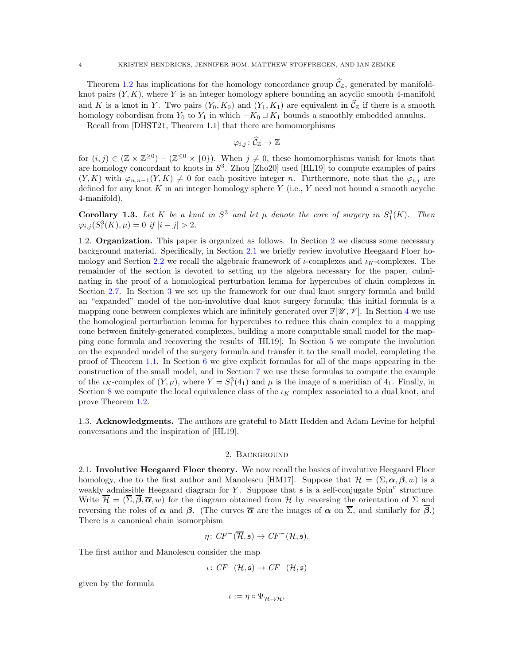Theorem [1.2](#page-2-2) has implications for the homology concordance group  $\widehat{C}_{\mathbb{Z}}$ , generated by manifoldknot pairs  $(Y, K)$ , where Y is an integer homology sphere bounding an acyclic smooth 4-manifold and K is a knot in Y. Two pairs  $(Y_0, K_0)$  and  $(Y_1, K_1)$  are equivalent in  $\tilde{\mathcal{C}}_{\mathbb{Z}}$  if there is a smooth homology cobordism from  $Y_0$  to  $Y_1$  in which  $-K_0 \sqcup K_1$  bounds a smoothly embedded annulus.

Recall from [\[DHST21,](#page-45-11) Theorem 1.1] that there are homomorphisms

$$
\varphi_{i,j}\colon \widehat{\mathcal{C}}_\mathbb{Z}\to \mathbb{Z}
$$

for  $(i, j) \in (\mathbb{Z} \times \mathbb{Z}^{\geq 0}) - (\mathbb{Z}^{\leq 0} \times \{0\})$ . When  $j \neq 0$ , these homomorphisms vanish for knots that are homology concordant to knots in  $S^3$ . Zhou [\[Zho20\]](#page-46-0) used [\[HL19\]](#page-45-6) to compute examples of pairs  $(Y, K)$  with  $\varphi_{n,n-1}(Y, K) \neq 0$  for each positive integer n. Furthermore, note that the  $\varphi_{i,j}$  are defined for any knot  $K$  in an integer homology sphere  $Y$  (i.e.,  $Y$  need not bound a smooth acyclic 4-manifold).

<span id="page-3-4"></span>**Corollary 1.3.** Let K be a knot in  $S^3$  and let  $\mu$  denote the core of surgery in  $S_1^3(K)$ . Then  $\varphi_{i,j}(S_1^3(K), \mu) = 0$  if  $|i - j| > 2$ .

<span id="page-3-0"></span>1.[2](#page-3-2). **Organization.** This paper is organized as follows. In Section 2 we discuss some necessary background material. Specifically, in Section [2.1](#page-3-3) we briefly review involutive Heegaard Floer ho-mology and Section [2.2](#page-4-0) we recall the algebraic framework of  $\iota$ -complexes and  $\iota_K$ -complexes. The remainder of the section is devoted to setting up the algebra necessary for the paper, culminating in the proof of a homological perturbation lemma for hypercubes of chain complexes in Section [2.7.](#page-7-1) In Section [3](#page-10-0) we set up the framework for our dual knot surgery formula and build an "expanded" model of the non-involutive dual knot surgery formula; this initial formula is a mapping cone between complexes which are infinitely generated over  $\mathbb{F}[\mathscr{U}, \mathscr{V}]$ . In Section [4](#page-18-0) we use the homological perturbation lemma for hypercubes to reduce this chain complex to a mapping cone between finitely-generated complexes, building a more computable small model for the mapping cone formula and recovering the results of [\[HL19\]](#page-45-6). In Section [5](#page-27-0) we compute the involution on the expanded model of the surgery formula and transfer it to the small model, completing the proof of Theorem [1.1.](#page-2-1) In Section [6](#page-33-0) we give explicit formulas for all of the maps appearing in the construction of the small model, and in Section [7](#page-36-1) we use these formulas to compute the example of the  $\iota_K$ -complex of  $(Y, \mu)$ , where  $Y = S_1^3(4_1)$  and  $\mu$  is the image of a meridian of  $4_1$ . Finally, in Section [8](#page-40-0) we compute the local equivalence class of the  $i<sub>K</sub>$  complex associated to a dual knot, and prove Theorem [1.2.](#page-2-2)

<span id="page-3-1"></span>1.3. Acknowledgments. The authors are grateful to Matt Hedden and Adam Levine for helpful conversations and the inspiration of [\[HL19\]](#page-45-6).

#### 2. Background

<span id="page-3-3"></span><span id="page-3-2"></span>2.1. Involutive Heegaard Floer theory. We now recall the basics of involutive Heegaard Floer homology, due to the first author and Manolescu [\[HM17\]](#page-45-13). Suppose that  $\mathcal{H} = (\Sigma, \alpha, \beta, w)$  is a weakly admissible Heegaard diagram for Y. Suppose that  $\mathfrak s$  is a self-conjugate Spin<sup>c</sup> structure. Write  $\overline{\mathcal{H}} = (\overline{\Sigma}, \overline{\beta}, \overline{\alpha}, w)$  for the diagram obtained from H by reversing the orientation of  $\Sigma$  and reversing the roles of  $\alpha$  and  $\beta$ . (The curves  $\overline{\alpha}$  are the images of  $\alpha$  on  $\overline{\Sigma}$ , and similarly for  $\overline{\beta}$ .) There is a canonical chain isomorphism

$$
\eta\colon CF^-(\overline{\mathcal{H}}, \mathfrak{s})\to CF^-(\mathcal{H}, \mathfrak{s}).
$$

The first author and Manolescu consider the map

$$
\iota\colon \mathit{CF}^-(\mathcal{H}, \mathfrak{s}) \to \mathit{CF}^-(\mathcal{H}, \mathfrak{s})
$$

given by the formula

$$
\iota:=\eta\circ \Psi_{\mathcal{H}\rightarrow\overline{\mathcal{H}}},
$$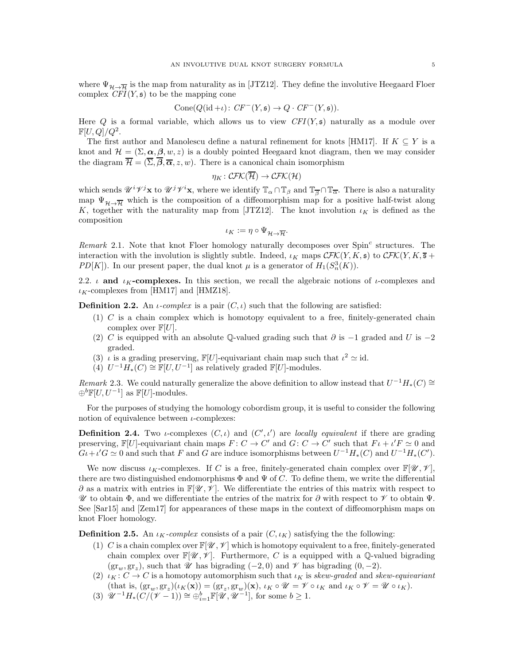where  $\Psi_{\mathcal{H}\to\overline{\mathcal{H}}}$  is the map from naturality as in [\[JTZ12\]](#page-45-14). They define the involutive Heegaard Floer complex  $CFI(Y, \mathfrak{s})$  to be the mapping cone

$$
Cone(Q(\mathrm{id}+\iota): CF^-(Y, \mathfrak{s}) \to Q \cdot CF^-(Y, \mathfrak{s})).
$$

Here Q is a formal variable, which allows us to view  $CFI(Y, \mathfrak{s})$  naturally as a module over  $\mathbb{F}[U,Q]/Q^2.$ 

The first author and Manolescu define a natural refinement for knots [\[HM17\]](#page-45-13). If  $K \subseteq Y$  is a knot and  $\mathcal{H} = (\Sigma, \alpha, \beta, w, z)$  is a doubly pointed Heegaard knot diagram, then we may consider the diagram  $\overline{\mathcal{H}} = (\overline{\Sigma}, \overline{\beta}, \overline{\alpha}, z, w)$ . There is a canonical chain isomorphism

$$
\eta_K\colon\mathcal{CFK}(\overline{\mathcal{H}})\to\mathcal{CFK}(\mathcal{H})
$$

which sends  $\mathscr{U}^{i\gamma j}$ **x** to  $\mathscr{U}^{j\gamma i}$ **x**, where we identify  $\mathbb{T}_{\alpha} \cap \mathbb{T}_{\beta}$  and  $\mathbb{T}_{\overline{\beta}} \cap \mathbb{T}_{\overline{\alpha}}$ . There is also a naturality map  $\Psi_{\mathcal{H}\to\overline{\mathcal{H}}}$  which is the composition of a diffeomorphism map for a positive half-twist along K, together with the naturality map from [\[JTZ12\]](#page-45-14). The knot involution  $\iota_K$  is defined as the composition

$$
\iota_K := \eta \circ \Psi_{\mathcal{H} \to \overline{\mathcal{H}}}.
$$

 $Remark$  2.1. Note that knot Floer homology naturally decomposes over  $Spin<sup>c</sup>$  structures. The interaction with the involution is slightly subtle. Indeed,  $\iota_K$  maps  $\mathcal{CFK}(Y, K, \mathfrak{s})$  to  $\mathcal{CFK}(Y, K, \mathfrak{s} +$ PD[K]). In our present paper, the dual knot  $\mu$  is a generator of  $H_1(S_n^3(K))$ .

<span id="page-4-0"></span>2.2.  $\iota$  and  $\iota_K$ -complexes. In this section, we recall the algebraic notions of  $\iota$ -complexes and  $\iota_K$ -complexes from [\[HM17\]](#page-45-13) and [\[HMZ18\]](#page-45-15).

**Definition 2.2.** An *ι*-complex is a pair  $(C, \iota)$  such that the following are satisfied:

- $(1)$  C is a chain complex which is homotopy equivalent to a free, finitely-generated chain complex over  $\mathbb{F}[U].$
- (2) C is equipped with an absolute Q-valued grading such that  $\partial$  is  $-1$  graded and U is  $-2$ graded.
- (3)  $\iota$  is a grading preserving,  $\mathbb{F}[U]$ -equivariant chain map such that  $\iota^2 \simeq id$ .
- (4)  $U^{-1}H_*(C) \cong \mathbb{F}[U, U^{-1}]$  as relatively graded  $\mathbb{F}[U]$ -modules.

Remark 2.3. We could naturally generalize the above definition to allow instead that  $U^{-1}H_*(C) \cong$  $\oplus^b \mathbb{F}[U, U^{-1}]$  as  $\mathbb{F}[U]$ -modules.

For the purposes of studying the homology cobordism group, it is useful to consider the following notion of equivalence between  $\iota$ -complexes:

**Definition 2.4.** Two *i*-complexes  $(C, i)$  and  $(C', i')$  are locally equivalent if there are grading preserving,  $\mathbb{F}[U]$ -equivariant chain maps  $F: C \to C'$  and  $G: C \to C'$  such that  $F \iota + \iota' F \simeq 0$  and  $G\iota + \iota'G \simeq 0$  and such that F and G are induce isomorphisms between  $U^{-1}H_*(C)$  and  $U^{-1}H_*(C')$ .

We now discuss  $\iota_K$ -complexes. If C is a free, finitely-generated chain complex over  $\mathbb{F}[\mathscr{U},\mathscr{V}]$ , there are two distinguished endomorphisms  $\Phi$  and  $\Psi$  of C. To define them, we write the differential  $\partial$  as a matrix with entries in  $\mathbb{F}[\mathscr{U},\mathscr{V}]$ . We differentiate the entries of this matrix with respect to  $\mathscr U$  to obtain  $\Phi$ , and we differentiate the entries of the matrix for  $\partial$  with respect to  $\mathscr V$  to obtain  $\Psi$ . See [\[Sar15\]](#page-45-16) and [\[Zem17\]](#page-45-17) for appearances of these maps in the context of diffeomorphism maps on knot Floer homology.

<span id="page-4-1"></span>**Definition 2.5.** An  $\iota_K$ -complex consists of a pair  $(C, \iota_K)$  satisfying the the following:

- (1) C is a chain complex over  $\mathbb{F}[\mathscr{U},\mathscr{V}]$  which is homotopy equivalent to a free, finitely-generated chain complex over  $\mathbb{F}[\mathscr{U}, \mathscr{V}]$ . Furthermore, C is a equipped with a Q-valued bigrading  $(\text{gr}_w, \text{gr}_z)$ , such that  $\mathscr U$  has bigrading  $(-2, 0)$  and  $\mathscr V$  has bigrading  $(0, -2)$ .
- (2)  $\iota_K : C \to C$  is a homotopy automorphism such that  $\iota_K$  is skew-graded and skew-equivariant  $(\text{that is, } (\text{gr}_{w}, \text{gr}_{z})(\iota_{K}(\mathbf{x})) = (\text{gr}_{z}, \text{gr}_{w})(\mathbf{x}), \iota_{K} \circ \mathcal{U} = \mathcal{V} \circ \iota_{K} \text{ and } \iota_{K} \circ \mathcal{V} = \mathcal{U} \circ \iota_{K}).$
- (3)  $\mathscr{U}^{-1}H_*(C/(\mathscr{V}-1)) \cong \bigoplus_{i=1}^b \mathbb{F}[\mathscr{U}, \mathscr{U}^{-1}],$  for some  $b \geq 1$ .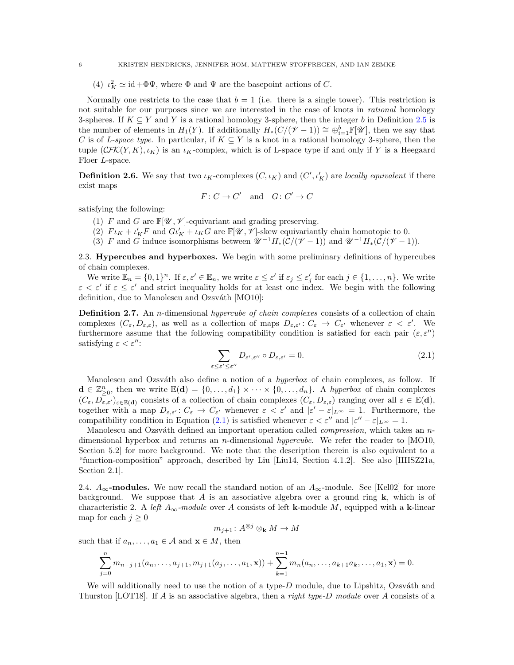(4)  $\iota_K^2 \simeq \text{id} + \Phi \Psi$ , where  $\Phi$  and  $\Psi$  are the basepoint actions of C.

Normally one restricts to the case that  $b = 1$  (i.e. there is a single tower). This restriction is not suitable for our purposes since we are interested in the case of knots in *rational* homology 3-spheres. If  $K \subseteq Y$  and Y is a rational homology 3-sphere, then the integer b in Definition [2.5](#page-4-1) is the number of elements in  $H_1(Y)$ . If additionally  $H_*(C/(\mathscr{V}-1)) \cong \bigoplus_{i=1}^b \mathbb{F}[\mathscr{U}]$ , then we say that C is of L-space type. In particular, if  $K \subseteq Y$  is a knot in a rational homology 3-sphere, then the tuple  $(\mathcal{CFK}(Y, K), \iota_K)$  is an  $\iota_K$ -complex, which is of L-space type if and only if Y is a Heegaard Floer L-space.

**Definition 2.6.** We say that two  $\iota_K$ -complexes  $(C, \iota_K)$  and  $(C', \iota'_K)$  are locally equivalent if there exist maps

$$
F\colon C\to C'\quad\text{and}\quad G\colon C'\to C
$$

satisfying the following:

- (1) F and G are  $\mathbb{F}[\mathscr{U}, \mathscr{V}]$ -equivariant and grading preserving.
- (2)  $F \iota_K + \iota_K' F$  and  $G \iota_K' + \iota_K G$  are  $\mathbb{F}[\mathscr{U}, \mathscr{V}]$ -skew equivariantly chain homotopic to 0.
- (3) F and G induce isomorphisms between  $\mathscr{U}^{-1}H_*(\mathcal{C}/(\mathscr{V}-1))$  and  $\mathscr{U}^{-1}H_*(\mathcal{C}/(\mathscr{V}-1))$ .

<span id="page-5-0"></span>2.3. Hypercubes and hyperboxes. We begin with some preliminary definitions of hypercubes of chain complexes.

We write  $\mathbb{E}_n = \{0,1\}^n$ . If  $\varepsilon, \varepsilon' \in \mathbb{E}_n$ , we write  $\varepsilon \leq \varepsilon'$  if  $\varepsilon_j \leq \varepsilon'_j$  for each  $j \in \{1,\ldots,n\}$ . We write  $\varepsilon < \varepsilon'$  if  $\varepsilon \leq \varepsilon'$  and strict inequality holds for at least one index. We begin with the following definition, due to Manolescu and Ozsváth [\[MO10\]](#page-45-9):

**Definition 2.7.** An *n*-dimensional *hypercube of chain complexes* consists of a collection of chain complexes  $(C_{\varepsilon}, D_{\varepsilon,\varepsilon})$ , as well as a collection of maps  $D_{\varepsilon,\varepsilon'}: C_{\varepsilon} \to C_{\varepsilon'}$  whenever  $\varepsilon < \varepsilon'$ . We furthermore assume that the following compatibility condition is satisfied for each pair  $(\varepsilon, \varepsilon'')$ satisfying  $\varepsilon < \varepsilon''$ :

<span id="page-5-2"></span>
$$
\sum_{\varepsilon \le \varepsilon' \le \varepsilon''} D_{\varepsilon', \varepsilon''} \circ D_{\varepsilon, \varepsilon'} = 0.
$$
\n(2.1)

Manolescu and Ozsváth also define a notion of a  $hyperbox$  of chain complexes, as follow. If  $\mathbf{d} \in \mathbb{Z}_{\geq 0}^n$ , then we write  $\mathbb{E}(\mathbf{d}) = \{0, \ldots, d_1\} \times \cdots \times \{0, \ldots, d_n\}$ . A hyperbox of chain complexes  $(C_{\varepsilon}, D_{\varepsilon,\varepsilon})_{\varepsilon\in\mathbb{E}(\mathbf{d})}$  consists of a collection of chain complexes  $(C_{\varepsilon}, D_{\varepsilon,\varepsilon})$  ranging over all  $\varepsilon \in \mathbb{E}(\mathbf{d}),$ together with a map  $D_{\varepsilon,\varepsilon}: C_{\varepsilon} \to C_{\varepsilon'}$  whenever  $\varepsilon < \varepsilon'$  and  $|\varepsilon' - \varepsilon|_{L^{\infty}} = 1$ . Furthermore, the compatibility condition in Equation [\(2.1\)](#page-5-2) is satisfied whenever  $\varepsilon < \varepsilon''$  and  $|\varepsilon'' - \varepsilon|_{L^{\infty}} = 1$ .

Manolescu and Ozsváth defined an important operation called *compression*, which takes an  $n$ dimensional hyperbox and returns an *n*-dimensional *hypercube*. We refer the reader to [\[MO10,](#page-45-9) Section 5.2] for more background. We note that the description therein is also equivalent to a "function-composition" approach, described by Liu [\[Liu14,](#page-45-18) Section 4.1.2]. See also [\[HHSZ21a,](#page-45-19) Section 2.1].

<span id="page-5-1"></span>2.4.  $A_{\infty}$ -modules. We now recall the standard notion of an  $A_{\infty}$ -module. See [\[Kel02\]](#page-45-20) for more background. We suppose that A is an associative algebra over a ground ring  $k$ , which is of characteristic 2. A left  $A_{\infty}$ -module over A consists of left k-module M, equipped with a k-linear map for each  $j \geq 0$ 

$$
m_{j+1} \colon A^{\otimes j} \otimes_{\bf k} M \to M
$$

such that if  $a_n, \ldots, a_1 \in \mathcal{A}$  and  $\mathbf{x} \in M$ , then

$$
\sum_{j=0}^n m_{n-j+1}(a_n,\ldots,a_{j+1},m_{j+1}(a_j,\ldots,a_1,\mathbf{x})) + \sum_{k=1}^{n-1} m_n(a_n,\ldots,a_{k+1}a_k,\ldots,a_1,\mathbf{x}) = 0.
$$

We will additionally need to use the notion of a type- $D$  module, due to Lipshitz, Ozsváth and Thurston [\[LOT18\]](#page-45-21). If A is an associative algebra, then a right type-D module over A consists of a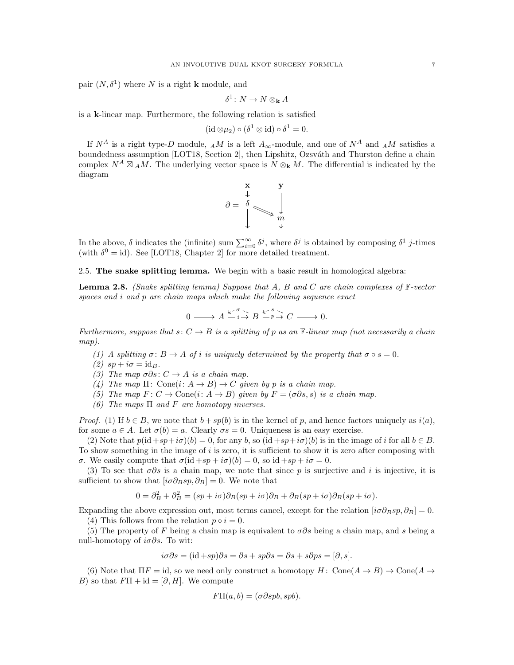pair  $(N, \delta^1)$  where N is a right **k** module, and

$$
\delta^1\colon N\to N\otimes_{\bf k}A
$$

is a k-linear map. Furthermore, the following relation is satisfied

$$
(\mathrm{id}\otimes\mu_2)\circ(\delta^1\otimes\mathrm{id})\circ\delta^1=0.
$$

If  $N^A$  is a right type-D module,  $_A M$  is a left  $A_{\infty}$ -module, and one of  $N^A$  and  $_A M$  satisfies a boundedness assumption [\[LOT18,](#page-45-21) Section 2], then Lipshitz, Ozsváth and Thurston define a chain complex  $N^A \boxtimes_A M$ . The underlying vector space is  $N \otimes_k M$ . The differential is indicated by the diagram



In the above,  $\delta$  indicates the (infinite) sum  $\sum_{i=0}^{\infty} \delta^j$ , where  $\delta^j$  is obtained by composing  $\delta^1$  j-times (with  $\delta^0 = id$ ). See [\[LOT18,](#page-45-21) Chapter 2] for more detailed treatment.

<span id="page-6-0"></span>2.5. The snake splitting lemma. We begin with a basic result in homological algebra:

<span id="page-6-1"></span>**Lemma 2.8.** (Snake splitting lemma) Suppose that A, B and C are chain complexes of  $\mathbb{F}\text{-vector}$ spaces and i and p are chain maps which make the following sequence exact

$$
0 \longrightarrow A \xrightarrow{k^{\times}} B \xrightarrow{k^{\times}} B \xrightarrow{k^{\times}} C \longrightarrow 0.
$$

Furthermore, suppose that  $s: C \to B$  is a splitting of p as an  $\mathbb{F}\text{-}linear map$  (not necessarily a chain map).

- (1) A splitting  $\sigma: B \to A$  of i is uniquely determined by the property that  $\sigma \circ s = 0$ .
- (2)  $sp + i\sigma = id_B$ .
- (3) The map  $\sigma \partial s$ :  $C \rightarrow A$  is a chain map.
- (4) The map  $\Pi: \text{Cone}(i: A \rightarrow B) \rightarrow C$  given by p is a chain map.
- (5) The map  $F: C \to \text{Cone}(i: A \to B)$  given by  $F = (\sigma \partial s, s)$  is a chain map.
- (6) The maps  $\Pi$  and  $F$  are homotopy inverses.

*Proof.* (1) If  $b \in B$ , we note that  $b + sp(b)$  is in the kernel of p, and hence factors uniquely as  $i(a)$ , for some  $a \in A$ . Let  $\sigma(b) = a$ . Clearly  $\sigma s = 0$ . Uniqueness is an easy exercise.

(2) Note that  $p(id + sp + i\sigma)(b) = 0$ , for any b, so  $(id + sp + i\sigma)(b)$  is in the image of i for all  $b \in B$ . To show something in the image of  $i$  is zero, it is sufficient to show it is zero after composing with σ. We easily compute that  $\sigma(\mathrm{id} + sp + i\sigma)(b) = 0$ , so  $\mathrm{id} + sp + i\sigma = 0$ .

(3) To see that  $\sigma \partial s$  is a chain map, we note that since p is surjective and i is injective, it is sufficient to show that  $[i\sigma\partial_B s p, \partial_B] = 0$ . We note that

$$
0 = \partial_B^2 + \partial_B^2 = (sp + i\sigma)\partial_B(sp + i\sigma)\partial_B + \partial_B(sp + i\sigma)\partial_B(sp + i\sigma).
$$

Expanding the above expression out, most terms cancel, except for the relation  $[i\sigma\partial_B s p, \partial_B] = 0$ . (4) This follows from the relation  $p \circ i = 0$ .

(5) The property of F being a chain map is equivalent to  $\sigma\partial s$  being a chain map, and s being a null-homotopy of  $i\sigma\partial s$ . To wit:

$$
i\sigma\partial s = (\mathrm{id} + sp)\partial s = \partial s + sp\partial s = \partial s + s\partial ps = [\partial, s].
$$

(6) Note that  $\Pi F = id$ , so we need only construct a homotopy  $H: \text{Cone}(A \to B) \to \text{Cone}(A \to B)$ B) so that  $F\Pi + id = [\partial, H]$ . We compute

$$
F\Pi(a,b) = (\sigma \partial s p b, s p b).
$$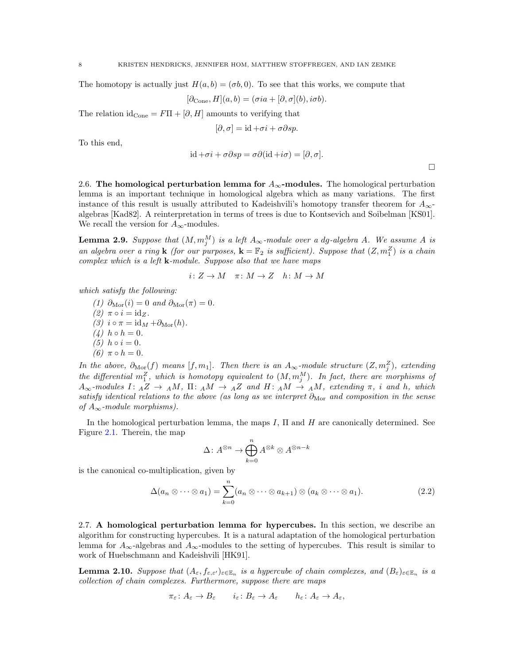The homotopy is actually just  $H(a, b) = (\sigma b, 0)$ . To see that this works, we compute that

$$
[\partial_{\text{Cone}}, H](a, b) = (\sigma i a + [\partial, \sigma](b), i\sigma b).
$$

The relation id<sub>Cone</sub> =  $F\Pi + [\partial, H]$  amounts to verifying that

$$
[\partial, \sigma] = id + \sigma i + \sigma \partial s p.
$$

To this end,

$$
id + \sigma i + \sigma \partial s p = \sigma \partial (id + i\sigma) = [\partial, \sigma].
$$

 $\Box$ 

<span id="page-7-0"></span>2.6. The homological perturbation lemma for  $A_{\infty}$ -modules. The homological perturbation lemma is an important technique in homological algebra which as many variations. The first instance of this result is usually attributed to Kadeishvili's homotopy transfer theorem for  $A_{\infty}$ algebras [\[Kad82\]](#page-45-22). A reinterpretation in terms of trees is due to Kontsevich and Soibelman [\[KS01\]](#page-45-23). We recall the version for  $A_{\infty}$ -modules.

<span id="page-7-4"></span>**Lemma 2.9.** Suppose that  $(M, m_j^M)$  is a left  $A_\infty$ -module over a dg-algebra A. We assume A is an algebra over a ring **k** (for our purposes,  $\mathbf{k} = \mathbb{F}_2$  is sufficient). Suppose that  $(Z, m_1^Z)$  is a chain complex which is a left  $k$ -module. Suppose also that we have maps

$$
i: Z \to M \quad \pi: M \to Z \quad h: M \to M
$$

which satisfy the following:

(1)  $\partial_{\text{Mor}}(i) = 0$  and  $\partial_{\text{Mor}}(\pi) = 0$ . (2)  $\pi \circ i = \mathrm{id}_Z$ . (3)  $i \circ \pi = id_M + \partial_{\text{Mor}}(h)$ . (4)  $h \circ h = 0$ . (5)  $h \circ i = 0$ . (6)  $π ∘ h = 0$ .

In the above,  $\partial_{\text{Mor}}(f)$  means  $[f, m_1]$ . Then there is an  $A_{\infty}$ -module structure  $(Z, m_j^Z)$ , extending the differential  $m_1^Z$ , which is homotopy equivalent to  $(M, m_j^M)$ . In fact, there are morphisms of  $A_{\infty}$ -modules I:  $_A Z \to AM$ ,  $\Pi$ :  $_A M \to {}_{A} Z$  and  $H$ :  $_A M \to {}_{A} M$ , extending  $\pi$ , i and h, which satisfy identical relations to the above (as long as we interpret  $\partial_{\text{Mor}}$  and composition in the sense of  $A_{\infty}$ -module morphisms).

In the homological perturbation lemma, the maps I,  $\Pi$  and H are canonically determined. See Figure [2.1.](#page-8-0) Therein, the map

$$
\Delta\colon A^{\otimes n}\to \bigoplus_{k=0}^n A^{\otimes k}\otimes A^{\otimes n-k}
$$

is the canonical co-multiplication, given by

<span id="page-7-2"></span>
$$
\Delta(a_n \otimes \cdots \otimes a_1) = \sum_{k=0}^n (a_n \otimes \cdots \otimes a_{k+1}) \otimes (a_k \otimes \cdots \otimes a_1).
$$
 (2.2)

<span id="page-7-1"></span>2.7. A homological perturbation lemma for hypercubes. In this section, we describe an algorithm for constructing hypercubes. It is a natural adaptation of the homological perturbation lemma for  $A_{\infty}$ -algebras and  $A_{\infty}$ -modules to the setting of hypercubes. This result is similar to work of Huebschmann and Kadeishvili [\[HK91\]](#page-45-24).

<span id="page-7-3"></span>**Lemma 2.10.** Suppose that  $(A_\varepsilon, f_{\varepsilon,\varepsilon'})_{\varepsilon \in \mathbb{E}_n}$  is a hypercube of chain complexes, and  $(B_\varepsilon)_{\varepsilon \in \mathbb{E}_n}$  is a collection of chain complexes. Furthermore, suppose there are maps

$$
\pi_{\varepsilon} \colon A_{\varepsilon} \to B_{\varepsilon} \qquad i_{\varepsilon} \colon B_{\varepsilon} \to A_{\varepsilon} \qquad h_{\varepsilon} \colon A_{\varepsilon} \to A_{\varepsilon},
$$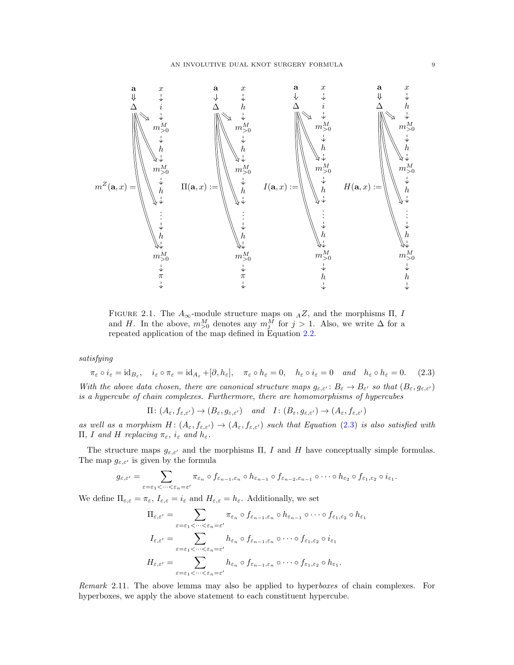<span id="page-8-0"></span>

FIGURE 2.1. The  $A_{\infty}$ -module structure maps on  $_AZ$ , and the morphisms  $\Pi$ , I and H. In the above,  $m_{>0}^M$  denotes any  $m_j^M$  for  $j > 1$ . Also, we write  $\Delta$  for a repeated application of the map defined in Equation [2.2.](#page-7-2)

satisfying

<span id="page-8-1"></span> $\pi_{\varepsilon} \circ i_{\varepsilon} = \text{id}_{B_{\varepsilon}}, \quad i_{\varepsilon} \circ \pi_{\varepsilon} = \text{id}_{A_{\varepsilon}} + [\partial, h_{\varepsilon}], \quad \pi_{\varepsilon} \circ h_{\varepsilon} = 0, \quad h_{\varepsilon} \circ i_{\varepsilon} = 0 \quad \text{and} \quad h_{\varepsilon} \circ h_{\varepsilon} = 0. \tag{2.3}$ With the above data chosen, there are canonical structure maps  $g_{\varepsilon,\varepsilon'}: B_{\varepsilon} \to B_{\varepsilon'}$  so that  $(B_{\varepsilon}, g_{\varepsilon,\varepsilon'})$ is a hypercube of chain complexes. Furthermore, there are homomorphisms of hypercubes

$$
\Pi: (A_{\varepsilon}, f_{\varepsilon,\varepsilon'}) \to (B_{\varepsilon}, g_{\varepsilon,\varepsilon'}) \quad \text{and} \quad I: (B_{\varepsilon}, g_{\varepsilon,\varepsilon'}) \to (A_{\varepsilon}, f_{\varepsilon,\varepsilon'})
$$

as well as a morphism  $H: (A_\varepsilon, f_{\varepsilon,\varepsilon'}) \to (A_\varepsilon, f_{\varepsilon,\varepsilon'})$  such that Equation [\(2.3\)](#page-8-1) is also satisfied with Π, I and H replacing  $π_ε$ ,  $i_ε$  and  $h_ε$ .

The structure maps  $g_{\varepsilon,\varepsilon'}$  and the morphisms  $\Pi$ , I and H have conceptually simple formulas. The map  $g_{\varepsilon,\varepsilon'}$  is given by the formula

$$
g_{\varepsilon,\varepsilon'}=\sum_{\varepsilon=\varepsilon_1<\cdots<\varepsilon_n=\varepsilon'}\pi_{\varepsilon_n}\circ f_{\varepsilon_{n-1},\varepsilon_n}\circ h_{\varepsilon_{n-1}}\circ f_{\varepsilon_{n-2},\varepsilon_{n-1}}\circ\cdots\circ h_{\varepsilon_2}\circ f_{\varepsilon_1,\varepsilon_2}\circ i_{\varepsilon_1}.
$$

We define  $\Pi_{\varepsilon,\varepsilon} = \pi_{\varepsilon}, I_{\varepsilon,\varepsilon} = i_{\varepsilon}$  and  $H_{\varepsilon,\varepsilon} = h_{\varepsilon}$ . Additionally, we set

$$
\Pi_{\varepsilon,\varepsilon'} = \sum_{\varepsilon=\varepsilon_1<\cdots<\varepsilon_n=\varepsilon'} \pi_{\varepsilon_n} \circ f_{\varepsilon_{n-1},\varepsilon_n} \circ h_{\varepsilon_{n-1}} \circ \cdots \circ f_{\varepsilon_1,\varepsilon_2} \circ h_{\varepsilon_1}
$$
\n
$$
I_{\varepsilon,\varepsilon'} = \sum_{\varepsilon=\varepsilon_1<\cdots<\varepsilon_n=\varepsilon'} h_{\varepsilon_n} \circ f_{\varepsilon_{n-1},\varepsilon_n} \circ \cdots \circ f_{\varepsilon_1,\varepsilon_2} \circ i_{\varepsilon_1}
$$
\n
$$
H_{\varepsilon,\varepsilon'} = \sum_{\varepsilon=\varepsilon_1<\cdots<\varepsilon_n=\varepsilon'} h_{\varepsilon_n} \circ f_{\varepsilon_{n-1},\varepsilon_n} \circ \cdots \circ f_{\varepsilon_1,\varepsilon_2} \circ h_{\varepsilon_1}.
$$

Remark 2.11. The above lemma may also be applied to hyperboxes of chain complexes. For hyperboxes, we apply the above statement to each constituent hypercube.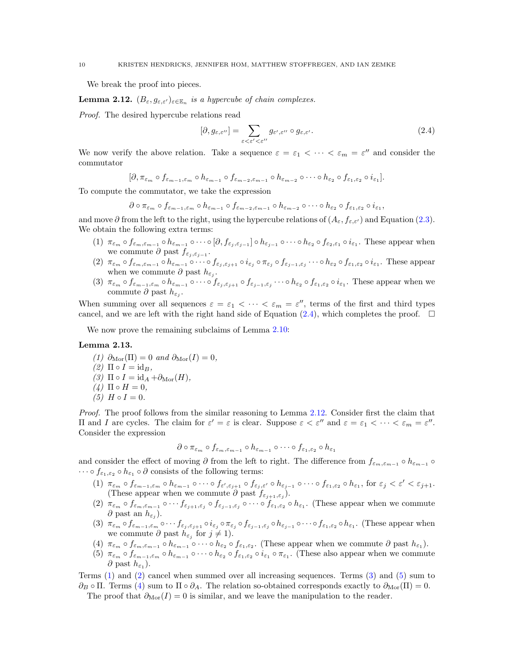We break the proof into pieces.

<span id="page-9-1"></span>**Lemma 2.12.**  $(B_{\varepsilon}, g_{\varepsilon,\varepsilon'})_{\varepsilon \in \mathbb{E}_n}$  is a hypercube of chain complexes.

Proof. The desired hypercube relations read

<span id="page-9-0"></span>
$$
[\partial, g_{\varepsilon,\varepsilon''}] = \sum_{\varepsilon < \varepsilon' < \varepsilon''} g_{\varepsilon',\varepsilon''} \circ g_{\varepsilon,\varepsilon'}.\tag{2.4}
$$

We now verify the above relation. Take a sequence  $\varepsilon = \varepsilon_1 < \cdots < \varepsilon_m = \varepsilon''$  and consider the commutator

$$
[\partial, \pi_{\varepsilon_m} \circ f_{\varepsilon_{m-1},\varepsilon_m} \circ h_{\varepsilon_{m-1}} \circ f_{\varepsilon_{m-2},\varepsilon_{m-1}} \circ h_{\varepsilon_{m-2}} \circ \cdots \circ h_{\varepsilon_2} \circ f_{\varepsilon_1,\varepsilon_2} \circ i_{\varepsilon_1}].
$$

To compute the commutator, we take the expression

$$
\partial \circ \pi_{\varepsilon_m} \circ f_{\varepsilon_{m-1},\varepsilon_m} \circ h_{\varepsilon_{m-1}} \circ f_{\varepsilon_{m-2},\varepsilon_{m-1}} \circ h_{\varepsilon_{m-2}} \circ \cdots \circ h_{\varepsilon_2} \circ f_{\varepsilon_1,\varepsilon_2} \circ i_{\varepsilon_1},
$$

and move  $\partial$  from the left to the right, using the hypercube relations of  $(A_{\varepsilon}, f_{\varepsilon,\varepsilon'})$  and Equation [\(2.3\)](#page-8-1). We obtain the following extra terms:

- $(1)$   $\pi_{\varepsilon_m} \circ f_{\varepsilon_m, \varepsilon_{m-1}} \circ h_{\varepsilon_{m-1}} \circ \cdots \circ [\partial, f_{\varepsilon_j, \varepsilon_{j-1}}] \circ h_{\varepsilon_{j-1}} \circ \cdots \circ h_{\varepsilon_2} \circ f_{\varepsilon_2, \varepsilon_1} \circ i_{\varepsilon_1}$ . These appear when we commute  $\partial$  past  $f_{\varepsilon_j, \varepsilon_{j-1}}$ .
- $(2)$   $\pi_{\varepsilon_m} \circ f_{\varepsilon_m, \varepsilon_{m-1}} \circ h_{\varepsilon_{m-1}} \circ \cdots \circ f_{\varepsilon_j, \varepsilon_{j+1}} \circ i_{\varepsilon_j} \circ \pi_{\varepsilon_j} \circ f_{\varepsilon_{j-1}, \varepsilon_j} \cdots \circ h_{\varepsilon_2} \circ f_{\varepsilon_1, \varepsilon_2} \circ i_{\varepsilon_1}.$  These appear when we commute  $\partial$  past  $h_{\varepsilon_j}$ .
- (3)  $\pi_{\varepsilon_m} \circ f_{\varepsilon_{m-1},\varepsilon_m} \circ h_{\varepsilon_{m-1}} \circ \cdots \circ f_{\varepsilon_j,\varepsilon_{j+1}} \circ f_{\varepsilon_{j-1},\varepsilon_j} \cdots \circ h_{\varepsilon_2} \circ f_{\varepsilon_1,\varepsilon_2} \circ i_{\varepsilon_1}$ . These appear when we commute  $\partial$  past  $h_{\varepsilon_j}$ .

When summing over all sequences  $\varepsilon = \varepsilon_1 < \cdots < \varepsilon_m = \varepsilon''$ , terms of the first and third types cancel, and we are left with the right hand side of Equation [\(2.4\)](#page-9-0), which completes the proof.  $\Box$ 

We now prove the remaining subclaims of Lemma [2.10:](#page-7-3)

## Lemma 2.13.

(1)  $\partial_{\text{Mor}}(\Pi) = 0$  and  $\partial_{\text{Mor}}(I) = 0$ ,  $(2)$   $\Pi \circ I = id_B$ , (3)  $\Pi \circ I = \mathrm{id}_A + \partial_{\mathrm{Mor}}(H)$ ,  $(4)$   $\Pi \circ H = 0$ , (5)  $H \circ I = 0$ .

Proof. The proof follows from the similar reasoning to Lemma [2.12.](#page-9-1) Consider first the claim that II and I are cycles. The claim for  $\varepsilon' = \varepsilon$  is clear. Suppose  $\varepsilon < \varepsilon''$  and  $\varepsilon = \varepsilon_1 < \cdots < \varepsilon_m = \varepsilon''$ . Consider the expression

$$
\partial \circ \pi_{\varepsilon_m} \circ f_{\varepsilon_m, \varepsilon_{m-1}} \circ h_{\varepsilon_{m-1}} \circ \cdots \circ f_{\varepsilon_1, \varepsilon_2} \circ h_{\varepsilon_1}
$$

<span id="page-9-2"></span>and consider the effect of moving  $\partial$  from the left to right. The difference from  $f_{\varepsilon_m,\varepsilon_{m-1}} \circ h_{\varepsilon_{m-1}} \circ$  $\cdots \circ f_{\varepsilon_1,\varepsilon_2} \circ h_{\varepsilon_1} \circ \partial$  consists of the following terms:

- $(1)$   $\pi_{\varepsilon_m} \circ f_{\varepsilon_{m-1},\varepsilon_m} \circ h_{\varepsilon_{m-1}} \circ \cdots \circ f_{\varepsilon',\varepsilon_{j+1}} \circ f_{\varepsilon_j,\varepsilon'} \circ h_{\varepsilon_{j-1}} \circ \cdots \circ f_{\varepsilon_1,\varepsilon_2} \circ h_{\varepsilon_1},$  for  $\varepsilon_j < \varepsilon' < \varepsilon_{j+1}$ . (These appear when we commute  $\partial$  past  $f_{\varepsilon_{j+1},\varepsilon_j}$ ).
- <span id="page-9-3"></span> $(2)$   $\pi_{\varepsilon_m} \circ f_{\varepsilon_m,\varepsilon_{m-1}} \circ \cdots f_{\varepsilon_{j+1},\varepsilon_j} \circ f_{\varepsilon_{j-1},\varepsilon_j} \circ \cdots \circ f_{\varepsilon_1,\varepsilon_2} \circ h_{\varepsilon_1}$ . (These appear when we commute  $\partial$  past an  $h_{\varepsilon_j}$ ).
- <span id="page-9-4"></span> $(3)$   $\pi_{\varepsilon_m} \circ f_{\varepsilon_{m-1},\varepsilon_m} \circ \cdots f_{\varepsilon_j, \varepsilon_{j+1}} \circ i_{\varepsilon_j} \circ \pi_{\varepsilon_j} \circ f_{\varepsilon_{j-1},\varepsilon_j} \circ h_{\varepsilon_{j-1}} \circ \cdots \circ f_{\varepsilon_1, \varepsilon_2} \circ h_{\varepsilon_1}$ . (These appear when we commute  $\partial$  past  $h_{\varepsilon_j}$  for  $j \neq 1$ ).
- <span id="page-9-6"></span><span id="page-9-5"></span>(4)  $\pi_{\varepsilon_m} \circ f_{\varepsilon_m,\varepsilon_{m-1}} \circ h_{\varepsilon_{m-1}} \circ \cdots \circ h_{\varepsilon_2} \circ f_{\varepsilon_1,\varepsilon_2}$ . (These appear when we commute  $\partial$  past  $h_{\varepsilon_1}$ ).
- (5)  $\pi_{\varepsilon_m} \circ f_{\varepsilon_{m-1},\varepsilon_m} \circ h_{\varepsilon_{m-1}} \circ \cdots \circ h_{\varepsilon_2} \circ f_{\varepsilon_1, \varepsilon_2} \circ i_{\varepsilon_1} \circ \pi_{\varepsilon_1}$ . (These also appear when we commute  $\partial$  past  $h_{\varepsilon_1}$ ).

Terms [\(1\)](#page-9-2) and [\(2\)](#page-9-3) cancel when summed over all increasing sequences. Terms [\(3\)](#page-9-4) and [\(5\)](#page-9-5) sum to  $\partial_B \circ \Pi$ . Terms [\(4\)](#page-9-6) sum to  $\Pi \circ \partial_A$ . The relation so-obtained corresponds exactly to  $\partial_{\text{Mor}}(\Pi) = 0$ . The proof that  $\partial_{\text{Mor}}(I) = 0$  is similar, and we leave the manipulation to the reader.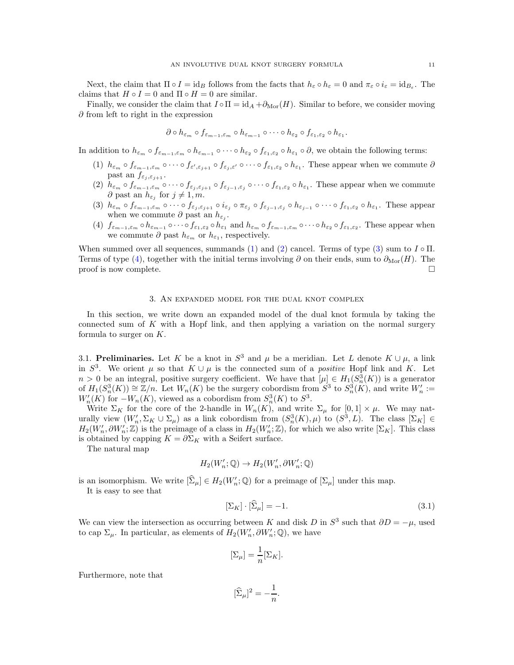Next, the claim that  $\Pi \circ I = id_B$  follows from the facts that  $h_{\varepsilon} \circ h_{\varepsilon} = 0$  and  $\pi_{\varepsilon} \circ i_{\varepsilon} = id_{B_{\varepsilon}}$ . The claims that  $H \circ I = 0$  and  $\Pi \circ H = 0$  are similar.

Finally, we consider the claim that  $I \circ \Pi = id_A + \partial_{\text{Mor}}(H)$ . Similar to before, we consider moving  $\partial$  from left to right in the expression

$$
\partial \circ h_{\varepsilon_m} \circ f_{\varepsilon_{m-1},\varepsilon_m} \circ h_{\varepsilon_{m-1}} \circ \cdots \circ h_{\varepsilon_2} \circ f_{\varepsilon_1,\varepsilon_2} \circ h_{\varepsilon_1}.
$$

<span id="page-10-2"></span>In addition to  $h_{\varepsilon_m} \circ f_{\varepsilon_{m-1},\varepsilon_m} \circ h_{\varepsilon_{m-1}} \circ \cdots \circ h_{\varepsilon_2} \circ f_{\varepsilon_1,\varepsilon_2} \circ h_{\varepsilon_1} \circ \partial$ , we obtain the following terms:

- <span id="page-10-3"></span>(1)  $h_{\varepsilon_m} \circ f_{\varepsilon_{m-1},\varepsilon_m} \circ \cdots \circ f_{\varepsilon',\varepsilon_{j+1}} \circ f_{\varepsilon_j,\varepsilon'} \circ \cdots \circ f_{\varepsilon_1,\varepsilon_2} \circ h_{\varepsilon_1}$ . These appear when we commute  $\partial$ past an  $f_{\varepsilon_i, \varepsilon_{i+1}}$ .
- <span id="page-10-4"></span>(2)  $h_{\varepsilon_m} \circ f_{\varepsilon_{m-1},\varepsilon_m} \circ \cdots \circ f_{\varepsilon_j,\varepsilon_{j+1}} \circ f_{\varepsilon_{j-1},\varepsilon_j} \circ \cdots \circ f_{\varepsilon_1,\varepsilon_2} \circ h_{\varepsilon_1}$ . These appear when we commute  $\partial$  past an  $h_{\varepsilon_j}$  for  $j \neq 1, m$ .
- $(3)$   $h_{\varepsilon_m} \circ f_{\varepsilon_{m-1},\varepsilon_m} \circ \cdots \circ f_{\varepsilon_j, \varepsilon_{j+1}} \circ i_{\varepsilon_j} \circ \pi_{\varepsilon_j} \circ f_{\varepsilon_{j-1},\varepsilon_j} \circ h_{\varepsilon_{j-1}} \circ \cdots \circ f_{\varepsilon_1, \varepsilon_2} \circ h_{\varepsilon_1}$ . These appear when we commute  $\partial$  past an  $h_{\varepsilon_j}$ .
- <span id="page-10-5"></span>(4)  $f_{\varepsilon_{m-1},\varepsilon_m} \circ h_{\varepsilon_{m-1}} \circ \cdots \circ f_{\varepsilon_1,\varepsilon_2} \circ h_{\varepsilon_1}$  and  $h_{\varepsilon_m} \circ f_{\varepsilon_{m-1},\varepsilon_m} \circ \cdots \circ h_{\varepsilon_2} \circ f_{\varepsilon_1,\varepsilon_2}$ . These appear when we commute  $\partial$  past  $h_{\varepsilon_m}$  or  $h_{\varepsilon_1}$ , respectively.

When summed over all sequences, summands [\(1\)](#page-10-2) and [\(2\)](#page-10-3) cancel. Terms of type [\(3\)](#page-10-4) sum to  $I \circ \Pi$ . Terms of type [\(4\)](#page-10-5), together with the initial terms involving  $\partial$  on their ends, sum to  $\partial_{\text{Mor}}(H)$ . The proof is now complete.  $\Box$ 

### 3. An expanded model for the dual knot complex

<span id="page-10-0"></span>In this section, we write down an expanded model of the dual knot formula by taking the connected sum of  $K$  with a Hopf link, and then applying a variation on the normal surgery formula to surger on  $K$ .

<span id="page-10-1"></span>3.1. Preliminaries. Let K be a knot in  $S^3$  and  $\mu$  be a meridian. Let L denote  $K \cup \mu$ , a link in  $S^3$ . We orient  $\mu$  so that  $K \cup \mu$  is the connected sum of a *positive* Hopf link and K. Let  $n > 0$  be an integral, positive surgery coefficient. We have that  $[\mu] \in H_1(S_n^3(K))$  is a generator of  $H_1(S_n^3(K)) \cong \mathbb{Z}/n$ . Let  $W_n(K)$  be the surgery cobordism from  $S^3$  to  $S_n^3(K)$ , and write  $W'_n :=$  $W'_n(K)$  for  $-W_n(K)$ , viewed as a cobordism from  $S^3_n(K)$  to  $S^3$ .

Write  $\Sigma_K$  for the core of the 2-handle in  $W_n(K)$ , and write  $\Sigma_\mu$  for  $[0,1] \times \mu$ . We may naturally view  $(W'_n, \Sigma_K \cup \Sigma_\mu)$  as a link cobordism from  $(S^3_n(K), \mu)$  to  $(S^3, L)$ . The class  $[\Sigma_K] \in$  $H_2(W'_n, \partial W'_n; \mathbb{Z})$  is the preimage of a class in  $H_2(W'_n; \mathbb{Z})$ , for which we also write  $[\Sigma_K]$ . This class is obtained by capping  $K = \partial \Sigma_K$  with a Seifert surface.

The natural map

$$
H_2(W'_n; \mathbb{Q}) \to H_2(W'_n, \partial W'_n; \mathbb{Q})
$$

is an isomorphism. We write  $[\hat{\Sigma}_{\mu}] \in H_2(W'_n; \mathbb{Q})$  for a preimage of  $[\Sigma_{\mu}]$  under this map.

It is easy to see that

<span id="page-10-6"></span>
$$
\left[\Sigma_K\right] \cdot \left[\Sigma_\mu\right] = -1. \tag{3.1}
$$

We can view the intersection as occurring between K and disk D in  $S^3$  such that  $\partial D = -\mu$ , used to cap  $\Sigma_{\mu}$ . In particular, as elements of  $H_2(W'_n, \partial W'_n; \mathbb{Q})$ , we have

$$
[\Sigma_{\mu}] = \frac{1}{n} [\Sigma_K].
$$

Furthermore, note that

$$
[\widehat{\Sigma}_{\mu}]^2 = -\frac{1}{n}.
$$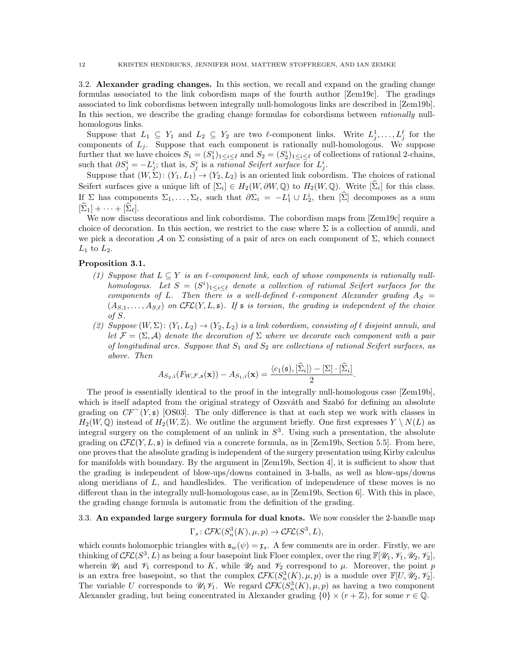<span id="page-11-0"></span>3.2. Alexander grading changes. In this section, we recall and expand on the grading change formulas associated to the link cobordism maps of the fourth author [\[Zem19c\]](#page-45-25). The gradings associated to link cobordisms between integrally null-homologous links are described in [\[Zem19b\]](#page-45-26). In this section, we describe the grading change formulas for cobordisms between *rationally* nullhomologous links.

Suppose that  $L_1 \subseteq Y_1$  and  $L_2 \subseteq Y_2$  are two  $\ell$ -component links. Write  $L_j^1, \ldots, L_j^{\ell}$  for the components of  $L_j$ . Suppose that each component is rationally null-homologous. We suppose further that we have choices  $S_1 = (S_1^i)_{1 \leq i \leq \ell}$  and  $S_2 = (S_2^i)_{1 \leq i \leq \ell}$  of collections of rational 2-chains, such that  $\partial S_j^i = -L_j^i$ ; that is,  $S_j^i$  is a *rational Seifert surface* for  $L_j^i$ .

Suppose that  $(W, \Sigma)$ :  $(Y_1, L_1) \rightarrow (Y_2, L_2)$  is an oriented link cobordism. The choices of rational Seifert surfaces give a unique lift of  $[\Sigma_i] \in H_2(W, \partial W, \mathbb{Q})$  to  $H_2(W, \mathbb{Q})$ . Write  $[\Sigma_i]$  for this class. If  $\Sigma$  has components  $\Sigma_1, \ldots, \Sigma_\ell$ , such that  $\partial \Sigma_i = -L_1^i \cup L_2^i$ , then  $[\Sigma]$  decomposes as a sum  $[\Sigma_1] + \cdots + [\Sigma_\ell].$ 

We now discuss decorations and link cobordisms. The cobordism maps from [\[Zem19c\]](#page-45-25) require a choice of decoration. In this section, we restrict to the case where  $\Sigma$  is a collection of annuli, and we pick a decoration A on  $\Sigma$  consisting of a pair of arcs on each component of  $\Sigma$ , which connect  $L_1$  to  $L_2$ .

## <span id="page-11-2"></span>Proposition 3.1.

- (1) Suppose that  $L \subseteq Y$  is an  $\ell$ -component link, each of whose components is rationally nullhomologous. Let  $S = (S^i)_{1 \leq i \leq \ell}$  denote a collection of rational Seifert surfaces for the components of L. Then there is a well-defined  $\ell$ -component Alexander grading  $A_S =$  $(A_{S,1},\ldots,A_{S,\ell})$  on  $\mathcal{CFL}(Y,L,\mathfrak{s})$ . If  $\mathfrak s$  is torsion, the grading is independent of the choice of S.
- (2) Suppose  $(W, \Sigma)$ :  $(Y_1, L_2) \rightarrow (Y_2, L_2)$  is a link cobordism, consisting of  $\ell$  disjoint annuli, and let  $\mathcal{F} = (\Sigma, \mathcal{A})$  denote the decoration of  $\Sigma$  where we decorate each component with a pair of longitudinal arcs. Suppose that  $S_1$  and  $S_2$  are collections of rational Seifert surfaces, as above. Then

$$
A_{S_2,i}(F_{W,\mathcal{F},\mathfrak{s}}(\mathbf{x})) - A_{S_1,i}(\mathbf{x}) = \frac{\langle c_1(\mathfrak{s}),[\hat{\Sigma}_i]\rangle - [\Sigma] \cdot [\hat{\Sigma}_i]}{2}.
$$

The proof is essentially identical to the proof in the integrally null-homologous case [\[Zem19b\]](#page-45-26), which is itself adapted from the original strategy of Ozsváth and Szabó for defining an absolute grading on  $CF^{-}(Y, \mathfrak{s})$  [\[OS03\]](#page-45-27). The only difference is that at each step we work with classes in  $H_2(W, \mathbb{Q})$  instead of  $H_2(W, \mathbb{Z})$ . We outline the argument briefly. One first expresses  $Y \setminus N(L)$  as integral surgery on the complement of an unlink in  $S<sup>3</sup>$ . Using such a presentation, the absolute grading on  $\mathcal{CFL}(Y, L, \mathfrak{s})$  is defined via a concrete formula, as in [\[Zem19b,](#page-45-26) Section 5.5]. From here, one proves that the absolute grading is independent of the surgery presentation using Kirby calculus for manifolds with boundary. By the argument in [\[Zem19b,](#page-45-26) Section 4], it is sufficient to show that the grading is independent of blow-ups/downs contained in 3-balls, as well as blow-ups/downs along meridians of L, and handleslides. The verification of independence of these moves is no different than in the integrally null-homologous case, as in [\[Zem19b,](#page-45-26) Section 6]. With this in place, the grading change formula is automatic from the definition of the grading.

## <span id="page-11-1"></span>3.3. An expanded large surgery formula for dual knots. We now consider the 2-handle map

$$
\Gamma_s \colon \mathcal{CFK}(S_n^3(K), \mu, p) \to \mathcal{CFL}(S^3, L),
$$

which counts holomorphic triangles with  $\mathfrak{s}_w(\psi) = \mathfrak{x}_s$ . A few comments are in order. Firstly, we are thinking of  $\mathcal{CFL}(S^3, L)$  as being a four basepoint link Floer complex, over the ring  $\mathbb{F}[\mathscr{U}_1, \mathscr{V}_1, \mathscr{U}_2, \mathscr{V}_2],$ wherein  $\mathcal{U}_1$  and  $\mathcal{V}_1$  correspond to K, while  $\mathcal{U}_2$  and  $\mathcal{V}_2$  correspond to  $\mu$ . Moreover, the point p is an extra free basepoint, so that the complex  $\mathcal{CFK}(S_n^3(K), \mu, p)$  is a module over  $\mathbb{F}[U, \mathscr{U}_2, \mathscr{V}_2]$ . The variable U corresponds to  $\mathcal{U}_1 \mathcal{V}_1$ . We regard  $\mathcal{CFK}(S^3_n(K), \mu, p)$  as having a two component Alexander grading, but being concentrated in Alexander grading  $\{0\} \times (r + \mathbb{Z})$ , for some  $r \in \mathbb{Q}$ .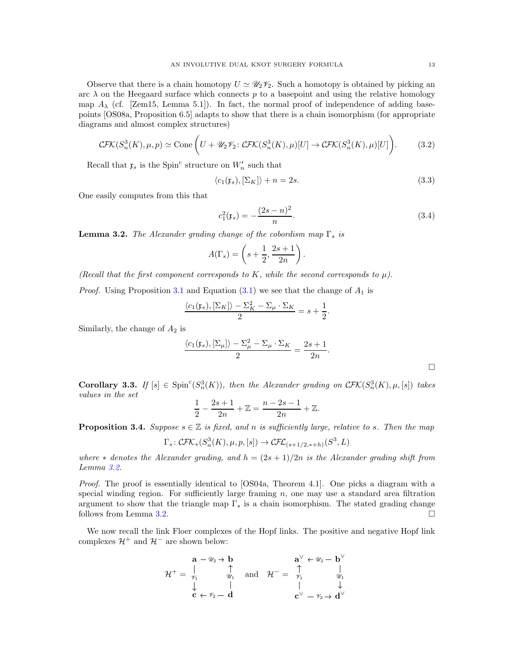Observe that there is a chain homotopy  $U \simeq \mathscr{U}_2 \mathscr{V}_2$ . Such a homotopy is obtained by picking an arc  $\lambda$  on the Heegaard surface which connects p to a basepoint and using the relative homology map  $A_{\lambda}$  (cf. [\[Zem15,](#page-45-28) Lemma 5.1]). In fact, the normal proof of independence of adding basepoints [\[OS08a,](#page-45-29) Proposition 6.5] adapts to show that there is a chain isomorphism (for appropriate diagrams and almost complex structures)

<span id="page-12-4"></span>
$$
\mathcal{CFK}(S_n^3(K), \mu, p) \simeq \text{Cone}\left(U + \mathscr{U}_2\mathscr{V}_2 : \mathcal{CFK}(S_n^3(K), \mu)[U] \to \mathcal{CFK}(S_n^3(K), \mu)[U]\right). \tag{3.2}
$$

Recall that  $\mathfrak{x}_s$  is the Spin<sup>c</sup> structure on  $W'_n$  such that

<span id="page-12-1"></span>
$$
\langle c_1(\mathfrak{x}_s), [\Sigma_K] \rangle + n = 2s. \tag{3.3}
$$

One easily computes from this that

<span id="page-12-3"></span>
$$
c_1^2(\mathbf{x}_s) = -\frac{(2s-n)^2}{n}.\tag{3.4}
$$

<span id="page-12-0"></span>**Lemma 3.2.** The Alexander grading change of the cobordism map  $\Gamma_s$  is

$$
A(\Gamma_s) = \left(s + \frac{1}{2}, \frac{2s+1}{2n}\right).
$$

(Recall that the first component corresponds to K, while the second corresponds to  $\mu$ ).

*Proof.* Using Proposition [3.1](#page-11-2) and Equation  $(3.1)$  we see that the change of  $A_1$  is

$$
\frac{\langle c_1(\mathfrak{x}_s), [\Sigma_K] \rangle - \Sigma_K^2 - \Sigma_\mu \cdot \Sigma_K}{2} = s + \frac{1}{2}.
$$

Similarly, the change of  $A_2$  is

$$
\frac{\langle c_1(\mathfrak{x}_s), [\Sigma_\mu] \rangle - \Sigma_\mu^2 - \Sigma_\mu \cdot \Sigma_K}{2} = \frac{2s+1}{2n}.
$$

**Corollary 3.3.** If  $[s] \in \text{Spin}^c(S_n^3(K))$ , then the Alexander grading on  $\mathcal{CFK}(S_n^3(K), \mu, [s])$  takes values in the set

$$
\frac{1}{2} - \frac{2s+1}{2n} + \mathbb{Z} = \frac{n-2s-1}{2n} + \mathbb{Z}.
$$

<span id="page-12-2"></span>**Proposition 3.4.** Suppose  $s \in \mathbb{Z}$  is fixed, and n is sufficiently large, relative to s. Then the map

$$
\Gamma_s \colon \mathcal{CFK}_*(S^3_n(K), \mu, p, [s]) \to \mathcal{CFL}_{(s+1/2, *+h)}(S^3, L)
$$

where  $*$  denotes the Alexander grading, and  $h = (2s + 1)/2n$  is the Alexander grading shift from Lemma [3.2.](#page-12-0)

Proof. The proof is essentially identical to [\[OS04a,](#page-45-3) Theorem 4.1]. One picks a diagram with a special winding region. For sufficiently large framing  $n$ , one may use a standard area filtration argument to show that the triangle map  $\Gamma_s$  is a chain isomorphism. The stated grading change follows from Lemma [3.2.](#page-12-0)

We now recall the link Floer complexes of the Hopf links. The positive and negative Hopf link complexes  $\mathcal{H}^+$  and  $\mathcal{H}^-$  are shown below:

$$
\mathcal{H}^+ = \begin{matrix} \mathbf{a} - \mathscr{U}_2 \rightarrow \mathbf{b} & \mathbf{a}^\vee \leftarrow \mathscr{U}_2 - \mathbf{b}^\vee \\ \updownarrow & \updownarrow & \updownarrow \\ \downarrow & \downarrow & \downarrow \\ \mathbf{c} \leftarrow \mathscr{V}_2 - \mathbf{d} & \mathbf{c}^\vee - \mathscr{V}_2 \rightarrow \mathbf{d}^\vee \end{matrix}
$$

 $\Box$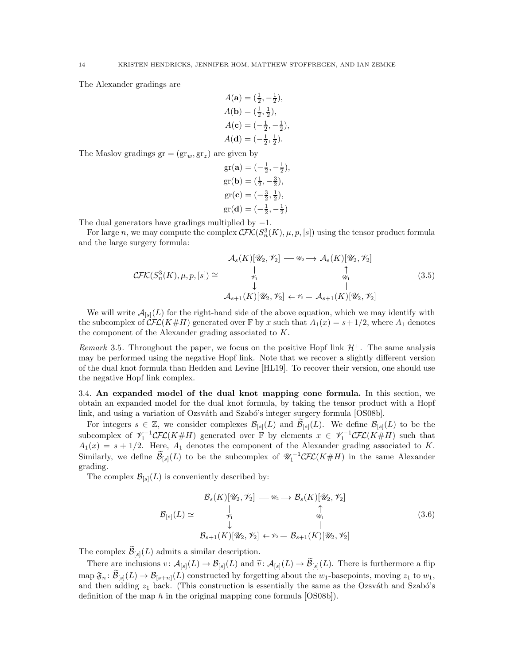The Alexander gradings are

$$
A(\mathbf{a}) = (\frac{1}{2}, -\frac{1}{2}),
$$
  
\n
$$
A(\mathbf{b}) = (\frac{1}{2}, \frac{1}{2}),
$$
  
\n
$$
A(\mathbf{c}) = (-\frac{1}{2}, -\frac{1}{2}),
$$
  
\n
$$
A(\mathbf{d}) = (-\frac{1}{2}, \frac{1}{2}).
$$

The Maslov gradings  $gr = (gr_w, gr_z)$  are given by

gr(**a**) = 
$$
(-\frac{1}{2}, -\frac{1}{2})
$$
,  
gr(**b**) =  $(\frac{1}{2}, -\frac{3}{2})$ ,  
gr(**c**) =  $(-\frac{3}{2}, \frac{1}{2})$ ,  
gr(**d**) =  $(-\frac{1}{2}, -\frac{1}{2})$ 

The dual generators have gradings multiplied by  $-1$ .

For large n, we may compute the complex  $\mathcal{CFK}(S_n^3(K), \mu, p, [s])$  using the tensor product formula and the large surgery formula:

<span id="page-13-1"></span>
$$
\mathcal{A}_s(K)[\mathcal{U}_2, \mathcal{V}_2] \longrightarrow \mathcal{A}_s(K)[\mathcal{U}_2, \mathcal{V}_2]
$$
  
\n
$$
\mathcal{CFK}(S_n^3(K), \mu, p, [s]) \cong \bigcup_{\substack{\mathcal{V}_1 \\ \downarrow \\ \downarrow \\ \mathcal{A}_{s+1}(K)[\mathcal{U}_2, \mathcal{V}_2] \leftarrow \mathcal{V}_2 - \mathcal{A}_{s+1}(K)[\mathcal{U}_2, \mathcal{V}_2]} (3.5)
$$

We will write  $\mathcal{A}_{[s]}(L)$  for the right-hand side of the above equation, which we may identify with the subcomplex of  $\mathcal{CFL}(K\#H)$  generated over F by x such that  $A_1(x) = s + 1/2$ , where  $A_1$  denotes the component of the Alexander grading associated to K.

Remark 3.5. Throughout the paper, we focus on the positive Hopf link  $\mathcal{H}^+$ . The same analysis may be performed using the negative Hopf link. Note that we recover a slightly different version of the dual knot formula than Hedden and Levine [\[HL19\]](#page-45-6). To recover their version, one should use the negative Hopf link complex.

<span id="page-13-0"></span>3.4. An expanded model of the dual knot mapping cone formula. In this section, we obtain an expanded model for the dual knot formula, by taking the tensor product with a Hopf link, and using a variation of Ozsváth and Szabó's integer surgery formula  $|OS08b|$ .

For integers  $s \in \mathbb{Z}$ , we consider complexes  $\mathcal{B}_{[s]}(L)$  and  $\mathcal{B}_{[s]}(L)$ . We define  $\mathcal{B}_{[s]}(L)$  to be the subcomplex of  $\mathcal{V}_1^{-1}CFL(K\#H)$  generated over F by elements  $x \in \mathcal{V}_1^{-1}CFL(K\#H)$  such that  $A_1(x) = s + 1/2$ . Here,  $A_1$  denotes the component of the Alexander grading associated to K. Similarly, we define  $\widetilde{\mathcal{B}}_{[s]}(L)$  to be the subcomplex of  $\mathcal{U}_1^{-1}\mathcal{CFL}(K\#H)$  in the same Alexander grading.

The complex  $\mathcal{B}_{[s]}(L)$  is conveniently described by:

<span id="page-13-2"></span>
$$
\mathcal{B}_{s}(K)[\mathcal{U}_{2},\mathcal{V}_{2}] \longrightarrow \mathcal{B}_{s}(K)[\mathcal{U}_{2},\mathcal{V}_{2}]
$$
\n
$$
\mathcal{B}_{[s]}(L) \simeq \begin{array}{ccc} \downarrow & \uparrow & \uparrow \\ \downarrow & & \downarrow & \downarrow \\ \downarrow & & \downarrow & \downarrow \\ \mathcal{B}_{s+1}(K)[\mathcal{U}_{2},\mathcal{V}_{2}] \leftarrow \mathcal{V}_{2} - \mathcal{B}_{s+1}(K)[\mathcal{U}_{2},\mathcal{V}_{2}] \end{array} (3.6)
$$

The complex  $\mathcal{B}_{[s]}(L)$  admits a similar description.

There are inclusions  $v: \mathcal{A}_{[s]}(L) \to \mathcal{B}_{[s]}(L)$  and  $\tilde{v}: \mathcal{A}_{[s]}(L) \to \mathcal{B}_{[s]}(L)$ . There is furthermore a flip map  $\mathfrak{F}_n: \mathcal{B}_{[s]}(L) \to \mathcal{B}_{[s+n]}(L)$  constructed by forgetting about the  $w_1$ -basepoints, moving  $z_1$  to  $w_1$ , and then adding  $z_1$  back. (This construction is essentially the same as the Ozsváth and Szabó's definition of the map h in the original mapping cone formula  $[OS08b]$ .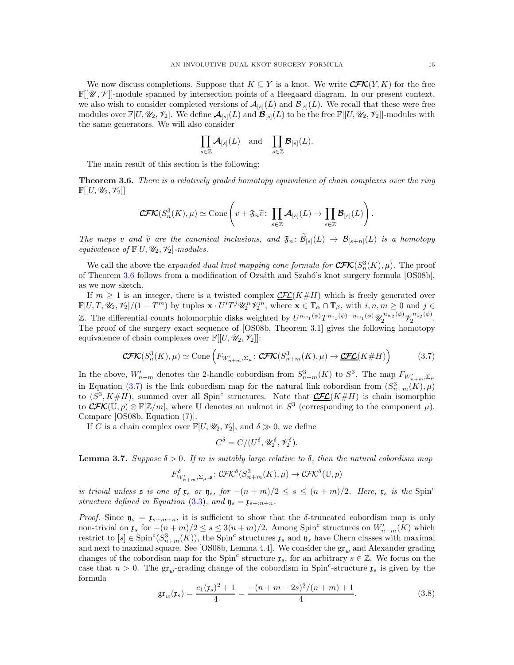We now discuss completions. Suppose that  $K \subseteq Y$  is a knot. We write  $\mathcal{CFK}(Y, K)$  for the free  $\mathbb{F}[\mathscr{U},\mathscr{V}]$ -module spanned by intersection points of a Heegaard diagram. In our present context, we also wish to consider completed versions of  $\mathcal{A}_{[s]}(L)$  and  $\mathcal{B}_{[s]}(L)$ . We recall that these were free modules over  $\mathbb{F}[U, \mathcal{U}_2, \mathcal{V}_2]$ . We define  $\mathcal{A}_{[s]}(L)$  and  $\mathcal{B}_{[s]}(L)$  to be the free  $\mathbb{F}[[U, \mathcal{U}_2, \mathcal{V}_2]]$ -modules with the same generators. We will also consider

$$
\prod_{s\in\mathbb{Z}}\boldsymbol{\mathcal{A}}_{[s]}(L)\quad\text{and}\quad\prod_{s\in\mathbb{Z}}\boldsymbol{\mathcal{B}}_{[s]}(L).
$$

The main result of this section is the following:

<span id="page-14-0"></span>**Theorem 3.6.** There is a relatively graded homotopy equivalence of chain complexes over the ring  $\mathbb{F}[[U, \mathscr{U}_2, \mathscr{V}_2]]$ 

$$
\mathbf{CFK}(S_n^3(K), \mu) \simeq \mathrm{Cone}\left(v + \mathfrak{F}_n \widetilde{v} \colon \prod_{s \in \mathbb{Z}} \mathcal{A}_{[s]}(L) \to \prod_{s \in \mathbb{Z}} \mathcal{B}_{[s]}(L)\right).
$$

The maps v and  $\tilde{v}$  are the canonical inclusions, and  $\mathfrak{F}_n : \mathcal{B}_{[s]}(L) \to \mathcal{B}_{[s+n]}(L)$  is a homotopy equivalence of  $\mathbb{F}[U, \mathcal{U}_2, \mathcal{V}_2]$ -modules.

We call the above the *expanded dual knot mapping cone formula for*  $\mathbf{C\!F\!K}(S_n^3(K), \mu)$ . The proof of Theorem [3.6](#page-14-0) follows from a modification of Ozsáth and Szabó's knot surgery formula [\[OS08b\]](#page-45-5), as we now sketch.

If  $m \geq 1$  is an integer, there is a twisted complex  $\mathcal{L} \mathcal{L}(K \# H)$  which is freely generated over  $\mathbb{F}[U, T, \mathscr{U}_2, \mathscr{V}_2]/(1 - T^m)$  by tuples  $\mathbf{x} \cdot U^i T^j \mathscr{U}_2^n \mathscr{V}_2^m$ , where  $\mathbf{x} \in \mathbb{T}_{\alpha} \cap \mathbb{T}_{\beta}$ , with  $i, n, m \geq 0$  and  $j \in$ Z. The differential counts holomorphic disks weighted by  $U^{n_{w_1}(\phi)}T^{n_{z_1}(\phi)-n_{w_1}(\phi)}\mathscr{U}_2^{n_{w_2}(\phi)}\mathscr{V}_2^{n_{z_2}(\phi)}$  $2^{n_{z_2(\varphi)}}$ . The proof of the surgery exact sequence of [\[OS08b,](#page-45-5) Theorem 3.1] gives the following homotopy equivalence of chain complexes over  $\mathbb{F}[[U, \mathscr{U}_2, \mathscr{V}_2]]$ :

<span id="page-14-1"></span>
$$
\mathbf{CFK}(S_n^3(K), \mu) \simeq \text{Cone}\left(F_{W'_{n+m}, \Sigma_{\mu}} : \mathbf{CFK}(S_{n+m}^3(K), \mu) \to \underline{\mathbf{CFL}}(K \# H)\right) \tag{3.7}
$$

In the above,  $W'_{n+m}$  denotes the 2-handle cobordism from  $S^3_{n+m}(K)$  to  $S^3$ . The map  $F_{W'_{n+m}, \Sigma_{\mu}}$ in Equation [\(3.7\)](#page-14-1) is the link cobordism map for the natural link cobordism from  $(S_{n+m}^3(K), \mu)$ to  $(S^3, K \# H)$ , summed over all Spin<sup>c</sup> structures. Note that  $\mathcal{CFL}(K \# H)$  is chain isomorphic to  $\mathcal{CFK}(\mathbb{U}, p) \otimes \mathbb{F}[\mathbb{Z}/m]$ , where U denotes an unknot in  $S^3$  (corresponding to the component  $\mu$ ). Compare [\[OS08b,](#page-45-5) Equation (7)].

If C is a chain complex over  $\mathbb{F}[U, \mathcal{U}_2, \mathcal{V}_2]$ , and  $\delta \gg 0$ , we define

$$
C^{\delta} = C/(U^{\delta}, \mathscr{U}_2^{\delta}, \mathscr{V}_2^{\delta}).
$$

<span id="page-14-3"></span>**Lemma 3.7.** Suppose  $\delta > 0$ . If m is suitably large relative to  $\delta$ , then the natural cobordism map

$$
F_{W'_{n+m},\Sigma_{\mu},\mathfrak{s}}^{\delta} : \mathcal{CFK}^{\delta}(S_{n+m}^{3}(K),\mu) \to \mathcal{CFK}^{\delta}(\mathbb{U},p)
$$

is trivial unless  $\mathfrak s$  is one of  $\mathfrak x_s$  or  $\mathfrak y_s$ , for  $-(n+m)/2 \leq s \leq (n+m)/2$ . Here,  $\mathfrak x_s$  is the Spin<sup>c</sup> structure defined in Equation [\(3.3\)](#page-12-1), and  $\mathfrak{y}_s = \mathfrak{x}_{s+m+n}$ .

Proof. Since  $y_s = x_{s+m+n}$ , it is sufficient to show that the  $\delta$ -truncated cobordism map is only non-trivial on  $\mathfrak{x}_s$  for  $-(n+m)/2 \leq s \leq 3(n+m)/2$ . Among Spin<sup>c</sup> structures on  $W'_{n+m}(K)$  which restrict to  $[s] \in \text{Spin}^c(S^3_{n+m}(K))$ , the Spin<sup>c</sup> structures  $\mathfrak{x}_s$  and  $\mathfrak{y}_s$  have Chern classes with maximal and next to maximal square. See [\[OS08b,](#page-45-5) Lemma 4.4]. We consider the  $gr_w$  and Alexander grading changes of the cobordism map for the Spin<sup>c</sup> structure  $\mathfrak{x}_s$ , for an arbitrary  $s \in \mathbb{Z}$ . We focus on the case that  $n > 0$ . The gr<sub>w</sub>-grading change of the cobordism in Spin<sup>c</sup>-structure  $\mathfrak{x}_s$  is given by the formula

<span id="page-14-2"></span>
$$
gr_w(\mathfrak{x}_s) = \frac{c_1(\mathfrak{x}_s)^2 + 1}{4} = \frac{-(n+m-2s)^2/(n+m)+1}{4}.
$$
 (3.8)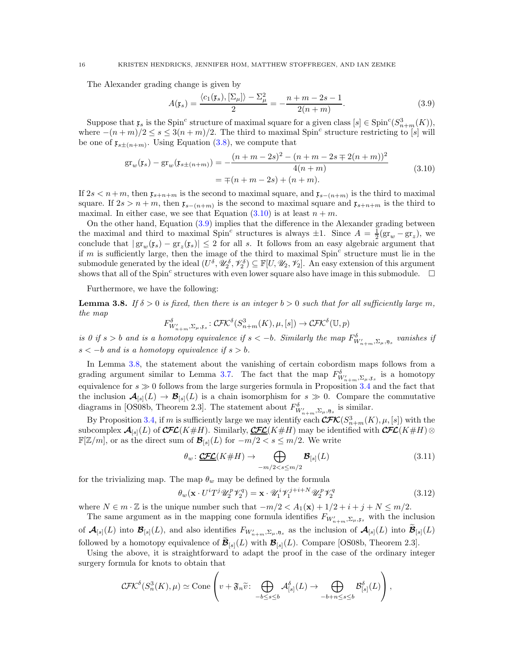The Alexander grading change is given by

<span id="page-15-1"></span>
$$
A(\mathfrak{x}_s) = \frac{\langle c_1(\mathfrak{x}_s), [\Sigma_\mu] \rangle - \Sigma_\mu^2}{2} = -\frac{n+m-2s-1}{2(n+m)}.
$$
 (3.9)

Suppose that  $\mathfrak{x}_s$  is the Spin<sup>c</sup> structure of maximal square for a given class  $[s] \in \text{Spin}^c(S^3_{n+m}(K))$ , where  $-(n+m)/2 \leq s \leq 3(n+m)/2$ . The third to maximal Spin<sup>c</sup> structure restricting to [s] will be one of  $\mathfrak{x}_{s\pm(n+m)}$ . Using Equation [\(3.8\)](#page-14-2), we compute that

$$
gr_w(\mathfrak{x}_s) - gr_w(\mathfrak{x}_{s \pm (n+m)}) = -\frac{(n+m-2s)^2 - (n+m-2s \mp 2(n+m))^2}{4(n+m)}
$$
  
=  $\mp (n+m-2s) + (n+m).$  (3.10)

<span id="page-15-0"></span>If  $2s < n+m$ , then  $\mathfrak{x}_{s+n+m}$  is the second to maximal square, and  $\mathfrak{x}_{s-(n+m)}$  is the third to maximal square. If  $2s > n+m$ , then  $\mathfrak{x}_{s-(n+m)}$  is the second to maximal square and  $\mathfrak{x}_{s+n+m}$  is the third to maximal. In either case, we see that Equation  $(3.10)$  is at least  $n + m$ .

On the other hand, Equation [\(3.9\)](#page-15-1) implies that the difference in the Alexander grading between the maximal and third to maximal Spin<sup>c</sup> structures is always  $\pm 1$ . Since  $A = \frac{1}{2}(\text{gr}_w - \text{gr}_z)$ , we conclude that  $|\text{gr}_{w}(\mathfrak{x}_s) - \text{gr}_{z}(\mathfrak{x}_s)| \leq 2$  for all s. It follows from an easy algebraic argument that if m is sufficiently large, then the image of the third to maximal  $Spin<sup>c</sup>$  structure must lie in the submodule generated by the ideal  $(U^{\delta}, \mathscr{U}_{2}^{\delta}, \mathscr{V}_{2}^{\delta}) \subseteq \mathbb{F}[U, \mathscr{U}_{2}, \mathscr{V}_{2}]$ . An easy extension of this argument shows that all of the Spin<sup>c</sup> structures with even lower square also have image in this submodule.  $\Box$ 

Furthermore, we have the following:

<span id="page-15-2"></span>**Lemma 3.8.** If  $\delta > 0$  is fixed, then there is an integer  $b > 0$  such that for all sufficiently large m, the map

$$
F^{\delta}_{W'_{n+m},\Sigma_{\mu},\mathfrak{x}_s}: \mathcal{CFK}^{\delta}(S^3_{n+m}(K),\mu,[s]) \to \mathcal{CFK}^{\delta}(\mathbb{U},p)
$$

is 0 if  $s > b$  and is a homotopy equivalence if  $s < -b$ . Similarly the map  $F^{\delta}_{W'_{n+m},\Sigma_{\mu},\mathfrak{y}_s}$  vanishes if  $s < -b$  and is a homotopy equivalence if  $s > b$ .

In Lemma [3.8,](#page-15-2) the statement about the vanishing of certain cobordism maps follows from a grading argument similar to Lemma [3.7.](#page-14-3) The fact that the map  $F_{W'_{n+m},\Sigma_{\mu},\mathfrak{x}_s}^{\delta}$  is a homotopy equivalence for  $s \gg 0$  follows from the large surgeries formula in Proposition [3.4](#page-12-2) and the fact that the inclusion  $\mathcal{A}_{[s]}(L) \to \mathcal{B}_{[s]}(L)$  is a chain isomorphism for  $s \gg 0$ . Compare the commutative diagrams in [\[OS08b,](#page-45-5) Theorem 2.3]. The statement about  $F_{W'_{n+m},\Sigma_{\mu},\mathfrak{y}_s}^{\delta}$  is similar.

By Proposition [3.4,](#page-12-2) if m is sufficiently large we may identify each  $\mathbf{CFC}(\mathbf{S}_{n+m}^3(K), \mu, [s])$  with the subcomplex  $\mathcal{A}_{[s]}(L)$  of  $\mathcal{CFL}(K\#H)$ . Similarly,  $\underline{\mathcal{CFL}}(K\#H)$  may be identified with  $\mathcal{CFL}(K\#H)$  $\mathbb{F}[Z/m]$ , or as the direct sum of  $\mathcal{B}_{[s]}(L)$  for  $-m/2 < s \le m/2$ . We write

<span id="page-15-3"></span>
$$
\theta_w: \underbrace{\mathcal{CFL}}(K \# H) \to \bigoplus_{-m/2 < s \le m/2} \mathcal{B}_{[s]}(L) \tag{3.11}
$$

for the trivializing map. The map  $\theta_w$  may be defined by the formula

<span id="page-15-4"></span>
$$
\theta_w(\mathbf{x} \cdot U^i T^j \mathcal{U}_2^p \mathcal{V}_2^q) = \mathbf{x} \cdot \mathcal{U}_1^i \mathcal{V}_1^{j+i+N} \mathcal{U}_2^p \mathcal{V}_2^q \tag{3.12}
$$

where  $N \in m \cdot \mathbb{Z}$  is the unique number such that  $-m/2 < A_1(\mathbf{x}) + 1/2 + i + j + N \leq m/2$ .

The same argument as in the mapping cone formula identifies  $F_{W'_{n+m},\Sigma_{\mu},\mathbf{r}_s}$  with the inclusion of  $\mathcal{A}_{[s]}(L)$  into  $\mathcal{B}_{[s]}(L)$ , and also identifies  $F_{W'_{n+m},\Sigma_{\mu},\mathfrak{y}_s}$  as the inclusion of  $\mathcal{A}_{[s]}(L)$  into  $\widetilde{\mathcal{B}}_{[s]}(L)$ followed by a homotopy equivalence of  $\mathcal{B}_{[s]}(L)$  with  $\mathcal{B}_{[s]}(L)$ . Compare [\[OS08b,](#page-45-5) Theorem 2.3].

Using the above, it is straightforward to adapt the proof in the case of the ordinary integer surgery formula for knots to obtain that

$$
\mathcal{CFK}^{\delta}(S_n^3(K), \mu) \simeq \text{Cone}\left(v + \mathfrak{F}_n \widetilde{v}: \bigoplus_{-b \leq s \leq b} \mathcal{A}_{[s]}^{\delta}(L) \to \bigoplus_{-b+n \leq s \leq b} \mathcal{B}_{[s]}^{\delta}(L)\right),
$$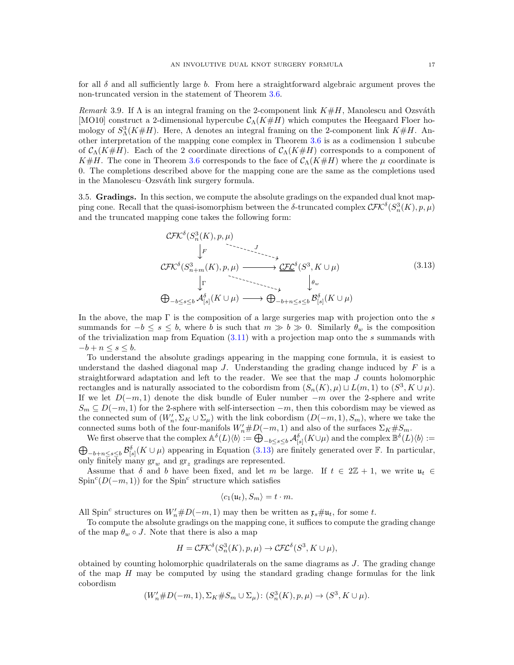for all  $\delta$  and all sufficiently large b. From here a straightforward algebraic argument proves the non-truncated version in the statement of Theorem [3.6.](#page-14-0)

Remark 3.9. If  $\Lambda$  is an integral framing on the 2-component link  $K \# H$ , Manolescu and Ozsváth [\[MO10\]](#page-45-9) construct a 2-dimensional hypercube  $\mathcal{C}_{\Lambda}(K\#H)$  which computes the Heegaard Floer homology of  $S^3_\Lambda(K\#H)$ . Here,  $\Lambda$  denotes an integral framing on the 2-component link  $K\#H$ . Another interpretation of the mapping cone complex in Theorem [3.6](#page-14-0) is as a codimension 1 subcube of  $\mathcal{C}_{\Lambda}(K\#H)$ . Each of the 2 coordinate directions of  $\mathcal{C}_{\Lambda}(K\#H)$  corresponds to a component of K#H. The cone in Theorem [3.6](#page-14-0) corresponds to the face of  $\mathcal{C}_{\Lambda}(K\#H)$  where the  $\mu$  coordinate is 0. The completions described above for the mapping cone are the same as the completions used in the Manolescu–Ozsváth link surgery formula.

<span id="page-16-0"></span>3.5. Gradings. In this section, we compute the absolute gradings on the expanded dual knot mapping cone. Recall that the quasi-isomorphism between the  $\delta$ -truncated complex  $\mathcal{CFK}^{\delta}(S_n^3(K), p, \mu)$ and the truncated mapping cone takes the following form:

<span id="page-16-1"></span>
$$
\mathcal{CFK}^{\delta}(S_n^3(K), p, \mu)
$$
\n
$$
\downarrow F
$$
\n
$$
\mathcal{CFK}^{\delta}(S_{n+m}^3(K), p, \mu) \longrightarrow \mathcal{CFL}^{\delta}(S^3, K \cup \mu)
$$
\n
$$
\downarrow \Gamma
$$
\n
$$
\bigoplus_{-b \le s \le b} \mathcal{A}_{[s]}^{\delta}(K \cup \mu) \longrightarrow \bigoplus_{-b+n \le s \le b} \mathcal{B}_{[s]}^{\delta}(K \cup \mu)
$$
\n(3.13)

In the above, the map  $\Gamma$  is the composition of a large surgeries map with projection onto the s summands for  $-b \le s \le b$ , where b is such that  $m \gg b \gg 0$ . Similarly  $\theta_w$  is the composition of the trivialization map from Equation  $(3.11)$  with a projection map onto the s summands with  $-b+n \leq s \leq b$ .

To understand the absolute gradings appearing in the mapping cone formula, it is easiest to understand the dashed diagonal map  $J$ . Understanding the grading change induced by  $F$  is a straightforward adaptation and left to the reader. We see that the map  $J$  counts holomorphic rectangles and is naturally associated to the cobordism from  $(S_n(K), \mu) \sqcup L(m, 1)$  to  $(S^3, K \cup \mu)$ . If we let  $D(-m, 1)$  denote the disk bundle of Euler number  $-m$  over the 2-sphere and write  $S_m \subseteq D(-m,1)$  for the 2-sphere with self-intersection  $-m$ , then this cobordism may be viewed as the connected sum of  $(W'_n, \Sigma_K \cup \Sigma_\mu)$  with the link cobordism  $(D(-m, 1), S_m)$ , where we take the connected sums both of the four-manifols  $W'_n \# D(-m, 1)$  and also of the surfaces  $\Sigma_K \# S_m$ .

We first observe that the complex  $\mathbb{A}^{\delta}(L)\langle b \rangle := \bigoplus_{-b \leq s \leq b} \mathcal{A}_{[s]}^{\delta}(K \cup \mu)$  and the complex  $\mathbb{B}^{\delta}(L)\langle b \rangle :=$  $\bigoplus_{-b+n\leq s\leq b} \mathcal{B}_{[s]}^{\delta}(K\cup\mu)$  appearing in Equation [\(3.13\)](#page-16-1) are finitely generated over F. In particular, only finitely many  $gr_w$  and  $gr_z$  gradings are represented.

Assume that  $\delta$  and b have been fixed, and let m be large. If  $t \in 2\mathbb{Z} + 1$ , we write  $\mathfrak{u}_t \in$ Spin<sup>c</sup>( $D(-m, 1)$ ) for the Spin<sup>c</sup> structure which satisfies

$$
\langle c_1(\mathfrak{u}_t), S_m \rangle = t \cdot m.
$$

All Spin<sup>c</sup> structures on  $W'_n \# D(-m, 1)$  may then be written as  $\mathfrak{x}_s \# \mathfrak{u}_t$ , for some t.

To compute the absolute gradings on the mapping cone, it suffices to compute the grading change of the map  $\theta_w \circ J$ . Note that there is also a map

$$
H = \mathcal{CFK}^{\delta}(S_n^3(K), p, \mu) \to \mathcal{CFL}^{\delta}(S^3, K \cup \mu),
$$

obtained by counting holomorphic quadrilaterals on the same diagrams as  $J$ . The grading change of the map  $H$  may be computed by using the standard grading change formulas for the link cobordism

$$
(W'_n \# D(-m, 1), \Sigma_K \# S_m \cup \Sigma_\mu) : (S_n^3(K), p, \mu) \to (S^3, K \cup \mu).
$$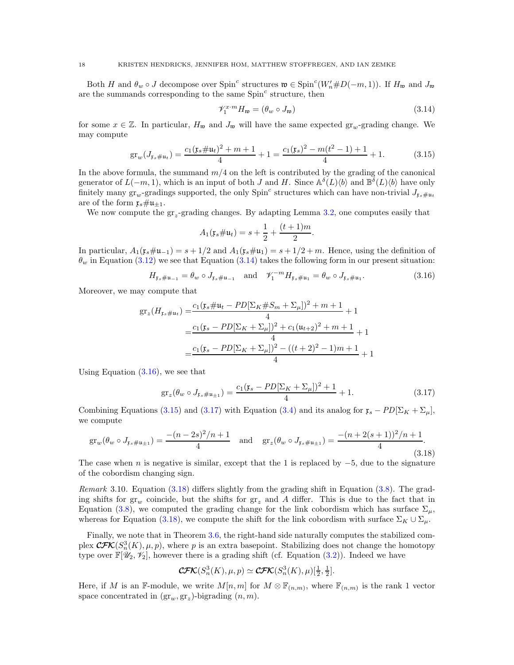Both H and  $\theta_w \circ J$  decompose over Spin<sup>c</sup> structures  $\mathfrak{w} \in \text{Spin}^c(W'_n \# D(-m,1))$ . If  $H_{\mathfrak{w}}$  and  $J_{\mathfrak{w}}$ are the summands corresponding to the same  $Spin<sup>c</sup>$  structure, then

<span id="page-17-0"></span>
$$
\mathcal{V}_1^{x \cdot m} H_{\mathfrak{w}} = (\theta_w \circ J_{\mathfrak{w}}) \tag{3.14}
$$

for some  $x \in \mathbb{Z}$ . In particular,  $H_w$  and  $J_w$  will have the same expected  $gr_w$ -grading change. We may compute

<span id="page-17-2"></span>
$$
\operatorname{gr}_{w}(J_{\mathfrak{x}_{s}}\# \mathfrak{u}_{t}) = \frac{c_{1}(\mathfrak{x}_{s}\# \mathfrak{u}_{t})^{2} + m + 1}{4} + 1 = \frac{c_{1}(\mathfrak{x}_{s})^{2} - m(t^{2} - 1) + 1}{4} + 1.
$$
 (3.15)

In the above formula, the summand  $m/4$  on the left is contributed by the grading of the canonical generator of  $L(-m, 1)$ , which is an input of both J and H. Since  $\mathbb{A}^{\delta}(L)\langle b \rangle$  and  $\mathbb{B}^{\delta}(L)\langle b \rangle$  have only finitely many  $gr_w$ -gradings supported, the only  $Spin^c$  structures which can have non-trivial  $J_{\mathfrak{x}_s\#u_t}$ are of the form  $\mathfrak{x}_s \# \mathfrak{u}_{\pm 1}$ .

We now compute the  $gr_{z}$ -grading changes. By adapting Lemma [3.2,](#page-12-0) one computes easily that

$$
A_1(\mathfrak{x}_s \# \mathfrak{u}_t) = s + \frac{1}{2} + \frac{(t+1)m}{2}.
$$

In particular,  $A_1(\mathfrak{x}_s \# \mathfrak{u}_{-1}) = s + 1/2$  and  $A_1(\mathfrak{x}_s \# \mathfrak{u}_1) = s + 1/2 + m$ . Hence, using the definition of  $\theta_w$  in Equation [\(3.12\)](#page-15-4) we see that Equation [\(3.14\)](#page-17-0) takes the following form in our present situation:

<span id="page-17-1"></span>
$$
H_{\mathfrak{x}_s \# \mathfrak{u}_{-1}} = \theta_w \circ J_{\mathfrak{x}_s \# \mathfrak{u}_{-1}} \quad \text{and} \quad \mathscr{V}_1^{-m} H_{\mathfrak{x}_s \# \mathfrak{u}_1} = \theta_w \circ J_{\mathfrak{x}_s \# \mathfrak{u}_1}.
$$
 (3.16)

Moreover, we may compute that

$$
gr_z(H_{r_s\#u_t}) = \frac{c_1(r_s\#u_t - PD[\Sigma_K\#S_m + \Sigma_\mu])^2 + m + 1}{4} + 1
$$
  
= 
$$
\frac{c_1(r_s - PD[\Sigma_K + \Sigma_\mu])^2 + c_1(u_{t+2})^2 + m + 1}{4} + 1
$$
  
= 
$$
\frac{c_1(r_s - PD[\Sigma_K + \Sigma_\mu])^2 - ((t+2)^2 - 1)m + 1}{4} + 1
$$

Using Equation  $(3.16)$ , we see that

<span id="page-17-3"></span>
$$
gr_z(\theta_w \circ J_{\mathfrak{x}_s \# \mathfrak{u}_{\pm 1}}) = \frac{c_1(\mathfrak{x}_s - PD[\Sigma_K + \Sigma_\mu])^2 + 1}{4} + 1.
$$
 (3.17)

Combining Equations [\(3.15\)](#page-17-2) and [\(3.17\)](#page-17-3) with Equation [\(3.4\)](#page-12-3) and its analog for  $\mathfrak{x}_s - PD[\Sigma_K + \Sigma_\mu]$ , we compute

<span id="page-17-4"></span>
$$
\operatorname{gr}_{w}(\theta_{w} \circ J_{\mathfrak{x}_{s} \# \mathfrak{u}_{\pm 1}}) = \frac{-(n-2s)^{2}/n+1}{4} \quad \text{and} \quad \operatorname{gr}_{z}(\theta_{w} \circ J_{\mathfrak{x}_{s} \# \mathfrak{u}_{\pm 1}}) = \frac{-(n+2(s+1))^{2}/n+1}{4}.
$$
\n(3.18)

The case when n is negative is similar, except that the 1 is replaced by  $-5$ , due to the signature of the cobordism changing sign.

Remark 3.10. Equation [\(3.18\)](#page-17-4) differs slightly from the grading shift in Equation [\(3.8\)](#page-14-2). The grading shifts for  $gr_w$  coincide, but the shifts for  $gr_z$  and A differ. This is due to the fact that in Equation [\(3.8\)](#page-14-2), we computed the grading change for the link cobordism which has surface  $\Sigma_{\mu}$ , whereas for Equation [\(3.18\)](#page-17-4), we compute the shift for the link cobordism with surface  $\Sigma_K \cup \Sigma_\mu$ .

Finally, we note that in Theorem [3.6,](#page-14-0) the right-hand side naturally computes the stabilized complex  $\mathbf{CFK}(S_n^3(K), \mu, p)$ , where p is an extra basepoint. Stabilizing does not change the homotopy type over  $\mathbb{F}[\mathscr{U}_2, \mathscr{V}_2]$ , however there is a grading shift (cf. Equation [\(3.2\)](#page-12-4)). Indeed we have

$$
\mathbf{CFK}(S_n^3(K), \mu, p) \simeq \mathbf{CFK}(S_n^3(K), \mu)[\frac{1}{2}, \frac{1}{2}].
$$

Here, if M is an F-module, we write  $M[n,m]$  for  $M \otimes \mathbb{F}_{(n,m)}$ , where  $\mathbb{F}_{(n,m)}$  is the rank 1 vector space concentrated in  $(\text{gr}_w, \text{gr}_z)$ -bigrading  $(n, m)$ .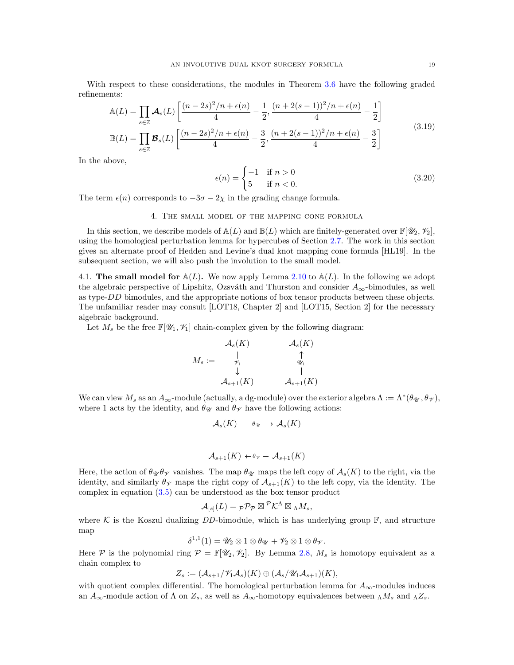With respect to these considerations, the modules in Theorem [3.6](#page-14-0) have the following graded refinements:

$$
\mathbb{A}(L) = \prod_{s \in \mathbb{Z}} \mathcal{A}_s(L) \left[ \frac{(n-2s)^2/n + \epsilon(n)}{4} - \frac{1}{2}, \frac{(n+2(s-1))^2/n + \epsilon(n)}{4} - \frac{1}{2} \right]
$$
\n
$$
\mathbb{B}(L) = \prod_{s \in \mathbb{Z}} \mathcal{B}_s(L) \left[ \frac{(n-2s)^2/n + \epsilon(n)}{4} - \frac{3}{2}, \frac{(n+2(s-1))^2/n + \epsilon(n)}{4} - \frac{3}{2} \right]
$$
\n(3.19)

<span id="page-18-2"></span>In the above,

$$
\epsilon(n) = \begin{cases} -1 & \text{if } n > 0 \\ 5 & \text{if } n < 0. \end{cases} \tag{3.20}
$$

<span id="page-18-0"></span>The term  $\epsilon(n)$  corresponds to  $-3\sigma - 2\chi$  in the grading change formula.

### 4. The small model of the mapping cone formula

In this section, we describe models of  $\mathbb{A}(L)$  and  $\mathbb{B}(L)$  which are finitely-generated over  $\mathbb{F}[\mathscr{U}_2, \mathscr{V}_2]$ , using the homological perturbation lemma for hypercubes of Section [2.7.](#page-7-1) The work in this section gives an alternate proof of Hedden and Levine's dual knot mapping cone formula [\[HL19\]](#page-45-6). In the subsequent section, we will also push the involution to the small model.

<span id="page-18-1"></span>4.1. The small model for  $\mathbb{A}(L)$ . We now apply Lemma [2.10](#page-7-3) to  $\mathbb{A}(L)$ . In the following we adopt the algebraic perspective of Lipshitz, Ozsváth and Thurston and consider  $A_{\infty}$ -bimodules, as well as type-DD bimodules, and the appropriate notions of box tensor products between these objects. The unfamiliar reader may consult [\[LOT18,](#page-45-21) Chapter 2] and [\[LOT15,](#page-45-30) Section 2] for the necessary algebraic background.

Let  $M_s$  be the free  $\mathbb{F}[\mathscr{U}_1, \mathscr{V}_1]$  chain-complex given by the following diagram:

$$
M_s := \begin{array}{cc} \mathcal{A}_s(K) & \mathcal{A}_s(K) \\ \downarrow & \uparrow & \\ \downarrow & \downarrow & \\ \mathcal{A}_{s+1}(K) & \mathcal{A}_{s+1}(K) \end{array}
$$

We can view  $M_s$  as an  $A_\infty$ -module (actually, a dg-module) over the exterior algebra  $\Lambda := \Lambda^*(\theta_{\mathscr{U}}, \theta_{\mathscr{V}})$ , where 1 acts by the identity, and  $\theta_{\mathcal{U}}$  and  $\theta_{\mathcal{V}}$  have the following actions:

$$
\mathcal{A}_s(K) \longrightarrow \theta_{\mathcal{U}} \longrightarrow \mathcal{A}_s(K)
$$

$$
\mathcal{A}_{s+1}(K) \leftarrow \theta_{\mathscr{V}} - \mathcal{A}_{s+1}(K)
$$

Here, the action of  $\theta_{\mathcal{U}}\theta_{\mathcal{V}}$  vanishes. The map  $\theta_{\mathcal{U}}$  maps the left copy of  $\mathcal{A}_{s}(K)$  to the right, via the identity, and similarly  $\theta_{\mathcal{V}}$  maps the right copy of  $\mathcal{A}_{s+1}(K)$  to the left copy, via the identity. The complex in equation  $(3.5)$  can be understood as the box tensor product

$$
\mathcal{A}_{[s]}(L) = \mathcal{P} \mathcal{P} \mathcal{P} \boxtimes^{\mathcal{P}} \mathcal{K}^{\Lambda} \boxtimes_{\Lambda} M_s,
$$

where K is the Koszul dualizing DD-bimodule, which is has underlying group  $\mathbb{F}$ , and structure map

$$
\delta^{1,1}(1) = \mathscr{U}_2 \otimes 1 \otimes \theta_{\mathscr{U}} + \mathscr{V}_2 \otimes 1 \otimes \theta_{\mathscr{V}}.
$$

Here P is the polynomial ring  $P = \mathbb{F}[\mathscr{U}_2, \mathscr{V}_2]$ . By Lemma [2.8,](#page-6-1)  $M_s$  is homotopy equivalent as a chain complex to

$$
Z_s := (\mathcal{A}_{s+1}/\mathscr{V}_1\mathcal{A}_s)(K) \oplus (\mathcal{A}_s/\mathscr{U}_1\mathcal{A}_{s+1})(K),
$$

with quotient complex differential. The homological perturbation lemma for  $A_{\infty}$ -modules induces an  $A_{\infty}$ -module action of  $\Lambda$  on  $Z_s$ , as well as  $A_{\infty}$ -homotopy equivalences between  $_{\Lambda}M_s$  and  $_{\Lambda}Z_s$ .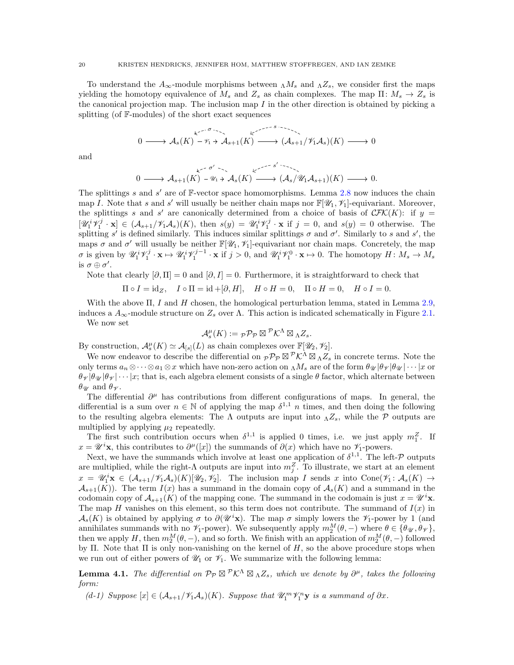To understand the  $A_{\infty}$ -module morphisms between  $_{\Lambda}M_s$  and  $_{\Lambda}Z_s$ , we consider first the maps yielding the homotopy equivalence of  $M_s$  and  $Z_s$  as chain complexes. The map  $\Pi: M_s \to Z_s$  is the canonical projection map. The inclusion map  $I$  in the other direction is obtained by picking a splitting (of F-modules) of the short exact sequences

$$
0 \longrightarrow {\mathcal A}_{s}(K) \stackrel{k^{s-s-1}}{\longrightarrow} {\mathcal A}_{s+1}(K) \stackrel{k^{s-s-1}}{\longrightarrow} ({\mathcal A}_{s+1}/{\mathscr V_1 \mathcal A}_s)(K) \longrightarrow 0
$$

and

$$
0 \longrightarrow \mathcal{A}_{s+1}(K) \xrightarrow{\iota^{c}} \mathcal{A}_{s}(K) \xrightarrow{\iota^{c}} \mathcal{A}_{s}(K) \longrightarrow (\mathcal{A}_{s}/\mathcal{U}_{1}\mathcal{A}_{s+1})(K) \longrightarrow 0.
$$

The splittings s and  $s'$  are of  $\mathbb{F}\text{-vector space homomorphisms}$ . Lemma [2.8](#page-6-1) now induces the chain map I. Note that s and s' will usually be neither chain maps nor  $\mathbb{F}[\mathscr{U}_1, \mathscr{V}_1]$ -equivariant. Moreover, the splittings s and s' are canonically determined from a choice of basis of  $\mathcal{CFK}(K)$ : if  $y =$  $[\mathscr{U}_1^i \mathscr{V}_1^j \cdot \mathbf{x}] \in (\mathcal{A}_{s+1}/\mathscr{V}_1 \mathcal{A}_s)(K)$ , then  $s(y) = \mathscr{U}_1^i \mathscr{V}_1^j \cdot \mathbf{x}$  if  $j = 0$ , and  $s(y) = 0$  otherwise. The splitting s' is defined similarly. This induces similar splittings  $\sigma$  and  $\sigma'$ . Similarly to s and s', the maps  $\sigma$  and  $\sigma'$  will usually be neither  $\mathbb{F}[\mathscr{U}_1, \mathscr{V}_1]$ -equivariant nor chain maps. Concretely, the map  $\sigma$  is given by  $\mathscr{U}_1^i \mathscr{V}_1^j \cdot \mathbf{x} \mapsto \mathscr{U}_1^i \mathscr{V}_1^{j-1} \cdot \mathbf{x}$  if  $j > 0$ , and  $\mathscr{U}_1^i \mathscr{V}_1^0 \cdot \mathbf{x} \mapsto 0$ . The homotopy  $H: M_s \to M_s$ is  $\sigma \oplus \sigma'$ .

Note that clearly  $[\partial, \Pi] = 0$  and  $[\partial, I] = 0$ . Furthermore, it is straightforward to check that

 $\Pi \circ I = id_Z$ ,  $I \circ \Pi = id + [\partial, H]$ ,  $H \circ H = 0$ ,  $\Pi \circ H = 0$ ,  $H \circ I = 0$ .

With the above  $\Pi$ , I and H chosen, the homological perturbation lemma, stated in Lemma [2.9,](#page-7-4) induces a  $A_{\infty}$ -module structure on  $Z_s$  over  $\Lambda$ . This action is indicated schematically in Figure [2.1.](#page-8-0)

We now set

$$
\mathcal{A}_{s}^{\mu}(K) :=_{\mathcal{P}} \mathcal{P}_{\mathcal{P}} \boxtimes^{\mathcal{P}} \mathcal{K}^{\Lambda} \boxtimes_{\Lambda} Z_{s}.
$$

By construction,  $\mathcal{A}_{s}^{\mu}(K) \simeq \mathcal{A}_{[s]}(L)$  as chain complexes over  $\mathbb{F}[\mathscr{U}_2, \mathscr{V}_2]$ .

We now endeavor to describe the differential on  ${}_{\mathcal{P}}\mathcal{P}_{\mathcal{P}}\boxtimes^{\mathcal{P}}\mathcal{K}^{\Lambda}\boxtimes_{\Lambda}Z_s$  in concrete terms. Note the only terms  $a_n \otimes \cdots \otimes a_1 \otimes x$  which have non-zero action on  $\Lambda M_s$  are of the form  $\theta_{\mathcal{U}}|\theta_{\mathcal{V}}|\theta_{\mathcal{U}}|\cdots|x$  or  $\theta_{\mathcal{V}}|\theta_{\mathcal{V}}|\theta_{\mathcal{V}}|\cdots|x;$  that is, each algebra element consists of a single  $\theta$  factor, which alternate between  $\theta_{\mathscr{U}}$  and  $\theta_{\mathscr{V}}$ .

The differential  $\partial^{\mu}$  has contributions from different configurations of maps. In general, the differential is a sum over  $n \in \mathbb{N}$  of applying the map  $\delta^{1,1}$  n times, and then doing the following to the resulting algebra elements: The  $\Lambda$  outputs are input into  $\Lambda Z_s$ , while the P outputs are multiplied by applying  $\mu_2$  repeatedly.

The first such contribution occurs when  $\delta^{1,1}$  is applied 0 times, i.e. we just apply  $m_1^Z$ . If  $x = \mathscr{U}^i$ **x**, this contributes to  $\partial^{\mu}([x])$  the summands of  $\partial(x)$  which have no  $\mathscr{V}_1$ -powers.

Next, we have the summands which involve at least one application of  $\delta^{1,1}$ . The left-P outputs are multiplied, while the right- $\Lambda$  outputs are input into  $m_j^Z$ . To illustrate, we start at an element  $x = \mathscr{U}_1^i$ **x**  $\in (\mathcal{A}_{s+1}/\mathscr{V}_1\mathcal{A}_s)(K)[\mathscr{U}_2, \mathscr{V}_2]$ . The inclusion map I sends x into Cone $(\mathscr{V}_1: \mathcal{A}_s(K) \to$  $\mathcal{A}_{s+1}(K)$ . The term  $I(x)$  has a summand in the domain copy of  $\mathcal{A}_{s}(K)$  and a summand in the codomain copy of  $\mathcal{A}_{s+1}(K)$  of the mapping cone. The summand in the codomain is just  $x = \mathscr{U}^i$ **x**. The map H vanishes on this element, so this term does not contribute. The summand of  $I(x)$  in  $\mathcal{A}_s(K)$  is obtained by applying  $\sigma$  to  $\partial(\mathscr{U}^i\mathbf{x})$ . The map  $\sigma$  simply lowers the  $\mathscr{V}_1$ -power by 1 (and annihilates summands with no  $\mathscr{V}_1$ -power). We subsequently apply  $m_2^M(\theta, -)$  where  $\theta \in {\theta_{\mathscr{U}}}, \theta_{\mathscr{V}}$ , then we apply H, then  $m_2^M(\theta, -)$ , and so forth. We finish with an application of  $m_2^M(\theta, -)$  followed by Π. Note that  $\Pi$  is only non-vanishing on the kernel of  $H$ , so the above procedure stops when we run out of either powers of  $\mathcal{U}_1$  or  $\mathcal{V}_1$ . We summarize with the following lemma:

<span id="page-19-0"></span>**Lemma 4.1.** The differential on  $\mathcal{P}_{\mathcal{P}} \boxtimes \mathcal{P}_{\mathcal{K}}^{\Lambda} \boxtimes_{\Lambda} Z_s$ , which we denote by  $\partial^{\mu}$ , takes the following form:

<span id="page-19-1"></span>(d-1) Suppose  $[x] \in (\mathcal{A}_{s+1}/\mathcal{V}_1\mathcal{A}_s)(K)$ . Suppose that  $\mathcal{U}_1^m \mathcal{V}_1^n$ **y** is a summand of  $\partial x$ .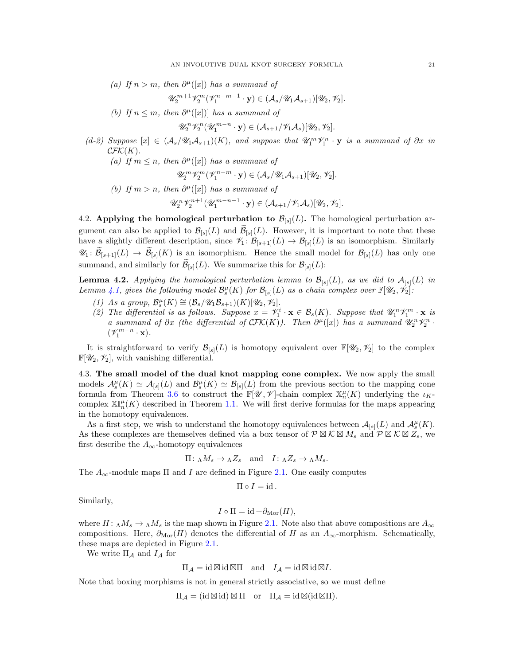(a) If  $n > m$ , then  $\partial^{\mu}([x])$  has a summand of

$$
\mathscr{U}_2^{m+1}\mathscr{V}_2^m(\mathscr{V}_1^{n-m-1}\cdot\mathbf{y})\in(\mathcal{A}_s/\mathscr{U}_1\mathcal{A}_{s+1})[\mathscr{U}_2,\mathscr{V}_2].
$$

(b) If  $n \leq m$ , then  $\partial^{\mu}([x])$  has a summand of

$$
\mathscr{U}_2^n \mathscr{V}_2^n(\mathscr{U}_1^{m-n} \cdot \mathbf{y}) \in (\mathcal{A}_{s+1}/\mathscr{V}_1\mathcal{A}_s)[\mathscr{U}_2, \mathscr{V}_2].
$$

<span id="page-20-2"></span>(d-2) Suppose  $[x] \in (\mathcal{A}_s/\mathcal{U}_1\mathcal{A}_{s+1})(K)$ , and suppose that  $\mathcal{U}_1^m\mathcal{V}_1^n \cdot y$  is a summand of  $\partial x$  in  $\mathcal{CFK}(K).$  $sum \space and \space of$ 

\n- (a) If 
$$
m \leq n
$$
, then  $\partial^{\mu}([x])$  has a summand of  $\mathcal{U}_2^m \mathcal{V}_2^m (\mathcal{V}_1^{n-m} \cdot \mathbf{y}) \in (\mathcal{A}_s / \mathcal{U}_1 \mathcal{A}_{s+1})[\mathcal{U}_2, \mathcal{V}_2].$
\n- (b) If  $m > n$ , then  $\partial^{\mu}([x])$  has a summand of  $\mathcal{U}_1^n \mathcal{U}_2^{n+1} (\mathcal{U}_2^{m-n-1}, \mathbf{y}) \in (\mathcal{A}_{s+1} / \mathcal{U}_s \mathcal{A}_s)^{[g]} \mathcal{U}_s \mathcal{U}_s$
\n

$$
\mathscr{U}_2^{n} \mathscr{V}_2^{n+1} (\mathscr{U}_1^{m-n-1} \cdot \mathbf{y}) \in (\mathcal{A}_{s+1}/\mathscr{V}_1 \mathcal{A}_s)[\mathscr{U}_2, \mathscr{V}_2].
$$

<span id="page-20-0"></span>4.2. Applying the homological perturbation to  $\mathcal{B}_{[s]}(L)$ . The homological perturbation argument can also be applied to  $\mathcal{B}_{[s]}(L)$  and  $\mathcal{B}_{[s]}(L)$ . However, it is important to note that these have a slightly different description, since  $\mathscr{V}_1 : \mathcal{B}_{[s+1]}(L) \to \mathcal{B}_{[s]}(L)$  is an isomorphism. Similarly  $\mathscr{U}_1: \widetilde{\mathcal{B}}_{[s+1]}(L) \to \widetilde{\mathcal{B}}_{[s]}(K)$  is an isomorphism. Hence the small model for  $\mathcal{B}_{[s]}(L)$  has only one summand, and similarly for  $\mathcal{B}_{[s]}(L)$ . We summarize this for  $\mathcal{B}_{[s]}(L)$ :

<span id="page-20-3"></span>**Lemma 4.2.** Applying the homological perturbation lemma to  $\mathcal{B}_{[s]}(L)$ , as we did to  $\mathcal{A}_{[s]}(L)$  in Lemma [4.1,](#page-19-0) gives the following model  $\mathcal{B}_s^{\mu}(K)$  for  $\mathcal{B}_{[s]}(L)$  as a chain complex over  $\mathbb{F}[\mathscr{U}_2, \mathscr{V}_2]$ :

- (1) As a group,  $\mathcal{B}_s^{\mu}(K) \cong (\mathcal{B}_s/\mathscr{U}_1\mathcal{B}_{s+1})(K)[\mathscr{U}_2,\mathscr{V}_2].$
- (2) The differential is as follows. Suppose  $x = \mathcal{V}_1^i \cdot \mathbf{x} \in \mathcal{B}_s(K)$ . Suppose that  $\mathcal{U}_1^n \mathcal{V}_1^m \cdot \mathbf{x}$  is a summand of  $\partial x$  (the differential of  $\mathcal{CFK}(K)$ ). Then  $\partial^{\mu}([x])$  has a summand  $\mathscr{U}_2^n\mathscr{V}_2^n$ .  $(\mathscr{V}_1^{m-n} \cdot \mathbf{x}).$

It is straightforward to verify  $\mathcal{B}_{[s]}(L)$  is homotopy equivalent over  $\mathbb{F}[U_2, V_2]$  to the complex  $\mathbb{F}[\mathscr{U}_2, \mathscr{V}_2]$ , with vanishing differential.

<span id="page-20-1"></span>4.3. The small model of the dual knot mapping cone complex. We now apply the small models  $\mathcal{A}_{s}^{\mu}(K) \simeq \mathcal{A}_{[s]}(L)$  and  $\mathcal{B}_{s}^{\mu}(K) \simeq \mathcal{B}_{[s]}(L)$  from the previous section to the mapping cone formula from Theorem [3.6](#page-14-0) to construct the  $\mathbb{F}[\mathscr{U},\mathscr{V}]$ -chain complex  $\mathbb{X}_n^{\mu}(K)$  underlying the  $\iota_K$ complex  $\mathbb{X}^{\mu}_{n}(K)$  described in Theorem [1.1.](#page-2-1) We will first derive formulas for the maps appearing in the homotopy equivalences.

As a first step, we wish to understand the homotopy equivalences between  $\mathcal{A}_{[s]}(L)$  and  $\mathcal{A}_{s}^{\mu}(K)$ . As these complexes are themselves defined via a box tensor of  $\mathcal{P}\boxtimes\mathcal{K}\boxtimes M_s$  and  $\mathcal{P}\boxtimes\mathcal{K}\boxtimes Z_s$ , we first describe the  $A_{\infty}$ -homotopy equivalences

$$
\Pi: \Lambda M_s \to \Lambda Z_s
$$
 and  $I: \Lambda Z_s \to \Lambda M_s$ .

The  $A_{\infty}$ -module maps  $\Pi$  and I are defined in Figure [2.1.](#page-8-0) One easily computes

$$
\Pi \circ I = \mathrm{id} \, .
$$

Similarly,

$$
I \circ \Pi = \mathrm{id} + \partial_{\mathrm{Mor}}(H),
$$

where  $H: \Lambda M_s \to \Lambda M_s$  is the map shown in Figure [2.1.](#page-8-0) Note also that above compositions are  $A_\infty$ compositions. Here,  $\partial_{\text{Mor}}(H)$  denotes the differential of H as an  $A_{\infty}$ -morphism. Schematically, these maps are depicted in Figure [2.1.](#page-8-0)

We write  $\Pi_A$  and  $I_A$  for

$$
\Pi_{\mathcal{A}} = \mathrm{id} \boxtimes \mathrm{id} \boxtimes \Pi \quad \text{and} \quad I_{\mathcal{A}} = \mathrm{id} \boxtimes \mathrm{id} \boxtimes I.
$$

Note that boxing morphisms is not in general strictly associative, so we must define

 $\Pi_{\mathcal{A}} = (\mathrm{id} \boxtimes \mathrm{id}) \boxtimes \Pi$  or  $\Pi_{\mathcal{A}} = \mathrm{id} \boxtimes (\mathrm{id} \boxtimes \Pi)$ .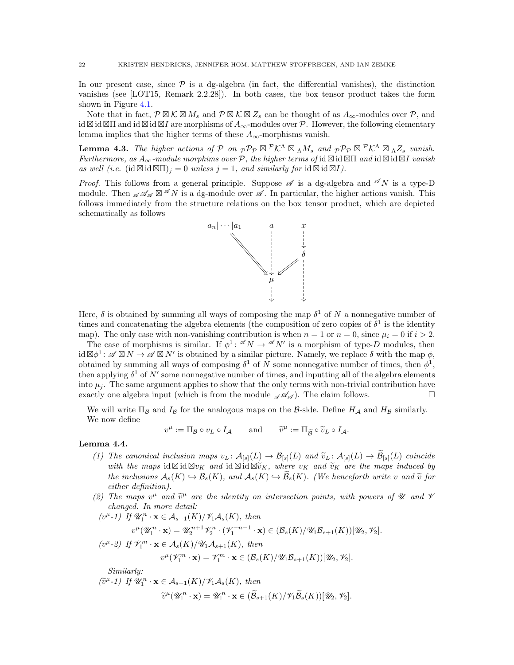In our present case, since  $P$  is a dg-algebra (in fact, the differential vanishes), the distinction vanishes (see [\[LOT15,](#page-45-30) Remark 2.2.28]). In both cases, the box tensor product takes the form shown in Figure [4.1.](#page-22-0)

Note that in fact,  $\mathcal{P} \boxtimes \mathcal{K} \boxtimes M_s$  and  $\mathcal{P} \boxtimes \mathcal{K} \boxtimes Z_s$  can be thought of as  $A_\infty$ -modules over  $\mathcal{P}$ , and id ⊠ id ⊠II and id ⊠ id ⊠I are morphisms of  $A_{\infty}$ -modules over  $P$ . However, the following elementary lemma implies that the higher terms of these  $A_{\infty}$ -morphisms vanish.

**Lemma 4.3.** The higher actions of P on  ${}_{\mathcal{P}}\mathcal{P}_{\mathcal{P}} \boxtimes^{\mathcal{P}}\mathcal{K}^{\Lambda} \boxtimes_{\Lambda} M_s$  and  ${}_{\mathcal{P}}\mathcal{P}_{\mathcal{P}} \boxtimes^{\mathcal{P}}\mathcal{K}^{\Lambda} \boxtimes_{\Lambda} Z_s$  vanish. Furthermore, as  $A_{\infty}$ -module morphims over P, the higher terms of id  $\boxtimes$  id  $\boxtimes$  md id  $\boxtimes$  id  $\boxtimes$  vanish as well (i.e.  $(id \boxtimes id \boxtimes \Pi)_i = 0$  unless  $j = 1$ , and similarly for  $id \boxtimes id \boxtimes I$ ).

*Proof.* This follows from a general principle. Suppose  $\mathscr A$  is a dg-algebra and  $\mathscr A N$  is a type-D module. Then  $\mathscr{A} \mathscr{A}_{\mathscr{A}} \boxtimes \mathscr{A} N$  is a dg-module over  $\mathscr{A}$ . In particular, the higher actions vanish. This follows immediately from the structure relations on the box tensor product, which are depicted schematically as follows



Here,  $\delta$  is obtained by summing all ways of composing the map  $\delta^1$  of N a nonnegative number of times and concatenating the algebra elements (the composition of zero copies of  $\delta^1$  is the identity map). The only case with non-vanishing contribution is when  $n = 1$  or  $n = 0$ , since  $\mu_i = 0$  if  $i > 2$ .

The case of morphisms is similar. If  $\phi^1$ :  $\mathscr{A} N \to \mathscr{A} N'$  is a morphism of type-D modules, then  $\mathrm{id}\boxtimes\phi^1$ :  $\mathscr{A}\boxtimes N \to \mathscr{A}\boxtimes N'$  is obtained by a similar picture. Namely, we replace  $\delta$  with the map  $\phi$ , obtained by summing all ways of composing  $\delta^1$  of N some nonnegative number of times, then  $\phi^1$ , then applying  $\delta^1$  of N' some nonnegative number of times, and inputting all of the algebra elements into  $\mu_i$ . The same argument applies to show that the only terms with non-trivial contribution have exactly one algebra input (which is from the module  $\mathscr{A} \mathscr{A}_{\mathscr{A}}$ ). The claim follows.

We will write  $\Pi_B$  and  $I_B$  for the analogous maps on the B-side. Define  $H_A$  and  $H_B$  similarly. We now define

$$
v^{\mu} := \Pi_{\mathcal{B}} \circ v_L \circ I_{\mathcal{A}} \quad \text{and} \quad \widetilde{v}^{\mu} := \Pi_{\widetilde{\mathcal{B}}} \circ \widetilde{v}_L \circ I_{\mathcal{A}}.
$$

#### <span id="page-21-0"></span>Lemma 4.4.

- (1) The canonical inclusion maps  $v_L : \mathcal{A}_{[s]}(L) \to \mathcal{B}_{[s]}(L)$  and  $\widetilde{v}_L : \mathcal{A}_{[s]}(L) \to \mathcal{B}_{[s]}(L)$  coincide with the maps id  $\boxtimes$  id  $\boxtimes v_K$  and id  $\boxtimes$  id  $\boxtimes \widetilde{v}_K$ , where  $v_K$  and  $\widetilde{v}_K$  are the maps induced by the inclusions  $A_s(K) \hookrightarrow \mathcal{B}_s(K)$ , and  $A_s(K) \hookrightarrow \mathcal{B}_s(K)$ . (We henceforth write v and  $\tilde{v}$  for either definition).
- (2) The maps  $v^{\mu}$  and  $\tilde{v}^{\mu}$  are the identity on intersection points, with powers of U and V changed. In more detail:

$$
(v^{\mu} - 1) \quad \text{If } \mathscr{U}_1^n \cdot \mathbf{x} \in \mathcal{A}_{s+1}(K) / \mathscr{V}_1 \mathcal{A}_s(K), \text{ then}
$$
\n
$$
v^{\mu}(\mathscr{U}_1^n \cdot \mathbf{x}) = \mathscr{U}_2^{n+1} \mathscr{V}_2^n \cdot (\mathscr{V}_1^{-n-1} \cdot \mathbf{x}) \in (\mathcal{B}_s(K) / \mathscr{U}_1 \mathcal{B}_{s+1}(K))[\mathscr{U}_2, \mathscr{V}_2].
$$
\n
$$
(v^{\mu} - 2) \quad \text{If } \mathscr{V}_1^m \cdot \mathbf{x} \in \mathcal{A}_s(K) / \mathscr{U}_1 \mathcal{A}_{s+1}(K), \text{ then}
$$
\n
$$
v^{\mu}(\mathscr{V}_1^m \cdot \mathbf{x}) = \mathscr{V}_1^m \cdot \mathbf{x} \in (\mathcal{B}_s(K) / \mathscr{U}_1 \mathcal{B}_{s+1}(K))[\mathscr{U}_2, \mathscr{V}_2].
$$
\nSimilarly:\n
$$
\lim_{\delta \to 0} \lim_{t \to \infty} \mathscr{U}_1^n \quad \text{if } \mathscr{U}_1^n \quad \text{if } \mathscr{U}_2^n \quad \text{if } \mathscr{U}_1 \in \mathcal{A}_s(K) \text{ then}
$$

 $(\widetilde{v}^{\mu} - 1)$  If  $\mathscr{U}_1^n \cdot \mathbf{x} \in \mathcal{A}_{s+1}(K)/\mathscr{V}_1\mathscr{A}_s(K)$ , then  $\widetilde{v}^{\mu}(\mathscr{U}_1^n \cdot \mathbf{x}) = \mathscr{U}_1^n \cdot \mathbf{x} \in (\widetilde{\mathcal{B}}_{s+1}(K)/\mathscr{V}_1 \widetilde{\mathcal{B}}_s(K))[\mathscr{U}_2, \mathscr{V}_2].$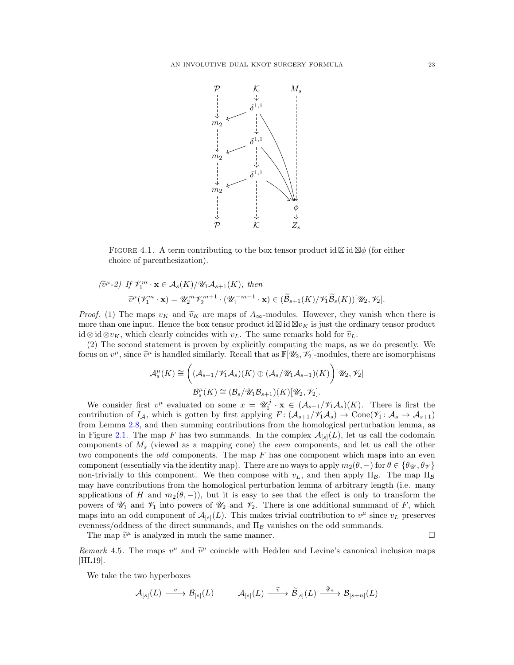<span id="page-22-0"></span>

FIGURE 4.1. A term contributing to the box tensor product id  $\boxtimes$  id  $\boxtimes \phi$  (for either choice of parenthesization).

$$
\begin{aligned} \n\widetilde{\mathbf{v}}^{\mu} \text{-} \mathbf{z} \text{)} \n\quad & \text{If } \mathscr{V}_{1}^{m} \cdot \mathbf{x} \in \mathcal{A}_{s}(K) / \mathscr{U}_{1} \mathcal{A}_{s+1}(K), \text{ then} \\ \n\widetilde{\mathbf{v}}^{\mu}(\mathscr{V}_{1}^{m} \cdot \mathbf{x}) &= \mathscr{U}_{2}^{m} \mathscr{V}_{2}^{m+1} \cdot (\mathscr{U}_{1}^{-m-1} \cdot \mathbf{x}) \in (\widetilde{\mathcal{B}}_{s+1}(K) / \mathscr{V}_{1} \widetilde{\mathcal{B}}_{s}(K))[\mathscr{U}_{2}, \mathscr{V}_{2}]. \n\end{aligned}
$$

*Proof.* (1) The maps  $v_K$  and  $\tilde{v}_K$  are maps of  $A_\infty$ -modules. However, they vanish when there is more than one input. Hence the box tensor product id  $\boxtimes$  id  $\boxtimes v_K$  is just the ordinary tensor product id ⊗ id ⊗v<sub>K</sub>, which clearly coincides with  $v<sub>L</sub>$ . The same remarks hold for  $\tilde{v}_L$ .

(2) The second statement is proven by explicitly computing the maps, as we do presently. We focus on  $v^{\mu}$ , since  $\tilde{v}^{\mu}$  is handled similarly. Recall that as  $\mathbb{F}[\mathscr{U}_2, \mathscr{V}_2]$ -modules, there are isomorphisms

$$
\mathcal{A}_{s}^{\mu}(K) \cong \left( (\mathcal{A}_{s+1}/\mathscr{V}_{1}\mathcal{A}_{s})(K) \oplus (\mathcal{A}_{s}/\mathscr{U}_{1}\mathcal{A}_{s+1})(K) \right) [\mathscr{U}_{2}, \mathscr{V}_{2}]
$$

$$
\mathcal{B}_{s}^{\mu}(K) \cong (\mathcal{B}_{s}/\mathscr{U}_{1}\mathcal{B}_{s+1})(K)[\mathscr{U}_{2}, \mathscr{V}_{2}].
$$

We consider first  $v^{\mu}$  evaluated on some  $x = \mathscr{U}_1^j \cdot \mathbf{x} \in (\mathcal{A}_{s+1}/\mathscr{V}_1\mathcal{A}_s)(K)$ . There is first the contribution of  $I_A$ , which is gotten by first applying  $F: (\mathcal{A}_{s+1}/\mathcal{V}_1\mathcal{A}_s) \to \text{Cone}(\mathcal{V}_1: \mathcal{A}_s \to \mathcal{A}_{s+1})$ from Lemma [2.8,](#page-6-1) and then summing contributions from the homological perturbation lemma, as in Figure [2.1.](#page-8-0) The map F has two summands. In the complex  $\mathcal{A}_{[s]}(L)$ , let us call the codomain components of  $M_s$  (viewed as a mapping cone) the *even* components, and let us call the other two components the *odd* components. The map  $F$  has one component which maps into an even component (essentially via the identity map). There are no ways to apply  $m_2(\theta, -)$  for  $\theta \in {\theta_{\mathscr{U}}}, {\theta_{\mathscr{V}}}\}$ non-trivially to this component. We then compose with  $v<sub>L</sub>$ , and then apply  $\Pi_{\mathcal{B}}$ . The map  $\Pi_{\mathcal{B}}$ may have contributions from the homological perturbation lemma of arbitrary length (i.e. many applications of H and  $m_2(\theta, -)$ , but it is easy to see that the effect is only to transform the powers of  $\mathcal{U}_1$  and  $\mathcal{V}_1$  into powers of  $\mathcal{U}_2$  and  $\mathcal{V}_2$ . There is one additional summand of F, which maps into an odd component of  $\mathcal{A}_{[s]}(L)$ . This makes trivial contribution to  $v^{\mu}$  since  $v_L$  preserves evenness/oddness of the direct summands, and  $\Pi_B$  vanishes on the odd summands.

The map  $\tilde{v}^{\mu}$  is analyzed in much the same manner.

Remark 4.5. The maps  $v^{\mu}$  and  $\tilde{v}^{\mu}$  coincide with Hedden and Levine's canonical inclusion maps [\[HL19\]](#page-45-6).

We take the two hyperboxes

$$
\mathcal{A}_{[s]}(L) \stackrel{v}{\longrightarrow} \mathcal{B}_{[s]}(L) \qquad \mathcal{A}_{[s]}(L) \stackrel{\widetilde{v}}{\longrightarrow} \widetilde{\mathcal{B}}_{[s]}(L) \stackrel{\mathfrak{F}_n}{\longrightarrow} \mathcal{B}_{[s+n]}(L)
$$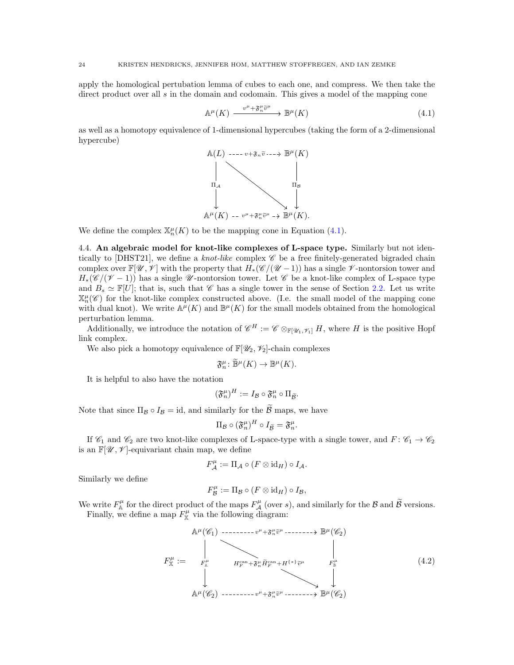apply the homological pertubation lemma of cubes to each one, and compress. We then take the direct product over all  $s$  in the domain and codomain. This gives a model of the mapping cone

<span id="page-23-1"></span>
$$
\mathbb{A}^{\mu}(K) \xrightarrow{v^{\mu} + \mathfrak{F}_{n}^{\mu} \widetilde{v}^{\mu}} \mathbb{B}^{\mu}(K) \tag{4.1}
$$

as well as a homotopy equivalence of 1-dimensional hypercubes (taking the form of a 2-dimensional hypercube)



<span id="page-23-0"></span>We define the complex  $\mathbb{X}_n^{\mu}(K)$  to be the mapping cone in Equation [\(4.1\)](#page-23-1).

4.4. An algebraic model for knot-like complexes of L-space type. Similarly but not iden-tically to [\[DHST21\]](#page-45-11), we define a knot-like complex  $\mathscr C$  be a free finitely-generated bigraded chain complex over  $\mathbb{F}[\mathscr{U}, \mathscr{V}]$  with the property that  $H_*(\mathscr{C}/(\mathscr{U}-1))$  has a single  $\mathscr{V}$ -nontorsion tower and  $H_*(\mathscr{C}/(\mathscr{V}-1))$  has a single  $\mathscr{U}$ -nontorsion tower. Let  $\mathscr{C}$  be a knot-like complex of L-space type and  $B_s \simeq \mathbb{F}[U]$ ; that is, such that  $\mathscr{C}$  has a single tower in the sense of Section [2.2.](#page-4-0) Let us write  $\mathbb{X}_{n}^{\mu}(\mathscr{C})$  for the knot-like complex constructed above. (I.e. the small model of the mapping cone with dual knot). We write  $\mathbb{A}^{\mu}(K)$  and  $\mathbb{B}^{\mu}(K)$  for the small models obtained from the homological perturbation lemma.

Additionally, we introduce the notation of  $\mathscr{C}^H := \mathscr{C} \otimes_{\mathbb{F}[\mathscr{U}_1,\mathscr{V}_1]} H$ , where H is the positive Hopf link complex.

We also pick a homotopy equivalence of  $\mathbb{F}[\mathscr{U}_2, \mathscr{V}_2]$ -chain complexes

$$
\mathfrak{F}_{n}^{\mu} \colon \widetilde{\mathbb{B}}^{\mu}(K) \to \mathbb{B}^{\mu}(K).
$$

It is helpful to also have the notation

$$
(\mathfrak{F}_{n}^{\mu})^{H}:=I_{\mathcal{B}}\circ\mathfrak{F}_{n}^{\mu}\circ\Pi_{\widetilde{\mathcal{B}}}.
$$

Note that since  $\Pi_{\mathcal{B}} \circ I_{\mathcal{B}} = id$ , and similarly for the  $\widetilde{\mathcal{B}}$  maps, we have

$$
\Pi_{\mathcal{B}} \circ (\mathfrak{F}_{n}^{\mu})^{H} \circ I_{\widetilde{\mathcal{B}}} = \mathfrak{F}_{n}^{\mu}.
$$

If  $\mathcal{C}_1$  and  $\mathcal{C}_2$  are two knot-like complexes of L-space-type with a single tower, and  $F: \mathcal{C}_1 \to \mathcal{C}_2$ is an  $\mathbb{F}[\mathscr{U}, \mathscr{V}]$ -equivariant chain map, we define

$$
F_{\mathcal{A}}^{\mu} := \Pi_{\mathcal{A}} \circ (F \otimes id_H) \circ I_{\mathcal{A}}.
$$

Similarly we define

$$
F_{\mathcal{B}}^{\mu} := \Pi_{\mathcal{B}} \circ (F \otimes id_H) \circ I_{\mathcal{B}},
$$

We write  $F_{\mathbb{A}}^{\mu}$  for the direct product of the maps  $F_{\mathcal{A}}^{\mu}$  (over s), and similarly for the  $\mathcal{B}$  and  $\widetilde{\mathcal{B}}$  versions. Finally, we define a map  $F_{\mathbb{X}}^{\mu}$  via the following diagram:

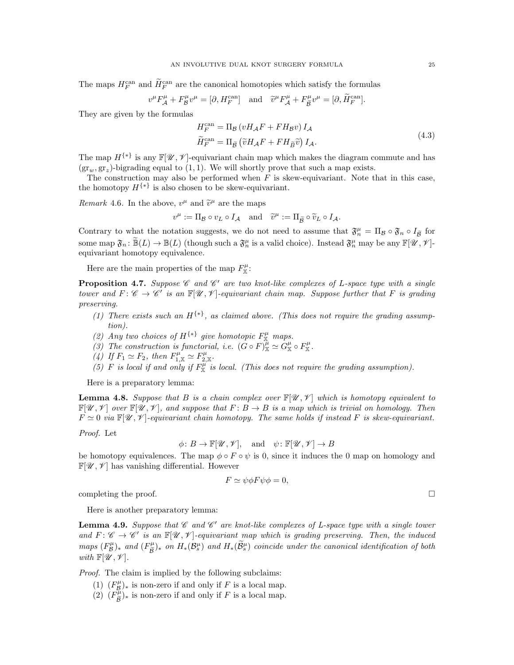The maps  $H_F^{\text{can}}$  and  $\tilde{H}_F^{\text{can}}$  are the canonical homotopies which satisfy the formulas

$$
v^{\mu}F^{\mu}_{\mathcal{A}} + F^{\mu}_{\mathcal{B}}v^{\mu} = [\partial, H^{\text{can}}_{F}] \quad \text{and} \quad \widetilde{v}^{\mu}F^{\mu}_{\mathcal{A}} + F^{\mu}_{\widetilde{\mathcal{B}}}v^{\mu} = [\partial, \widetilde{H}^{\text{can}}_{F}].
$$

They are given by the formulas

$$
H_F^{\text{can}} = \Pi_B \left( v H_A F + F H_B v \right) I_A
$$
  
\n
$$
\widetilde{H}_F^{\text{can}} = \Pi_{\widetilde{B}} \left( \widetilde{v} H_A F + F H_{\widetilde{B}} \widetilde{v} \right) I_A.
$$
\n(4.3)

The map  $H^{\{\ast\}}$  is any  $\mathbb{F}[\mathscr{U}, \mathscr{V}]$ -equivariant chain map which makes the diagram commute and has  $(\text{gr}_w, \text{gr}_z)$ -bigrading equal to  $(1, 1)$ . We will shortly prove that such a map exists.

The construction may also be performed when  $F$  is skew-equivariant. Note that in this case, the homotopy  $H^{\{\ast\}}$  is also chosen to be skew-equivariant.

Remark 4.6. In the above,  $v^{\mu}$  and  $\tilde{v}^{\mu}$  are the maps

$$
v^{\mu} := \Pi_{\mathcal{B}} \circ v_L \circ I_{\mathcal{A}} \quad \text{and} \quad \widetilde{v}^{\mu} := \Pi_{\widetilde{\mathcal{B}}} \circ \widetilde{v}_L \circ I_{\mathcal{A}}.
$$

Contrary to what the notation suggests, we do not need to assume that  $\mathfrak{F}_n^{\mu} = \Pi_{\mathcal{B}} \circ \mathfrak{F}_n \circ I_{\widetilde{\mathcal{B}}}$  for some map  $\mathfrak{F}_n : \widetilde{\mathbb{B}}(L) \to \mathbb{B}(L)$  (though such a  $\mathfrak{F}_n^{\mu}$  is a valid choice). Instead  $\mathfrak{F}_n^{\mu}$  may be any  $\mathbb{F}[\mathscr{U}, \mathscr{V}]$ equivariant homotopy equivalence.

Here are the main properties of the map  $F_{\mathbb{X}}^{\mu}$ :

<span id="page-24-0"></span>**Proposition 4.7.** Suppose  $\mathscr C$  and  $\mathscr C'$  are two knot-like complexes of L-space type with a single tower and  $F: \mathscr{C} \to \mathscr{C}'$  is an  $\mathbb{F}[\mathscr{U}, \mathscr{V}]$ -equivariant chain map. Suppose further that F is grading preserving.

- <span id="page-24-1"></span>(1) There exists such an  $H^{\{*\}}$ , as claimed above. (This does not require the grading assumption).
- <span id="page-24-5"></span><span id="page-24-4"></span>(2) Any two choices of  $H^{\{*\}}$  give homotopic  $F_{\mathbb{X}}^{\mu}$  maps.
- <span id="page-24-6"></span>(3) The construction is functorial, i.e.  $(G \circ F)^{\hat{\mu}}_{\mathbb{X}} \simeq G^{\mu}_{\mathbb{X}} \circ F^{\mu}_{\mathbb{X}}$ .
- <span id="page-24-7"></span>(4) If  $F_1 \simeq F_2$ , then  $F_{1,\mathbb{X}}^{\mu} \simeq F_{2,\mathbb{X}}^{\mu}$ .
- (5) F is local if and only if  $F_{\mathbb{X}}^{\mu}$  is local. (This does not require the grading assumption).

Here is a preparatory lemma:

<span id="page-24-2"></span>**Lemma 4.8.** Suppose that B is a chain complex over  $\mathbb{F}[\mathcal{U}, \mathcal{V}]$  which is homotopy equivalent to  $\mathbb{F}[\mathscr{U},\mathscr{V}]$  over  $\mathbb{F}[\mathscr{U},\mathscr{V}]$ , and suppose that  $F: B \to B$  is a map which is trivial on homology. Then  $F \simeq 0$  via  $\mathbb{F}[\mathscr{U}, \mathscr{V}]$ -equivariant chain homotopy. The same holds if instead F is skew-equivariant.

Proof. Let

$$
\phi \colon B \to \mathbb{F}[\mathcal{U}, \mathcal{V}], \quad \text{and} \quad \psi \colon \mathbb{F}[\mathcal{U}, \mathcal{V}] \to B
$$

be homotopy equivalences. The map  $\phi \circ F \circ \psi$  is 0, since it induces the 0 map on homology and  $\mathbb{F}[\mathscr{U}, \mathscr{V}]$  has vanishing differential. However

$$
F \simeq \psi \phi F \psi \phi = 0,
$$

completing the proof.

Here is another preparatory lemma:

<span id="page-24-3"></span>**Lemma 4.9.** Suppose that  $\mathscr C$  and  $\mathscr C'$  are knot-like complexes of L-space type with a single tower and  $F: \mathscr{C} \to \mathscr{C}'$  is an  $\mathbb{F}[\mathscr{U}, \mathscr{V}]$ -equivariant map which is grading preserving. Then, the induced maps  $(F_{\mathcal{B}}^{\mu})_*$  and  $(F_{\tilde{\mathcal{B}}}^{\mu})_*$  on  $H_*(\mathcal{B}_s^{\mu})$  and  $H_*(\tilde{\mathcal{B}}_s^{\mu})$  coincide under the canonical identification of both with  $\mathbb{F}[\mathscr{U},\mathscr{V}].$ 

Proof. The claim is implied by the following subclaims:

- (1)  $(F^{\mu}_{\mathcal{B}})_{*}$  is non-zero if and only if F is a local map.
- $(P)$   $(F_{\widetilde{\mathcal{B}}}^{\mu})_*$  is non-zero if and only if F is a local map.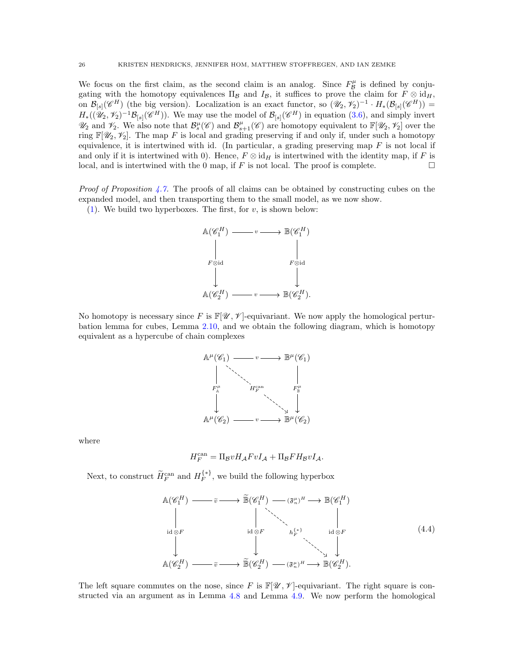We focus on the first claim, as the second claim is an analog. Since  $F^{\mu}_{\mathcal{B}}$  is defined by conjugating with the homotopy equivalences  $\Pi_{\mathcal{B}}$  and  $I_{\mathcal{B}}$ , it suffices to prove the claim for  $F \otimes id_H$ , on  $\mathcal{B}_{[s]}(\mathscr{C}^H)$  (the big version). Localization is an exact functor, so  $(\mathscr{U}_2, \mathscr{V}_2)^{-1} \cdot H_*(\mathcal{B}_{[s]}(\mathscr{C}^H)) =$  $H_*((\mathscr{U}_2, \mathscr{V}_2)^{-1} \mathcal{B}_{[s]}(\mathscr{C}^H))$ . We may use the model of  $\mathcal{B}_{[s]}(\mathscr{C}^H)$  in equation  $(3.6)$ , and simply invert  $\mathscr{U}_2$  and  $\mathscr{V}_2$ . We also note that  $\mathcal{B}_s^{\mu}(\mathscr{C})$  and  $\mathcal{B}_{s+1}^{\mu}(\mathscr{C})$  are homotopy equivalent to  $\mathbb{F}[\mathscr{U}_2, \mathscr{V}_2]$  over the ring  $\mathbb{F}[W_2, Y_2]$ . The map F is local and grading preserving if and only if, under such a homotopy equivalence, it is intertwined with id. (In particular, a grading preserving map  $F$  is not local if and only if it is intertwined with 0). Hence,  $F \otimes id_H$  is intertwined with the identity map, if F is local, and is intertwined with the 0 map, if  $F$  is not local. The proof is complete.

*Proof of Proposition [4.7.](#page-24-0)* The proofs of all claims can be obtained by constructing cubes on the expanded model, and then transporting them to the small model, as we now show.

 $(1)$ . We build two hyperboxes. The first, for v, is shown below:



No homotopy is necessary since F is  $\mathbb{F}[\mathscr{U}, \mathscr{V}]$ -equivariant. We now apply the homological perturbation lemma for cubes, Lemma [2.10,](#page-7-3) and we obtain the following diagram, which is homotopy equivalent as a hypercube of chain complexes



where

$$
H_F^{\rm can}=\Pi_{\mathcal B}vH_{\mathcal A}FvI_{\mathcal A}+\Pi_{\mathcal B}FH_{\mathcal B}vI_{\mathcal A}.
$$

Next, to construct  $\widetilde{H}_F^{\text{can}}$  and  $H_F^{\{*\}}$  $\mathcal{F}^{\{*,\}}$ , we build the following hyperbox

<span id="page-25-0"></span>
$$
\mathbb{A}(\mathscr{C}_{1}^{H}) \longrightarrow \widetilde{v} \longrightarrow \widetilde{\mathbb{B}}(\mathscr{C}_{1}^{H}) \longrightarrow (\mathfrak{F}_{n}^{\mu})^{H} \longrightarrow \mathbb{B}(\mathscr{C}_{1}^{H})
$$
\n
$$
\downarrow \qquad \qquad \downarrow \qquad \qquad \downarrow
$$
\n
$$
\downarrow \qquad \qquad \downarrow \qquad \qquad \downarrow
$$
\n
$$
\mathbb{A}(\mathscr{C}_{2}^{H}) \longrightarrow \widetilde{v} \longrightarrow \widetilde{\mathbb{B}}(\mathscr{C}_{2}^{H}) \longrightarrow (\mathfrak{F}_{n}^{\mu})^{H} \longrightarrow \mathbb{B}(\mathscr{C}_{2}^{H}).
$$
\n(4.4)

The left square commutes on the nose, since F is  $\mathbb{F}[\mathscr{U}, \mathscr{V}]$ -equivariant. The right square is constructed via an argument as in Lemma [4.8](#page-24-2) and Lemma [4.9.](#page-24-3) We now perform the homological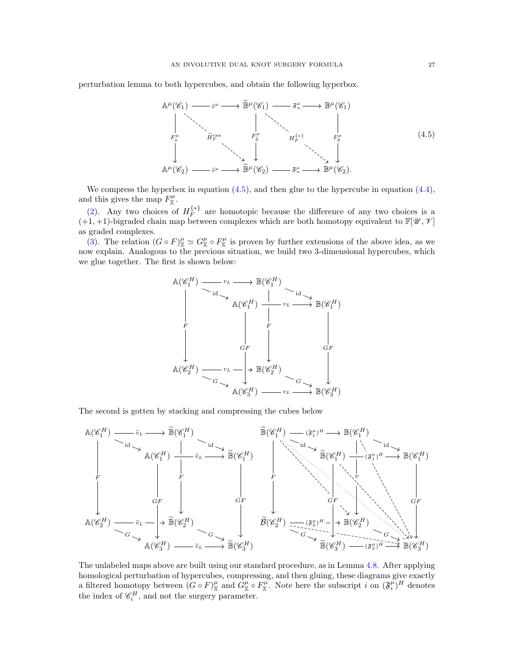perturbation lemma to both hypercubes, and obtain the following hyperbox.

<span id="page-26-0"></span>

We compress the hyperbox in equation  $(4.5)$ , and then glue to the hypercube in equation  $(4.4)$ , and this gives the map  $F_{\mathbb{X}}^{\mu}$ .

[\(2\)](#page-24-4). Any two choices of  $H_F^{\{*\}}$  $\mathcal{F}^{\{*\}}$  are homotopic because the difference of any two choices is a  $(+1, +1)$ -bigraded chain map between complexes which are both homotopy equivalent to  $\mathbb{F}[X, Y]$ as graded complexes.

[\(3\)](#page-24-5). The relation  $(G \circ F)_{\mathbb{X}}^{\mu} \simeq G_{\mathbb{X}}^{\mu} \circ F_{\mathbb{X}}^{\mu}$  is proven by further extensions of the above idea, as we now explain. Analogous to the previous situation, we build two 3-dimensional hypercubes, which we glue together. The first is shown below:



The second is gotten by stacking and compressing the cubes below



The unlabeled maps above are built using our standard procedure, as in Lemma [4.8.](#page-24-2) After applying homological perturbation of hypercubes, compressing, and then gluing, these diagrams give exactly a filtered homotopy between  $(G \circ F)_{\mathbb{X}}^{\mu}$  and  $G_{\mathbb{X}}^{\mu} \circ F_{\mathbb{X}}^{\mu}$ . Note here the subscript i on  $(\mathfrak{F}_{i}^{\mu})^H$  denotes the index of  $\mathscr{C}_i^H$ , and not the surgery parameter.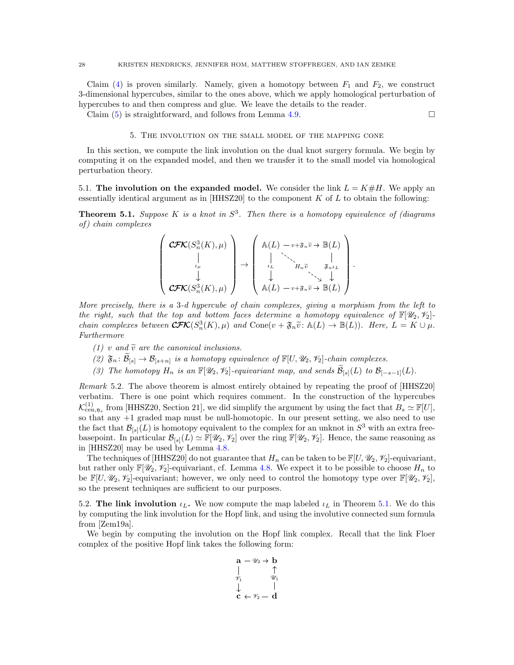Claim [\(4\)](#page-24-6) is proven similarly. Namely, given a homotopy between  $F_1$  and  $F_2$ , we construct 3-dimensional hypercubes, similar to the ones above, which we apply homological perturbation of hypercubes to and then compress and glue. We leave the details to the reader.

<span id="page-27-0"></span>Claim [\(5\)](#page-24-7) is straightforward, and follows from Lemma [4.9.](#page-24-3)

### 5. The involution on the small model of the mapping cone

In this section, we compute the link involution on the dual knot surgery formula. We begin by computing it on the expanded model, and then we transfer it to the small model via homological perturbation theory.

<span id="page-27-1"></span>5.1. The involution on the expanded model. We consider the link  $L = K \# H$ . We apply an essentially identical argument as in  $[HHSZ20]$  to the component K of L to obtain the following:

<span id="page-27-3"></span>**Theorem 5.1.** Suppose K is a knot in  $S^3$ . Then there is a homotopy equivalence of (diagrams of ) chain complexes

$$
\left(\begin{array}{c} \mathbf{C\!F\!K}(S_n^3(K), \mu) \\ \downarrow \\ \downarrow \\ \mathbf{C\!F\!K}(S_n^3(K), \mu) \end{array}\right) \rightarrow \left(\begin{array}{c} \mathbb{A}(L) \ -v + \mathfrak{F}_n \tilde{v} \rightarrow \mathbb{B}(L) \\ \downarrow \\ \downarrow \\ \mathbb{A}(L) \ -v + \mathfrak{F}_n \tilde{v} \rightarrow \mathbb{B}(L) \\ \downarrow \\ \mathbb{A}(L) \ -v + \mathfrak{F}_n \tilde{v} \rightarrow \mathbb{B}(L) \end{array}\right)
$$

.

More precisely, there is a 3-d hypercube of chain complexes, giving a morphism from the left to the right, such that the top and bottom faces determine a homotopy equivalence of  $\mathbb{F}[W_2, Y_2]$ chain complexes between  $\mathbf{CFK}(S_n^3(K), \mu)$  and  $Cone(v + \mathfrak{F}_n \tilde{v}: \mathbb{A}(L) \to \mathbb{B}(L))$ . Here,  $L = K \cup \mu$ . Furthermore

- (1) v and  $\tilde{v}$  are the canonical inclusions.
- (2)  $\mathfrak{F}_n: \widetilde{\mathcal{B}}_{[s]} \to \mathcal{B}_{[s+n]}$  is a homotopy equivalence of  $\mathbb{F}[U, \mathcal{U}_2, \mathcal{V}_2]$ -chain complexes.
- (3) The homotopy  $H_n$  is an  $\mathbb{F}[X_2, Y_2]$ -equivariant map, and sends  $\widetilde{\mathcal{B}}_{[s]}(L)$  to  $\mathcal{B}_{[-s-1]}(L)$ .

Remark 5.2. The above theorem is almost entirely obtained by repeating the proof of [\[HHSZ20\]](#page-45-8) verbatim. There is one point which requires comment. In the construction of the hypercubes  $\mathcal{K}_{\text{cen},\mathfrak{y}_s}^{(1)}$  from [\[HHSZ20,](#page-45-8) Section 21], we did simplify the argument by using the fact that  $B_s \simeq \mathbb{F}[U]$ , so that any +1 graded map must be null-homotopic. In our present setting, we also need to use the fact that  $\mathcal{B}_{[s]}(L)$  is homotopy equivalent to the complex for an unknot in  $S^3$  with an extra freebasepoint. In particular  $\mathcal{B}_{[s]}(L) \simeq \mathbb{F}[\mathscr{U}_2, \mathscr{V}_2]$  over the ring  $\mathbb{F}[\mathscr{U}_2, \mathscr{V}_2]$ . Hence, the same reasoning as in [\[HHSZ20\]](#page-45-8) may be used by Lemma [4.8.](#page-24-2)

The techniques of [\[HHSZ20\]](#page-45-8) do not guarantee that  $H_n$  can be taken to be  $\mathbb{F}[U, \mathcal{U}_2, \mathcal{V}_2]$ -equivariant, but rather only  $\mathbb{F}[\mathscr{U}_2, \mathscr{V}_2]$ -equivariant, cf. Lemma [4.8.](#page-24-2) We expect it to be possible to choose  $H_n$  to be  $\mathbb{F}[U, \mathcal{U}_2, \mathcal{V}_2]$ -equivariant; however, we only need to control the homotopy type over  $\mathbb{F}[\mathcal{U}_2, \mathcal{V}_2]$ , so the present techniques are sufficient to our purposes.

<span id="page-27-2"></span>5.2. The link involution  $\iota_L$ . We now compute the map labeled  $\iota_L$  in Theorem [5.1.](#page-27-3) We do this by computing the link involution for the Hopf link, and using the involutive connected sum formula from [\[Zem19a\]](#page-45-31).

We begin by computing the involution on the Hopf link complex. Recall that the link Floer complex of the positive Hopf link takes the following form:

$$
\begin{array}{ccc} \mathbf{a} - \mathscr{U}_2 \rightarrow \mathbf{b} \\ | & \uparrow \\ \mathscr{V}_1 & \mathscr{U}_1 \\ \downarrow & | \\ \mathbf{c} \leftarrow \mathscr{V}_2 - \mathbf{d} \end{array}
$$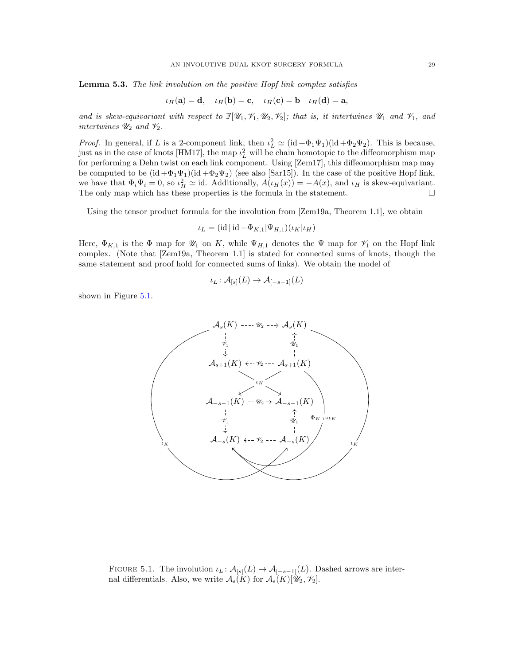Lemma 5.3. The link involution on the positive Hopf link complex satisfies

$$
\iota_H(\mathbf{a}) = \mathbf{d}, \quad \iota_H(\mathbf{b}) = \mathbf{c}, \quad \iota_H(\mathbf{c}) = \mathbf{b} \quad \iota_H(\mathbf{d}) = \mathbf{a},
$$

and is skew-equivariant with respect to  $\mathbb{F}[X_1, Y_1, Y_2, Y_2]$ ; that is, it intertwines  $\mathcal{U}_1$  and  $\mathcal{V}_1$ , and intertwines  $\mathcal{U}_2$  and  $\mathcal{V}_2$ .

*Proof.* In general, if L is a 2-component link, then  $\iota_L^2 \simeq (\mathrm{id} + \Phi_1 \Psi_1)(\mathrm{id} + \Phi_2 \Psi_2)$ . This is because, just as in the case of knots [\[HM17\]](#page-45-13), the map  $\iota_L^2$  will be chain homotopic to the diffeomorphism map for performing a Dehn twist on each link component. Using [\[Zem17\]](#page-45-17), this diffeomorphism map may be computed to be  $(id + \Phi_1\Psi_1)(id + \Phi_2\Psi_2)$  (see also [\[Sar15\]](#page-45-16)). In the case of the positive Hopf link, we have that  $\Phi_i \Psi_i = 0$ , so  $\iota_H^2 \simeq$  id. Additionally,  $A(\iota_H(x)) = -A(x)$ , and  $\iota_H$  is skew-equivariant. The only map which has these properties is the formula in the statement.  $\Box$ 

Using the tensor product formula for the involution from [\[Zem19a,](#page-45-31) Theorem 1.1], we obtain

$$
\iota_L = (\mathrm{id} \,|\, \mathrm{id} + \Phi_{K,1} | \Psi_{H,1})(\iota_K | \iota_H)
$$

Here,  $\Phi_{K,1}$  is the  $\Phi$  map for  $\mathcal{U}_1$  on K, while  $\Psi_{H,1}$  denotes the  $\Psi$  map for  $\mathcal{V}_1$  on the Hopf link complex. (Note that [\[Zem19a,](#page-45-31) Theorem 1.1] is stated for connected sums of knots, though the same statement and proof hold for connected sums of links). We obtain the model of

$$
\iota_L \colon \mathcal{A}_{[s]}(L) \to \mathcal{A}_{[-s-1]}(L)
$$

<span id="page-28-0"></span>shown in Figure [5.1.](#page-28-0)



FIGURE 5.1. The involution  $\iota_L \colon \mathcal{A}_{[s]}(L) \to \mathcal{A}_{[-s-1]}(L)$ . Dashed arrows are internal differentials. Also, we write  $\mathcal{A}_s(K)$  for  $\mathcal{A}_s(K)[\mathscr{U}_2, \mathscr{V}_2]$ .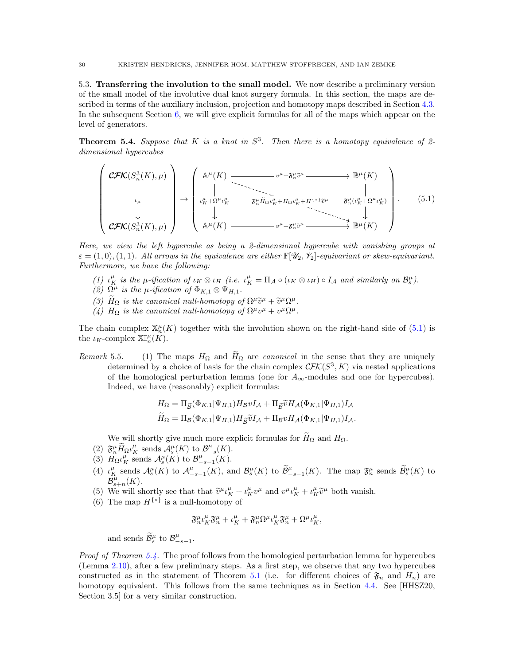<span id="page-29-0"></span>5.3. Transferring the involution to the small model. We now describe a preliminary version of the small model of the involutive dual knot surgery formula. In this section, the maps are described in terms of the auxiliary inclusion, projection and homotopy maps described in Section [4.3.](#page-20-1) In the subsequent Section [6,](#page-33-0) we will give explicit formulas for all of the maps which appear on the level of generators.

<span id="page-29-2"></span>**Theorem 5.4.** Suppose that K is a knot in  $S^3$ . Then there is a homotopy equivalence of 2dimensional hypercubes

<span id="page-29-1"></span>
$$
\begin{pmatrix}\n\mathbf{CFK}(S_n^3(K), \mu) \\
\downarrow \\
\downarrow \\
\mathbf{CFK}(S_n^3(K), \mu)\n\end{pmatrix} \rightarrow \begin{pmatrix}\n\mathbb{A}^{\mu}(K) \longrightarrow v^{\mu} + \mathfrak{F}_{n}^{\mu} \tilde{v}^{\mu} \longrightarrow \mathbb{B}^{\mu}(K) \\
\downarrow \\
v^{\mu}_{K} + \Omega^{\mu} v^{\mu}_{K} & \mathfrak{F}_{n}^{\mu} \tilde{H}_{\Omega} v^{\mu}_{K} + H_{\Omega} v^{\mu}_{K} + H^{\{*\}} \tilde{v}^{\mu} \longrightarrow \mathfrak{F}_{n}^{\mu} (v^{\mu}_{K} + \Omega^{\mu} v^{\mu}_{K}) \\
\downarrow \\
\downarrow \\
\mathbb{A}^{\mu}(K) \longrightarrow v^{\mu} + \mathfrak{F}_{n}^{\mu} \tilde{v}^{\mu} \longrightarrow \mathbb{B}^{\mu}(K)\n\end{pmatrix}.
$$
\n(5.1)

Here, we view the left hypercube as being a 2-dimensional hypercube with vanishing groups at  $\varepsilon = (1,0), (1,1)$ . All arrows in the equivalence are either  $\mathbb{F}[\mathscr{U}_2, \mathscr{V}_2]$ -equivariant or skew-equivariant. Furthermore, we have the following:

- (1)  $\iota_K^{\mu}$  is the  $\mu$ -ification of  $\iota_K \otimes \iota_H$  (i.e.  $\iota_K^{\mu} = \Pi_{\mathcal{A}} \circ (\iota_K \otimes \iota_H) \circ I_{\mathcal{A}}$  and similarly on  $\mathcal{B}_s^{\mu}$ ).
- (2)  $\Omega^{\mu}$  is the  $\mu$ -ification of  $\Phi_{K,1} \otimes \Psi_{H,1}$ .
- (3)  $\overline{H}_{\Omega}$  is the canonical null-homotopy of  $\Omega^{\mu} \tilde{v}^{\mu} + \tilde{v}^{\mu} \Omega^{\mu}$ .<br>(1)  $H_{\mu}$  is the canonical null-homotopy of  $\Omega^{\mu} \tilde{v}^{\mu} + \tilde{v}^{\mu} \Omega^{\mu}$ .
- (4)  $H_{\Omega}$  is the canonical null-homotopy of  $\Omega^{\mu}v^{\mu} + v^{\mu}\Omega^{\mu}$ .

The chain complex  $\mathbb{X}_n^{\mu}(K)$  together with the involution shown on the right-hand side of [\(5.1\)](#page-29-1) is the  $\iota_K$ -complex  $\mathbb{X}[\![\mu_K(K)]\!]$ .

Remark 5.5. (1) The maps  $H_{\Omega}$  and  $H_{\Omega}$  are canonical in the sense that they are uniquely determined by a choice of basis for the chain complex  $\mathcal{CFK}(S^3, K)$  via nested applications of the homological perturbation lemma (one for  $A_{\infty}$ -modules and one for hypercubes). Indeed, we have (reasonably) explicit formulas:

$$
H_{\Omega} = \Pi_{\widetilde{\mathcal{B}}}(\Phi_{K,1}|\Psi_{H,1})H_{\mathcal{B}}vI_{\mathcal{A}} + \Pi_{\widetilde{\mathcal{B}}} \widetilde{v}H_{\mathcal{A}}(\Phi_{K,1}|\Psi_{H,1})I_{\mathcal{A}}
$$
  

$$
\widetilde{H}_{\Omega} = \Pi_{\mathcal{B}}(\Phi_{K,1}|\Psi_{H,1})H_{\widetilde{\mathcal{B}}} \widetilde{v}I_{\mathcal{A}} + \Pi_{\mathcal{B}}vH_{\mathcal{A}}(\Phi_{K,1}|\Psi_{H,1})I_{\mathcal{A}}.
$$

We will shortly give much more explicit formulas for  $H_{\Omega}$  and  $H_{\Omega}$ .

- (2)  $\mathfrak{F}^{\mu}_{n} \widetilde{H}_{\Omega} \iota^{\mu}_{K}$  sends  $\mathcal{A}_{s}^{\mu}(K)$  to  $\mathcal{B}_{-s}^{\mu}(K)$ .
- (3)  $H_{\Omega} \iota_K^{\mu}$  sends  $\mathcal{A}_s^{\mu}(K)$  to  $\mathcal{B}_{-s-1}^{\mu}(K)$ .
- (4)  $\iota_K^{\mu}$  sends  $\mathcal{A}_s^{\mu}(K)$  to  $\mathcal{A}_{-s-1}^{\mu}(K)$ , and  $\mathcal{B}_s^{\mu}(K)$  to  $\widetilde{\mathcal{B}}_{-s-1}^{\mu}(K)$ . The map  $\mathfrak{F}_n^{\mu}$  sends  $\widetilde{\mathcal{B}}_s^{\mu}(K)$  to  $\dot{\mathcal{B}}_{s+n}^{\mu}(K).$
- (5) We will shortly see that that  $\tilde{v}^{\mu} \iota_K^{\mu} + \iota_K^{\mu} v^{\mu}$  and  $v^{\mu} \iota_K^{\mu} + \iota_K^{\mu} \tilde{v}^{\mu}$  both vanish.
- (6) The map  $H^{\{\ast\}}$  is a null-homotopy of

$$
\mathfrak{F}_{n}^{\mu}\iota_{K}^{\mu}\mathfrak{F}_{n}^{\mu}+\iota_{K}^{\mu}+\mathfrak{F}_{n}^{\mu}\Omega^{\mu}\iota_{K}^{\mu}\mathfrak{F}_{n}^{\mu}+\Omega^{\mu}\iota_{K}^{\mu},
$$

and sends  $\widetilde{\mathcal{B}}_s^{\mu}$  to  $\mathcal{B}_{-s-1}^{\mu}$ .

*Proof of Theorem [5.4.](#page-29-2)* The proof follows from the homological perturbation lemma for hypercubes (Lemma [2.10\)](#page-7-3), after a few preliminary steps. As a first step, we observe that any two hypercubes constructed as in the statement of Theorem [5.1](#page-27-3) (i.e. for different choices of  $\mathfrak{F}_n$  and  $H_n$ ) are homotopy equivalent. This follows from the same techniques as in Section [4.4.](#page-23-0) See [\[HHSZ20,](#page-45-8) Section 3.5] for a very similar construction.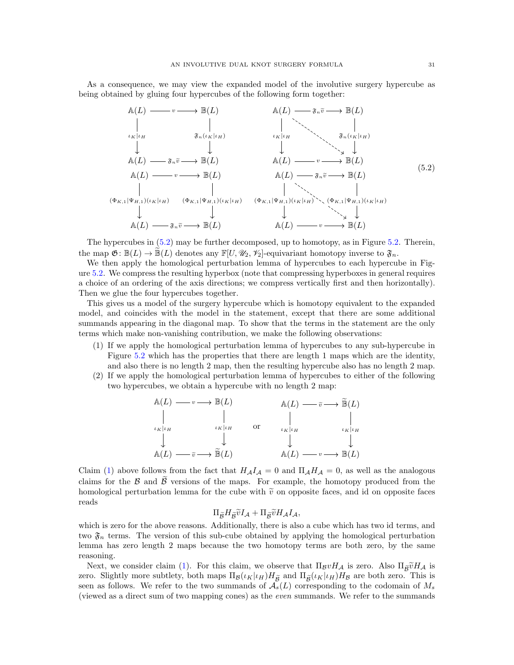As a consequence, we may view the expanded model of the involutive surgery hypercube as being obtained by gluing four hypercubes of the following form together:

<span id="page-30-0"></span>

The hypercubes in [\(5.2\)](#page-30-0) may be further decomposed, up to homotopy, as in Figure [5.2.](#page-31-1) Therein, the map  $\mathfrak{G}: \mathbb{B}(L) \to \mathbb{B}(L)$  denotes any  $\mathbb{F}[U, \mathcal{U}_2, \mathcal{V}_2]$ -equivariant homotopy inverse to  $\mathfrak{F}_n$ .

We then apply the homological perturbation lemma of hypercubes to each hypercube in Figure [5.2.](#page-31-1) We compress the resulting hyperbox (note that compressing hyperboxes in general requires a choice of an ordering of the axis directions; we compress vertically first and then horizontally). Then we glue the four hypercubes together.

This gives us a model of the surgery hypercube which is homotopy equivalent to the expanded model, and coincides with the model in the statement, except that there are some additional summands appearing in the diagonal map. To show that the terms in the statement are the only terms which make non-vanishing contribution, we make the following observations:

- <span id="page-30-1"></span>(1) If we apply the homological perturbation lemma of hypercubes to any sub-hypercube in Figure [5.2](#page-31-1) which has the properties that there are length 1 maps which are the identity, and also there is no length 2 map, then the resulting hypercube also has no length 2 map.
- (2) If we apply the homological perturbation lemma of hypercubes to either of the following two hypercubes, we obtain a hypercube with no length 2 map:

$$
\begin{array}{ccc}\n\mathbb{A}(L) \longrightarrow v \longrightarrow \mathbb{B}(L) & \mathbb{A}(L) \longrightarrow \widetilde{v} \longrightarrow \widetilde{\mathbb{B}}(L) \\
\downarrow & \downarrow & \downarrow & \downarrow \\
\downarrow & \downarrow & \downarrow & \downarrow & \downarrow \\
\mathbb{A}(L) \longrightarrow \widetilde{v} \longrightarrow \widetilde{\mathbb{B}}(L) & \mathbb{A}(L) \longrightarrow v \longrightarrow \mathbb{B}(L)\n\end{array}
$$

Claim [\(1\)](#page-30-1) above follows from the fact that  $H_A I_A = 0$  and  $\Pi_A H_A = 0$ , as well as the analogous claims for the B and  $\tilde{\beta}$  versions of the maps. For example, the homotopy produced from the homological perturbation lemma for the cube with  $\tilde{v}$  on opposite faces, and id on opposite faces reads

$$
\Pi_{\widetilde{\mathcal{B}}} H_{\widetilde{\mathcal{B}}} \widetilde{v} I_{\mathcal{A}} + \Pi_{\widetilde{\mathcal{B}}} \widetilde{v} H_{\mathcal{A}} I_{\mathcal{A}},
$$

which is zero for the above reasons. Additionally, there is also a cube which has two id terms, and two  $\mathfrak{F}_n$  terms. The version of this sub-cube obtained by applying the homological perturbation lemma has zero length 2 maps because the two homotopy terms are both zero, by the same reasoning.

Next, we consider claim [\(1\)](#page-30-1). For this claim, we observe that  $\Pi_{\mathcal{B}}vH_{\mathcal{A}}$  is zero. Also  $\Pi_{\widetilde{\mathcal{B}}}vH_{\mathcal{A}}$  is zero. Slightly more subtlety, both maps  $\Pi_{\mathcal{B}}(\iota_K|\iota_H)H_{\widetilde{\mathcal{B}}}$  and  $\Pi_{\widetilde{\mathcal{B}}}(\iota_K|\iota_H)H_{\mathcal{B}}$  are both zero. This is seen as follows. We refer to the two summands of  $\mathcal{A}_s(L)$  corresponding to the codomain of  $M_s$ (viewed as a direct sum of two mapping cones) as the even summands. We refer to the summands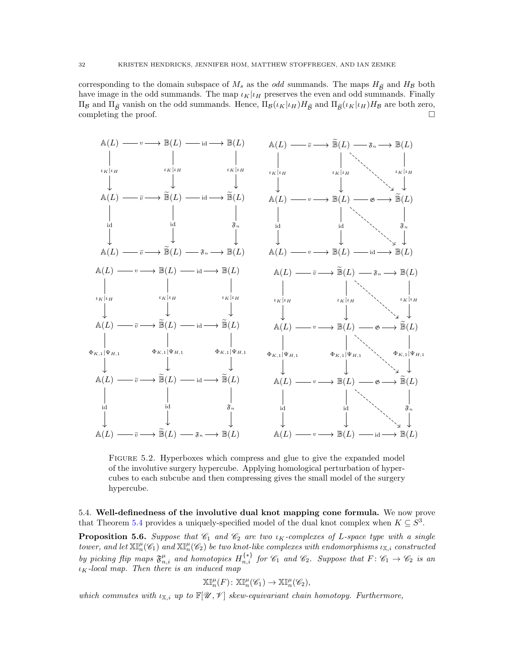corresponding to the domain subspace of  $M_s$  as the *odd* summands. The maps  $H_{\widetilde{\beta}}$  and  $H_B$  both have image in the odd summands. The map  $\iota_K|\iota_H$  preserves the even and odd summands. Finally  $\Pi_{\mathcal{B}}$  and  $\Pi_{\tilde{\mathcal{B}}}$  vanish on the odd summands. Hence,  $\Pi_{\mathcal{B}}(\iota_K|\iota_H)H_{\tilde{\mathcal{B}}}$  and  $\Pi_{\tilde{\mathcal{B}}}(\iota_K|\iota_H)H_{\mathcal{B}}$  are both zero, completing the proof.

<span id="page-31-1"></span>

Figure 5.2. Hyperboxes which compress and glue to give the expanded model of the involutive surgery hypercube. Applying homological perturbation of hypercubes to each subcube and then compressing gives the small model of the surgery hypercube.

<span id="page-31-0"></span>5.4. Well-definedness of the involutive dual knot mapping cone formula. We now prove that Theorem [5.4](#page-29-2) provides a uniquely-specified model of the dual knot complex when  $K \subseteq S^3$ .

<span id="page-31-2"></span>**Proposition 5.6.** Suppose that  $\mathcal{C}_1$  and  $\mathcal{C}_2$  are two  $\iota_K$ -complexes of L-space type with a single tower, and let  $\mathbb{X}^{\mu}_{n}(\mathscr{C}_{1})$  and  $\mathbb{X}^{\mu}_{n}(\mathscr{C}_{2})$  be two knot-like complexes with endomorphisms  $\iota_{\mathbb{X},i}$  constructed by picking flip maps  $\mathfrak{F}^{\mu}_{n,i}$  and homotopies  $H_{n,i}^{\{*\}}$  for  $\mathscr{C}_1$  and  $\mathscr{C}_2$ . Suppose that  $F: \mathscr{C}_1 \to \mathscr{C}_2$  is an  $\iota_K$ -local map. Then there is an induced map

$$
\mathbb{XI}_{n}^{\mu}(F) \colon \mathbb{XI}_{n}^{\mu}(\mathscr{C}_{1}) \to \mathbb{XI}_{n}^{\mu}(\mathscr{C}_{2}),
$$

which commutes with  $\iota_{\mathbb{X},i}$  up to  $\mathbb{F}[\mathscr{U},\mathscr{V}]$  skew-equivariant chain homotopy. Furthermore,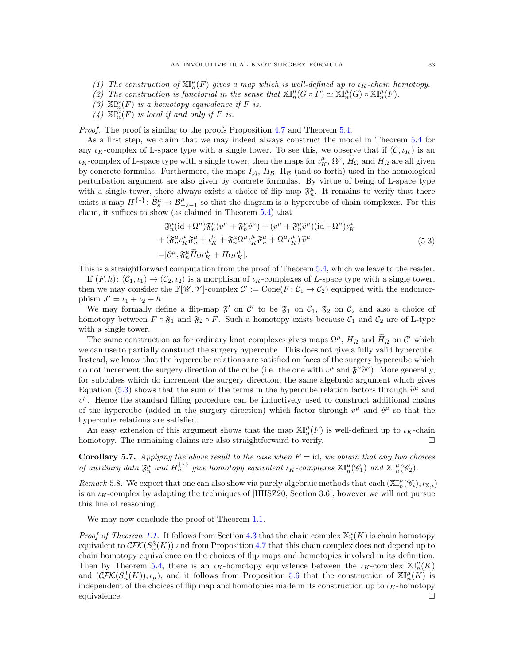- (1) The construction of  $\mathbb{X}_{n}^{\mu}(F)$  gives a map which is well-defined up to  $\iota_{K}$ -chain homotopy.
- (2) The construction is functorial in the sense that  $\mathbb{X}^{\mathbb{I}^{\mu}}_{n}(G \circ F) \simeq \mathbb{X}^{\mathbb{I}^{\mu}}_{n}(G) \circ \mathbb{X}^{\mathbb{I}^{\mu}}_{n}(F)$ .
- (3)  $\mathbb{X}^{\mu}_{n}(F)$  is a homotopy equivalence if F is.
- (4)  $\mathbb{X}^{\mu}_{n}(F)$  is local if and only if F is.

*Proof.* The proof is similar to the proofs Proposition [4.7](#page-24-0) and Theorem [5.4.](#page-29-2)

As a first step, we claim that we may indeed always construct the model in Theorem [5.4](#page-29-2) for any  $\iota_K$ -complex of L-space type with a single tower. To see this, we observe that if  $(\mathcal{C}, \iota_K)$  is an  $\iota_K$ -complex of L-space type with a single tower, then the maps for  $\iota_K^{\mu}, \Omega^{\mu}, \widetilde{H}_{\Omega}$  and  $H_{\Omega}$  are all given by concrete formulas. Furthermore, the maps  $I_A$ ,  $H_B$ ,  $\Pi_B$  (and so forth) used in the homological perturbation argument are also given by concrete formulas. By virtue of being of L-space type with a single tower, there always exists a choice of flip map  $\mathfrak{F}_n^{\mu}$ . It remains to verify that there exists a map  $H^{\{*\}}$ :  $\widetilde{\mathcal{B}}_s^{\mu} \to \mathcal{B}_{-s-1}^{\mu}$  so that the diagram is a hypercube of chain complexes. For this claim, it suffices to show (as claimed in Theorem [5.4\)](#page-29-2) that

$$
\begin{split} \mathfrak{F}_{n}^{\mu}(\mathrm{id} + \Omega^{\mu})\mathfrak{F}_{n}^{\mu}(v^{\mu} + \mathfrak{F}_{n}^{\mu}\widetilde{v}^{\mu}) + (v^{\mu} + \mathfrak{F}_{n}^{\mu}\widetilde{v}^{\mu})(\mathrm{id} + \Omega^{\mu})\iota_{K}^{\mu} \\ + (\mathfrak{F}_{n}^{\mu}\iota_{K}^{\mu}\mathfrak{F}_{n}^{\mu} + \iota_{K}^{\mu} + \mathfrak{F}_{n}^{\mu}\Omega^{\mu}\iota_{K}^{\mu}\mathfrak{F}_{n}^{\mu} + \Omega^{\mu}\iota_{K}^{\mu})\widetilde{v}^{\mu} \\ = [\partial^{\mu}, \mathfrak{F}_{n}^{\mu}\widetilde{H}_{\Omega}\iota_{K}^{\mu} + H_{\Omega}\iota_{K}^{\mu}]. \end{split} \tag{5.3}
$$

<span id="page-32-0"></span>This is a straightforward computation from the proof of Theorem [5.4,](#page-29-2) which we leave to the reader.

If  $(F, h): (\mathcal{C}_1, \iota_1) \to (\mathcal{C}_2, \iota_2)$  is a morphism of  $\iota_K$ -complexes of L-space type with a single tower, then we may consider the  $\mathbb{F}[\mathscr{U}, \mathscr{V}]$ -complex  $\mathcal{C}' := \text{Cone}(F : \mathcal{C}_1 \to \mathcal{C}_2)$  equipped with the endomorphism  $J' = \iota_1 + \iota_2 + h$ .

We may formally define a flip-map  $\mathfrak{F}'$  on  $\mathcal{C}'$  to be  $\mathfrak{F}_1$  on  $\mathcal{C}_1$ ,  $\mathfrak{F}_2$  on  $\mathcal{C}_2$  and also a choice of homotopy between  $F \circ \mathfrak{F}_1$  and  $\mathfrak{F}_2 \circ F$ . Such a homotopy exists because  $\mathcal{C}_1$  and  $\mathcal{C}_2$  are of L-type with a single tower.

The same construction as for ordinary knot complexes gives maps  $\Omega^{\mu}$ ,  $H_{\Omega}$  and  $H_{\Omega}$  on C' which we can use to partially construct the surgery hypercube. This does not give a fully valid hypercube. Instead, we know that the hypercube relations are satisfied on faces of the surgery hypercube which do not increment the surgery direction of the cube (i.e. the one with  $v^{\mu}$  and  $\mathfrak{F}^{\mu}\tilde{v}^{\mu}$ ). More generally, for subcubes which do increment the surgery direction, the same algebraic argument which gives Equation [\(5.3\)](#page-32-0) shows that the sum of the terms in the hypercube relation factors through  $\tilde{v}^{\mu}$  and  $v^{\mu}$ . Hence, the step lead filling agreed we see his inductively used to construct additional shairs  $v^{\mu}$ . Hence the standard filling procedure can be inductively used to construct additional chains of the hypercube (added in the surgery direction) which factor through  $v^{\mu}$  and  $\tilde{v}^{\mu}$  so that the hypercube relations are satisfied.

An easy extension of this argument shows that the map  $\mathbb{XI}_{n}^{\mu}(F)$  is well-defined up to  $\iota_K$ -chain homotopy. The remaining claims are also straightforward to verify.  $\Box$ 

**Corollary 5.7.** Applying the above result to the case when  $F = id$ , we obtain that any two choices of auxiliary data  $\mathfrak{F}_n^{\mu}$  and  $H_n^{\{*\}}$  give homotopy equivalent  $\iota_K$ -complexes  $\mathbb{XI}_{n}^{\mu}(\mathscr{C}_1)$  and  $\mathbb{XI}_{n}^{\mu}(\mathscr{C}_2)$ .

Remark 5.8. We expect that one can also show via purely algebraic methods that each  $(\mathbb{X} \mathbb{I}^{\mu}_n(\mathscr{C}_i), \iota_{\mathbb{X},i})$ is an  $\iota_K$ -complex by adapting the techniques of [\[HHSZ20,](#page-45-8) Section 3.6], however we will not pursue this line of reasoning.

We may now conclude the proof of Theorem [1.1.](#page-2-1)

*Proof of Theorem [1.1.](#page-2-1)* It follows from Section [4.3](#page-20-1) that the chain complex  $\mathbb{X}_n^{\mu}(K)$  is chain homotopy equivalent to  $\mathcal{CFK}(S_n^3(K))$  and from Proposition [4.7](#page-24-0) that this chain complex does not depend up to chain homotopy equivalence on the choices of flip maps and homotopies involved in its definition. Then by Theorem [5.4,](#page-29-2) there is an  $\iota_K$ -homotopy equivalence between the  $\iota_K$ -complex  $\mathbb{X}^{\mu}_n(K)$ and  $(\mathcal{CFK}(S_n^3(K)), \iota_\mu)$ , and it follows from Proposition [5.6](#page-31-2) that the construction of  $\mathbb{XI}_n^{\mu}(K)$  is independent of the choices of flip map and homotopies made in its construction up to  $\iota_K$ -homotopy equivalence.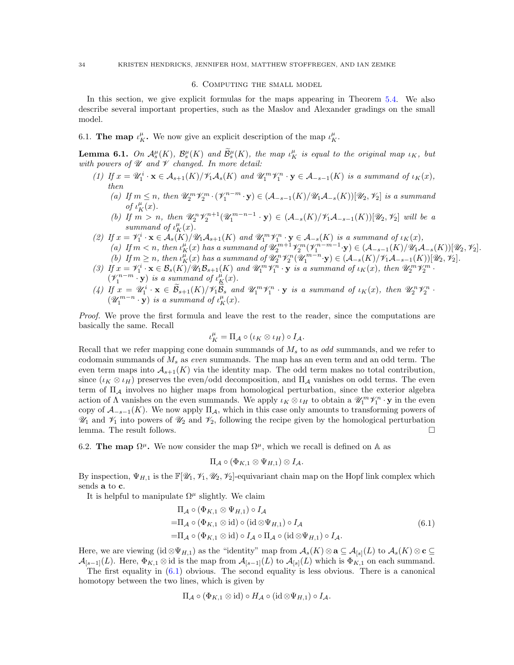## 6. Computing the small model

<span id="page-33-0"></span>In this section, we give explicit formulas for the maps appearing in Theorem [5.4.](#page-29-2) We also describe several important properties, such as the Maslov and Alexander gradings on the small model.

<span id="page-33-1"></span>6.1. The map  $\iota_K^{\mu}$ . We now give an explicit description of the map  $\iota_K^{\mu}$ .

<span id="page-33-4"></span>**Lemma 6.1.** On  $\mathcal{A}_s^{\mu}(K)$ ,  $\mathcal{B}_s^{\mu}(K)$  and  $\widetilde{\mathcal{B}}_s^{\mu}(K)$ , the map  $\iota_K^{\mu}$  is equal to the original map  $\iota_K$ , but with powers of  $\mathscr U$  and  $\mathscr V$  changed. In more detail:

- (1) If  $x = \mathscr{U}_1^i \cdot \mathbf{x} \in \mathcal{A}_{s+1}(K)/\mathscr{V}_1\mathcal{A}_s(K)$  and  $\mathscr{U}_1^m \mathscr{V}_1^n \cdot \mathbf{y} \in \mathcal{A}_{-s-1}(K)$  is a summand of  $\iota_K(x)$ , then
	- (a) If  $m \leq n$ , then  $\mathscr{U}_2^m \mathscr{V}_2^m \cdot (\mathscr{V}_1^{n-m} \cdot \mathbf{y}) \in (\mathcal{A}_{-s-1}(K)/\mathscr{U}_1 \mathcal{A}_{-s}(K))[\mathscr{U}_2, \mathscr{V}_2]$  is a summand of  $\iota_K^{\mu}(x)$ .
	- (b) If  $m > n$ , then  $\mathscr{U}_2^n \mathscr{V}_2^{n+1}(\mathscr{U}_1^{m-n-1} \cdot y) \in (\mathcal{A}_{-s}(K)/\mathscr{V}_1 \mathcal{A}_{-s-1}(K))[\mathscr{U}_2, \mathscr{V}_2]$  will be a summand of  $\iota_K^{\mu}(x)$ .
- (2) If  $x = \mathscr{V}_1^i \cdot \mathbf{x} \in \mathcal{A}_s(K)/\mathscr{U}_1\mathcal{A}_{s+1}(K)$  and  $\mathscr{U}_1^m \mathscr{V}_1^n \cdot \mathbf{y} \in \mathcal{A}_{-s}(K)$  is a summand of  $\iota_K(x)$ , (a) If  $m < n$ , then  $\iota_K^{\mu}(x)$  has a summand of  $\mathscr{U}_2^{m+1}\mathscr{V}_2^m(\mathscr{V}_1^{n-m-1}\cdot \mathbf{y}) \in (\mathcal{A}_{-s-1}(K)/\mathscr{U}_1\mathcal{A}_{-s}(K))[\mathscr{U}_2,\mathscr{V}_2]$ . (b) If  $m \ge n$ , then  $\iota_K^{\mu}(x)$  has a summand of  $\mathscr{U}_2^n \mathscr{V}_2^n(\mathscr{U}_1^{m-n} \cdot \mathbf{y}) \in (\mathcal{A}_{-s}(K)/\mathscr{V}_1 \mathcal{A}_{-s-1}(K))[\mathscr{U}_2, \mathscr{V}_2]$ .
- (3) If  $x = \mathcal{V}_1^i \cdot \mathbf{x} \in \mathcal{B}_s(K)/\mathcal{U}_1 \mathcal{B}_{s+1}(K)$  and  $\mathcal{U}_1^m \mathcal{V}_1^n \cdot \mathbf{y}$  is a summand of  $\iota_K(x)$ , then  $\mathcal{U}_2^m \mathcal{V}_2^m$ .  $(\mathscr{V}_1^{n-m} \cdot \mathbf{y})$  is a summand of  $\iota_K^{\mu}(x)$ .
- (4) If  $x = \mathscr{U}_1^i \cdot \mathbf{x} \in \widetilde{\mathcal{B}}_{s+1}(K)/\mathscr{V}_1 \widetilde{\mathcal{B}}_s$  and  $\mathscr{U}_1^m \mathscr{V}_1^n \cdot \mathbf{y}$  is a summand of  $\iota_K(x)$ , then  $\mathscr{U}_2^n \mathscr{V}_2^n$ .  $(\mathscr{U}_1^{m-n}\cdot\mathbf{y})$  is a summand of  $\iota_K^{\mu}(x)$ .

Proof. We prove the first formula and leave the rest to the reader, since the computations are basically the same. Recall

$$
\iota_K^{\mu}=\Pi_{\mathcal{A}}\circ(\iota_K\otimes\iota_H)\circ I_{\mathcal{A}}.
$$

Recall that we refer mapping cone domain summands of  $M_s$  to as *odd* summands, and we refer to codomain summands of  $M_s$  as even summands. The map has an even term and an odd term. The even term maps into  $\mathcal{A}_{s+1}(K)$  via the identity map. The odd term makes no total contribution, since  $(\iota_K \otimes \iota_H)$  preserves the even/odd decomposition, and  $\Pi_A$  vanishes on odd terms. The even term of  $\Pi_A$  involves no higher maps from homological perturbation, since the exterior algebra action of  $\Lambda$  vanishes on the even summands. We apply  $\iota_K \otimes \iota_H$  to obtain a  $\mathscr{U}_1^m \mathscr{V}_1^n \cdot \mathbf{y}$  in the even copy of  $\mathcal{A}_{-s-1}(K)$ . We now apply  $\Pi_A$ , which in this case only amounts to transforming powers of  $\mathcal{U}_1$  and  $\mathcal{V}_1$  into powers of  $\mathcal{U}_2$  and  $\mathcal{V}_2$ , following the recipe given by the homological perturbation lemma. The result follows.

<span id="page-33-2"></span>6.2. The map  $\Omega^{\mu}$ . We now consider the map  $\Omega^{\mu}$ , which we recall is defined on A as

$$
\Pi_{\mathcal{A}}\circ(\Phi_{K,1}\otimes\Psi_{H,1})\otimes I_{\mathcal{A}}.
$$

By inspection,  $\Psi_{H,1}$  is the  $\mathbb{F}[\mathscr{U}_1, \mathscr{V}_1, \mathscr{U}_2, \mathscr{V}_2]$ -equivariant chain map on the Hopf link complex which sends a to c.

It is helpful to manipulate  $\Omega^{\mu}$  slightly. We claim

$$
\Pi_{\mathcal{A}} \circ (\Phi_{K,1} \otimes \Psi_{H,1}) \circ I_{\mathcal{A}}
$$
\n
$$
= \Pi_{\mathcal{A}} \circ (\Phi_{K,1} \otimes id) \circ (id \otimes \Psi_{H,1}) \circ I_{\mathcal{A}}
$$
\n
$$
= \Pi_{\mathcal{A}} \circ (\Phi_{K,1} \otimes id) \circ I_{\mathcal{A}} \circ \Pi_{\mathcal{A}} \circ (id \otimes \Psi_{H,1}) \circ I_{\mathcal{A}}.
$$
\n
$$
(6.1)
$$

<span id="page-33-3"></span>Here, we are viewing  $(id \otimes \Psi_{H,1})$  as the "identity" map from  $\mathcal{A}_s(K) \otimes \mathbf{a} \subseteq \mathcal{A}_{[s]}(L)$  to  $\mathcal{A}_s(K) \otimes \mathbf{c} \subseteq$  $\mathcal{A}_{[s-1]}(L)$ . Here,  $\Phi_{K,1} \otimes \text{id}$  is the map from  $\mathcal{A}_{[s-1]}(L)$  to  $\mathcal{A}_{[s]}(L)$  which is  $\Phi_{K,1}$  on each summand.

The first equality in [\(6.1\)](#page-33-3) obvious. The second equality is less obvious. There is a canonical homotopy between the two lines, which is given by

$$
\Pi_{\mathcal{A}} \circ (\Phi_{K,1} \otimes id) \circ H_{\mathcal{A}} \circ (id \otimes \Psi_{H,1}) \circ I_{\mathcal{A}}.
$$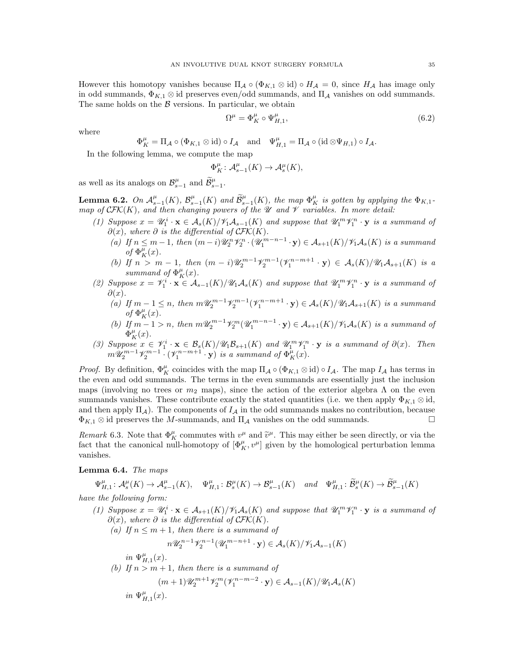However this homotopy vanishes because  $\Pi_A \circ (\Phi_{K,1} \otimes id) \circ H_A = 0$ , since  $H_A$  has image only in odd summands,  $\Phi_{K,1} \otimes \text{id}$  preserves even/odd summands, and  $\Pi_A$  vanishes on odd summands. The same holds on the  $\beta$  versions. In particular, we obtain

<span id="page-34-2"></span>
$$
\Omega^{\mu} = \Phi^{\mu}_K \circ \Psi^{\mu}_{H,1},\tag{6.2}
$$

where

$$
\Phi_K^{\mu} = \Pi_{\mathcal{A}} \circ (\Phi_{K,1} \otimes id) \circ I_{\mathcal{A}} \quad \text{and} \quad \Psi_{H,1}^{\mu} = \Pi_{\mathcal{A}} \circ (id \otimes \Psi_{H,1}) \circ I_{\mathcal{A}}.
$$

In the following lemma, we compute the map

$$
\Phi^{\mu}_K \colon \mathcal{A}^{\mu}_{s-1}(K) \to \mathcal{A}^{\mu}_{s}(K),
$$

as well as its analogs on  $\mathcal{B}_{s-1}^{\mu}$  and  $\widetilde{\mathcal{B}}_{s-1}^{\mu}$ .

<span id="page-34-1"></span>**Lemma 6.2.** On  $\mathcal{A}_{s-1}^{\mu}(K)$ ,  $\mathcal{B}_{s-1}^{\mu}(K)$  and  $\widetilde{\mathcal{B}}_{s-1}^{\mu}(K)$ , the map  $\Phi_{K}^{\mu}$  is gotten by applying the  $\Phi_{K,1}$ map of  $\mathcal{CFK}(K)$ , and then changing powers of the  $\mathcal U$  and  $\mathcal V$  variables. In more detail:

- (1) Suppose  $x = \mathscr{U}_1^i \cdot \mathbf{x} \in \mathcal{A}_s(K)/\mathscr{V}_1 \mathcal{A}_{s-1}(K)$  and suppose that  $\mathscr{U}_1^m \mathscr{V}_1^n \cdot \mathbf{y}$  is a summand of  $\partial(x)$ , where  $\partial$  is the differential of  $\mathcal{CFK}(K)$ .
	- (a) If  $n \leq m-1$ , then  $(m-i)\mathscr{U}_2^n\mathscr{V}_2^n \cdot (\mathscr{U}_1^{m-n-1} \cdot \mathbf{y}) \in \mathcal{A}_{s+1}(K)/\mathscr{V}_1\mathcal{A}_s(K)$  is a summand of  $\Phi_K^{\mu}(x)$ .
	- (b) If  $n > m 1$ , then  $(m i) \mathscr{U}_2^{m-1} \mathscr{V}_2^{m-1} (\mathscr{V}_1^{n-m+1} \cdot y) \in \mathcal{A}_s(K) / \mathscr{U}_1 \mathcal{A}_{s+1}(K)$  is a summand of  $\Phi_K^{\mu}(x)$ .
- (2) Suppose  $x = \mathcal{V}_1^i \cdot \mathbf{x} \in \mathcal{A}_{s-1}(K)/\mathcal{U}_1\mathcal{A}_s(K)$  and suppose that  $\mathcal{U}_1^m \mathcal{V}_1^n \cdot \mathbf{y}$  is a summand of  $\partial(x)$ .
	- (a) If  $m-1 \leq n$ , then  $m\mathscr{U}_2^{m-1}\mathscr{V}_2^{m-1}(\mathscr{V}_1^{n-m+1}\cdot y) \in \mathcal{A}_s(K)/\mathscr{U}_1\mathcal{A}_{s+1}(K)$  is a summand of  $\Phi_K^{\mu}(x)$ .
	- (b) If  $m-1 > n$ , then  $m\mathcal{U}_2^{m-1}\mathcal{V}_2^m(\mathcal{U}_1^{m-n-1}\cdot y) \in \mathcal{A}_{s+1}(K)/\mathcal{V}_1\mathcal{A}_s(K)$  is a summand of  $\Phi_K^{\mu}(x)$ .
- (3) Suppose  $x \in \mathscr{V}_1^i \cdot \mathbf{x} \in \mathcal{B}_s(K)/\mathscr{U}_1\mathcal{B}_{s+1}(K)$  and  $\mathscr{U}_1^m\mathscr{V}_1^n \cdot \mathbf{y}$  is a summand of  $\partial(x)$ . Then  $m\mathscr{U}_{2}^{m-1}\mathscr{V}_{2}^{m-1}\cdot(\mathscr{V}_{1}^{n-m+1}\cdot \mathbf{y})$  is a summand of  $\Phi_{K}^{\mu}(x)$ .

*Proof.* By definition,  $\Phi_K^{\mu}$  coincides with the map  $\Pi_A \circ (\Phi_{K,1} \otimes id) \circ I_A$ . The map  $I_A$  has terms in the even and odd summands. The terms in the even summands are essentially just the inclusion maps (involving no trees or  $m_2$  maps), since the action of the exterior algebra  $\Lambda$  on the even summands vanishes. These contribute exactly the stated quantities (i.e. we then apply  $\Phi_{K,1} \otimes id$ , and then apply  $\Pi_A$ ). The components of  $I_A$  in the odd summands makes no contribution, because  $\Phi_{K,1} \otimes \text{id}$  preserves the M-summands, and  $\Pi_{\mathcal{A}}$  vanishes on the odd summands.

Remark 6.3. Note that  $\Phi_K^{\mu}$  commutes with  $v^{\mu}$  and  $\tilde{v}^{\mu}$ . This may either be seen directly, or via the fact that the canonical null-homotopy of  $[\Phi_K^{\mu}, v^{\mu}]$  given by the homological perturbation lemma vanishes.

### <span id="page-34-0"></span>Lemma 6.4. The maps

$$
\Psi_{H,1}^{\mu}: \mathcal{A}_s^{\mu}(K) \to \mathcal{A}_{s-1}^{\mu}(K), \quad \Psi_{H,1}^{\mu}: \mathcal{B}_s^{\mu}(K) \to \mathcal{B}_{s-1}^{\mu}(K) \quad and \quad \Psi_{H,1}^{\mu}: \widetilde{\mathcal{B}}_s^{\mu}(K) \to \widetilde{\mathcal{B}}_{s-1}^{\mu}(K)
$$

have the following form:

(1) Suppose  $x = \mathscr{U}_1^i \cdot \mathbf{x} \in \mathcal{A}_{s+1}(K)/\mathscr{V}_1\mathscr{A}_s(K)$  and suppose that  $\mathscr{U}_1^m \mathscr{V}_1^n \cdot \mathbf{y}$  is a summand of  $\partial(x)$ , where  $\partial$  is the differential of  $\mathcal{CFK}(K)$ . (a) If  $n \leq m+1$ , then there is a summand of  $n\mathscr{U}_2^{n-1}\mathscr{V}_2^{n-1}(\mathscr{U}_1^{m-n+1}\cdot y)\in \mathcal{A}_s(K)/\mathscr{V}_1\mathcal{A}_{s-1}(K)$ in  $\Psi_{H,1}^{\mu}(x)$ . (b) If  $n > m + 1$ , then there is a summand of  $(m+1)\mathscr{U}_2^{m+1}\mathscr{V}_2^m(\mathscr{V}_1^{n-m-2}\cdot \mathbf{y})\in \mathcal{A}_{s-1}(K)/\mathscr{U}_1\mathcal{A}_s(K)$ in  $\Psi_{H,1}^{\mu}(x)$ .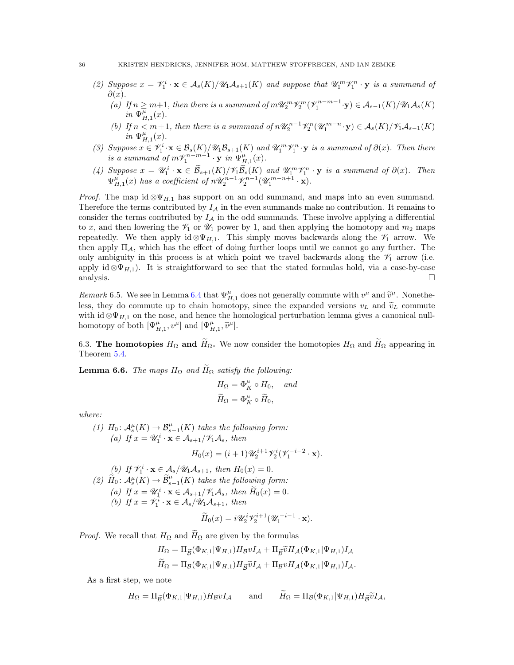- (2) Suppose  $x = \mathcal{V}_1^i \cdot \mathbf{x} \in \mathcal{A}_s(K)/\mathcal{U}_1\mathcal{A}_{s+1}(K)$  and suppose that  $\mathcal{U}_1^m \mathcal{V}_1^n \cdot \mathbf{y}$  is a summand of  $\partial(x)$ .
	- (a) If  $n \geq m+1$ , then there is a summand of  $m\mathcal{U}_2^m \mathcal{V}_2^m (\mathcal{V}_1^{n-m-1} \cdot \mathbf{y}) \in \mathcal{A}_{s-1}(K)/\mathcal{U}_1\mathcal{A}_s(K)$  $in \Psi_{H,1}^{\mu}(x)$ .
	- (b) If  $n < m+1$ , then there is a summand of  $n\mathcal{U}_2^{n-1}\mathcal{V}_2^n(\mathcal{U}_1^{m-n}\cdot y) \in \mathcal{A}_s(K)/\mathcal{V}_1\mathcal{A}_{s-1}(K)$ in  $\Psi_{H,1}^{\mu}(x)$ .
- (3) Suppose  $x \in \mathcal{V}_1^i \cdot \mathbf{x} \in \mathcal{B}_s(K)/\mathcal{U}_1\mathcal{B}_{s+1}(K)$  and  $\mathcal{U}_1^m \mathcal{V}_1^n \cdot \mathbf{y}$  is a summand of  $\partial(x)$ . Then there is a summand of  $m\mathcal{V}_1^{n-m-1}\cdot \mathbf{y}$  in  $\Psi_{H,1}^{\mu}(x)$ .
- (4) Suppose  $x = \mathscr{U}_1^i \cdot \mathbf{x} \in \widetilde{\mathcal{B}}_{s+1}(K)/\mathscr{V}_1 \widetilde{\mathcal{B}}_s(K)$  and  $\mathscr{U}_1^m \mathscr{V}_1^n \cdot \mathbf{y}$  is a summand of  $\partial(x)$ . Then  $\Psi_{H,1}^{\mu}(x)$  has a coefficient of  $n\mathscr{U}_2^{n-1}\mathscr{V}_2^{n-1}(\mathscr{U}_1^{m-n+1}\cdot \mathbf{x}).$

*Proof.* The map id  $\otimes \Psi_{H,1}$  has support on an odd summand, and maps into an even summand. Therefore the terms contributed by  $I_A$  in the even summands make no contribution. It remains to consider the terms contributed by  $I_A$  in the odd summands. These involve applying a differential to x, and then lowering the  $\mathcal{V}_1$  or  $\mathcal{U}_1$  power by 1, and then applying the homotopy and  $m_2$  maps repeatedly. We then apply id  $\otimes \Psi_{H,1}$ . This simply moves backwards along the  $\mathscr{V}_1$  arrow. We then apply  $\Pi_A$ , which has the effect of doing further loops until we cannot go any further. The only ambiguity in this process is at which point we travel backwards along the  $\mathcal{V}_1$  arrow (i.e. apply id  $\otimes \Psi_{H,1}$ ). It is straightforward to see that the stated formulas hold, via a case-by-case analysis.  $\square$ 

Remark 6.5. We see in Lemma [6.4](#page-34-0) that  $\Psi_{H,1}^{\mu}$  does not generally commute with  $v^{\mu}$  and  $\tilde{v}^{\mu}$ . Nonetheless, they do commute up to chain homotopy, since the expanded versions  $v_L$  and  $\tilde{v}_L$  commute with id  $\otimes \Psi_{H,1}$  on the nose, and hence the homological perturbation lemma gives a canonical nullhomotopy of both  $[\Psi^{\mu}_{H,1}, v^{\mu}]$  and  $[\Psi^{\mu}_{H,1}, \tilde{v}^{\mu}]$ .

<span id="page-35-0"></span>6.3. The homotopies  $H_{\Omega}$  and  $\widetilde{H}_{\Omega}$ . We now consider the homotopies  $H_{\Omega}$  and  $\widetilde{H}_{\Omega}$  appearing in Theorem [5.4.](#page-29-2)

<span id="page-35-1"></span>**Lemma 6.6.** The maps  $H_{\Omega}$  and  $H_{\Omega}$  satisfy the following:

$$
H_{\Omega} = \Phi_K^{\mu} \circ H_0, \quad \text{and}
$$
  

$$
\widetilde{H}_{\Omega} = \Phi_K^{\mu} \circ \widetilde{H}_0,
$$

where:

\n- (1) 
$$
H_0: \mathcal{A}_s^{\mu}(K) \to \mathcal{B}_{s-1}^{\mu}(K)
$$
 takes the following form:
\n- (a) If  $x = \mathcal{U}_1^i \cdot \mathbf{x} \in \mathcal{A}_{s+1}/\mathcal{V}_1\mathcal{A}_s$ , then\n 
$$
H_0(x) = (i+1)\mathcal{U}_2^{i+1}\mathcal{V}_2^i(\mathcal{V}_1^{-i-2} \cdot \mathbf{x}).
$$
\n
\n- (b) If  $\mathcal{V}_1^i \cdot \mathbf{x} \in \mathcal{A}_s/\mathcal{U}_1\mathcal{A}_{s+1}$ , then  $H_0(x) = 0$ .
\n- (2)  $\widetilde{H}_0: \mathcal{A}_s^{\mu}(K) \to \widetilde{\mathcal{B}}_{s-1}^{\mu}(K)$  takes the following form:
\n- (a) If  $x = \mathcal{U}_1^i \cdot \mathbf{x} \in \mathcal{A}_{s+1}/\mathcal{V}_1\mathcal{A}_s$ , then  $\widetilde{H}_0(x) = 0$ .
\n- (b) If  $x = \mathcal{V}_1^i \cdot \mathbf{x} \in \mathcal{A}_s/\mathcal{U}_1\mathcal{A}_{s+1}$ , then
\n

$$
\widetilde{H}_0(x) = i \mathscr{U}_2^i \mathscr{V}_2^{i+1} (\mathscr{U}_1^{-i-1} \cdot \mathbf{x}).
$$

*Proof.* We recall that  $H_{\Omega}$  and  $\widetilde{H}_{\Omega}$  are given by the formulas

$$
H_{\Omega} = \Pi_{\widetilde{\mathcal{B}}}(\Phi_{K,1}|\Psi_{H,1})H_{\mathcal{B}}vI_{\mathcal{A}} + \Pi_{\widetilde{\mathcal{B}}} \widetilde{v}H_{\mathcal{A}}(\Phi_{K,1}|\Psi_{H,1})I_{\mathcal{A}}
$$
  

$$
\widetilde{H}_{\Omega} = \Pi_{\mathcal{B}}(\Phi_{K,1}|\Psi_{H,1})H_{\widetilde{\mathcal{B}}} \widetilde{v}I_{\mathcal{A}} + \Pi_{\mathcal{B}}vH_{\mathcal{A}}(\Phi_{K,1}|\Psi_{H,1})I_{\mathcal{A}}.
$$

As a first step, we note

$$
H_{\Omega} = \Pi_{\widetilde{\mathcal{B}}}(\Phi_{K,1}|\Psi_{H,1})H_{\mathcal{B}}vI_{\mathcal{A}} \quad \text{and} \quad \widetilde{H}_{\Omega} = \Pi_{\mathcal{B}}(\Phi_{K,1}|\Psi_{H,1})H_{\widetilde{\mathcal{B}}}vI_{\mathcal{A}},
$$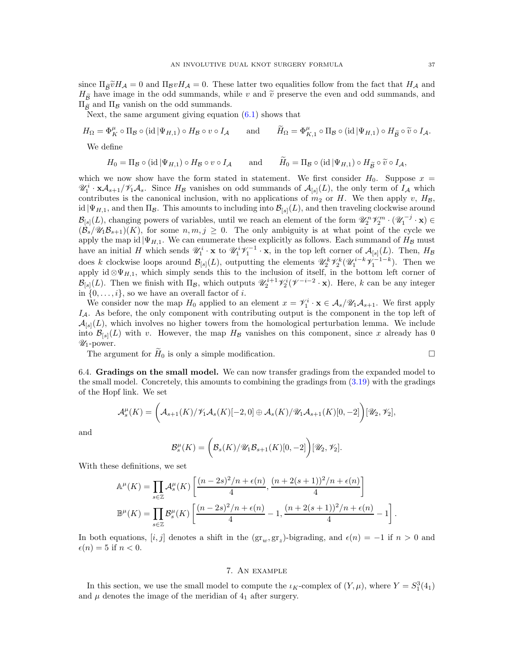since  $\Pi_{\widetilde{\beta}}\widetilde{\nu}H_{\mathcal{A}}=0$  and  $\Pi_{\beta}\nu H_{\mathcal{A}}=0$ . These latter two equalities follow from the fact that  $H_{\mathcal{A}}$  and  $H_{\widetilde{B}}$  have image in the odd summands, while v and  $\widetilde{v}$  preserve the even and odd summands, and  $\Pi_{\tilde{\beta}}$  and  $\Pi_{\beta}$  vanish on the odd summands.

Next, the same argument giving equation  $(6.1)$  shows that

$$
H_{\Omega} = \Phi_K^{\mu} \circ \Pi_{\mathcal{B}} \circ (\text{id} \mid \Psi_{H,1}) \circ H_{\mathcal{B}} \circ v \circ I_{\mathcal{A}} \quad \text{and} \quad \widetilde{H}_{\Omega} = \Phi_{K,1}^{\mu} \circ \Pi_{\mathcal{B}} \circ (\text{id} \mid \Psi_{H,1}) \circ H_{\widetilde{\mathcal{B}}} \circ \widetilde{v} \circ I_{\mathcal{A}}.
$$
  
We define

 $H_0 = \Pi_{\mathcal{B}} \circ (\text{id} \,|\Psi_{H,1}) \circ H_{\mathcal{B}} \circ v \circ I_{\mathcal{A}}$  and  $\widetilde{H}_0 = \Pi_{\mathcal{B}} \circ (\text{id} \,|\Psi_{H,1}) \circ H_{\widetilde{\mathcal{B}}} \circ \widetilde{v} \circ I_{\mathcal{A}}$ ,

which we now show have the form stated in statement. We first consider  $H_0$ . Suppose  $x =$  $\mathscr{U}_1^i \cdot \mathbf{x} \mathcal{A}_{s+1}/\mathscr{V}_1 \mathcal{A}_s$ . Since  $H_{\mathcal{B}}$  vanishes on odd summands of  $\mathcal{A}_{[s]}(L)$ , the only term of  $I_{\mathcal{A}}$  which contributes is the canonical inclusion, with no applications of  $m_2$  or H. We then apply v,  $H_B$ , id  $|\Psi_{H,1}$ , and then  $\Pi_B$ . This amounts to including into  $\mathcal{B}_{[s]}(L)$ , and then traveling clockwise around  $\mathcal{B}_{[s]}(L)$ , changing powers of variables, until we reach an element of the form  $\mathscr{U}_2^n \mathscr{V}_2^m \cdot (\mathscr{U}_1^{-j} \cdot \mathbf{x}) \in$  $(\mathcal{B}_s/\mathscr{U}_1\mathscr{B}_{s+1})(K)$ , for some  $n, m, j \geq 0$ . The only ambiguity is at what point of the cycle we apply the map id  $|\Psi_{H,1}$ . We can enumerate these explicitly as follows. Each summand of  $H_B$  must have an initial H which sends  $\mathscr{U}_1^i \cdot \mathbf{x}$  to  $\mathscr{U}_1^i \mathscr{V}_1^{-1} \cdot \mathbf{x}$ , in the top left corner of  $\mathcal{A}_{[s]}(L)$ . Then,  $H_{\mathcal{B}}$ does k clockwise loops around  $\mathcal{B}_{[s]}(L)$ , outputting the elements  $\mathscr{U}_2^k \mathscr{V}_2^k(\mathscr{U}_1^{i-k} \mathscr{V}_1^{-1-k})$ . Then we apply id  $\otimes \Psi_{H,1}$ , which simply sends this to the inclusion of itself, in the bottom left corner of  $\mathcal{B}_{[s]}(L)$ . Then we finish with  $\Pi_{\mathcal{B}}$ , which outputs  $\mathscr{U}_2^{i+1}\mathscr{V}_2^{i}(\mathscr{V}^{-i-2}\cdot\mathbf{x})$ . Here, k can be any integer in  $\{0, \ldots, i\}$ , so we have an overall factor of *i*.

We consider now the map  $H_0$  applied to an element  $x = \mathcal{V}_1^i \cdot \mathbf{x} \in \mathcal{A}_s / \mathcal{U}_1 \mathcal{A}_{s+1}$ . We first apply  $I_A$ . As before, the only component with contributing output is the component in the top left of  $\mathcal{A}_{[s]}(L)$ , which involves no higher towers from the homological perturbation lemma. We include into  $\mathcal{B}_{[s]}(L)$  with v. However, the map  $H_{\mathcal{B}}$  vanishes on this component, since x already has 0  $\mathcal{U}_1$ -power.

The argument for  $H_0$  is only a simple modification.

<span id="page-36-0"></span>6.4. **Gradings on the small model.** We can now transfer grading from the expanded model to the small model. Concretely, this amounts to combining the gradings from 
$$
(3.19)
$$
 with the gradings of the Hopf link. We set

$$
\mathcal{A}_s^{\mu}(K) = \left(\mathcal{A}_{s+1}(K)/\mathcal{V}_1\mathcal{A}_s(K)[-2,0] \oplus \mathcal{A}_s(K)/\mathcal{U}_1\mathcal{A}_{s+1}(K)[0,-2]\right)[\mathcal{U}_2,\mathcal{V}_2],
$$

and

$$
\mathcal{B}_{s}^{\mu}(K) = \bigg(\mathcal{B}_{s}(K)/\mathscr{U}_{1}\mathcal{B}_{s+1}(K)[0,-2]\bigg)[\mathscr{U}_{2},\mathscr{V}_{2}].
$$

With these definitions, we set

$$
\mathbb{A}^{\mu}(K) = \prod_{s \in \mathbb{Z}} \mathcal{A}_s^{\mu}(K) \left[ \frac{(n-2s)^2/n + \epsilon(n)}{4}, \frac{(n+2(s+1))^2/n + \epsilon(n)}{4} \right]
$$

$$
\mathbb{B}^{\mu}(K) = \prod_{s \in \mathbb{Z}} \mathcal{B}_s^{\mu}(K) \left[ \frac{(n-2s)^2/n + \epsilon(n)}{4} - 1, \frac{(n+2(s+1))^2/n + \epsilon(n)}{4} - 1 \right].
$$

In both equations,  $[i, j]$  denotes a shift in the  $(\text{gr}_w, \text{gr}_z)$ -bigrading, and  $\epsilon(n) = -1$  if  $n > 0$  and  $\epsilon(n) = 5$  if  $n < 0$ .

### 7. An example

<span id="page-36-1"></span>In this section, we use the small model to compute the  $\iota_K$ -complex of  $(Y, \mu)$ , where  $Y = S_1^3(4_1)$ and  $\mu$  denotes the image of the meridian of  $4<sub>1</sub>$  after surgery.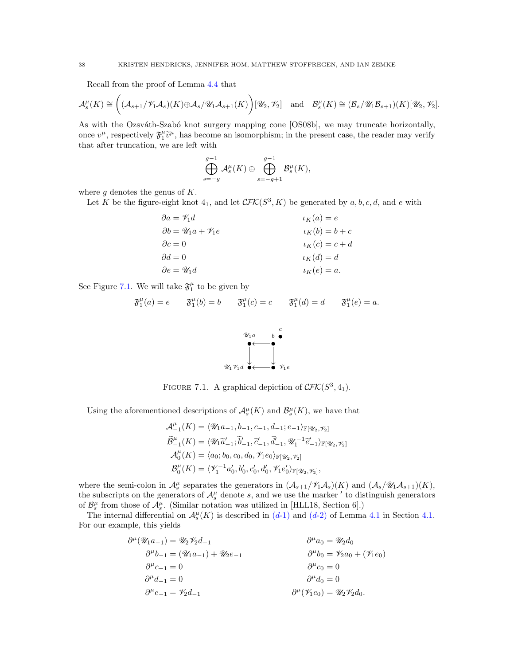Recall from the proof of Lemma [4.4](#page-21-0) that

$$
\mathcal{A}_{s}^{\mu}(K) \cong \left( (\mathcal{A}_{s+1}/\mathscr{V}_{1}\mathcal{A}_{s})(K) \oplus \mathcal{A}_{s}/\mathscr{U}_{1}\mathcal{A}_{s+1}(K) \right) [\mathscr{U}_{2},\mathscr{V}_{2}] \text{ and } \mathcal{B}_{s}^{\mu}(K) \cong (\mathcal{B}_{s}/\mathscr{U}_{1}\mathcal{B}_{s+1})(K) [\mathscr{U}_{2},\mathscr{V}_{2}].
$$

As with the Ozsváth-Szabó knot surgery mapping cone [\[OS08b\]](#page-45-5), we may truncate horizontally, once  $v^{\mu}$ , respectively  $\mathfrak{F}_{1}^{\mu}\tilde{v}^{\mu}$ , has become an isomorphism; in the present case, the reader may verify that after truncation, we are left with

$$
\bigoplus_{s=-g}^{g-1} \mathcal{A}_s^{\mu}(K) \oplus \bigoplus_{s=-g+1}^{g-1} \mathcal{B}_s^{\mu}(K),
$$

where  $g$  denotes the genus of  $K$ .

Let K be the figure-eight knot  $4_1$ , and let  $\mathcal{CFK}(S^3, K)$  be generated by  $a, b, c, d$ , and e with

$$
\begin{aligned}\n\partial a &= \mathscr{V}_1 d & \iota_K(a) &= e \\
\partial b &= \mathscr{U}_1 a + \mathscr{V}_1 e & \iota_K(b) &= b + c \\
\partial c &= 0 & \iota_K(c) &= c + d \\
\partial d &= 0 & \iota_K(d) &= d \\
\partial e &= \mathscr{U}_1 d & \iota_K(e) &= a.\n\end{aligned}
$$

<span id="page-37-0"></span>See Figure [7.1.](#page-37-0) We will take  $\mathfrak{F}^{\mu}_1$  to be given by

$$
\mathfrak{F}_1^{\mu}(a) = e \qquad \mathfrak{F}_1^{\mu}(b) = b \qquad \mathfrak{F}_1^{\mu}(c) = c \qquad \mathfrak{F}_1^{\mu}(d) = d \qquad \mathfrak{F}_1^{\mu}(e) = a.
$$



FIGURE 7.1. A graphical depiction of  $\mathcal{CFK}(S^3, 4_1)$ .

Using the aforementioned descriptions of  $\mathcal{A}_{s}^{\mu}(K)$  and  $\mathcal{B}_{s}^{\mu}(K)$ , we have that

$$
\begin{split} \mathcal{A}^{\mu}_{-1}(K) &= \langle \mathcal{U}_1 a_{-1}, b_{-1}, c_{-1}, d_{-1}; e_{-1} \rangle_{\mathbb{F}[\mathcal{U}_2, \mathcal{V}_2]} \\ \widetilde{\mathcal{B}}^{\mu}_{-1}(K) &= \langle \mathcal{U}_1 \widetilde{a}'_{-1}; \widetilde{b}'_{-1}, \widetilde{c}'_{-1}, \widetilde{d}'_{-1}, \mathcal{U}_1^{-1} \widetilde{e}'_{-1} \rangle_{\mathbb{F}[\mathcal{U}_2, \mathcal{V}_2]} \\ \mathcal{A}^{\mu}_{0}(K) &= \langle a_0; b_0, c_0, d_0, \mathcal{V}_{1} e_0 \rangle_{\mathbb{F}[\mathcal{U}_2, \mathcal{V}_2]} \\ \mathcal{B}^{\mu}_{0}(K) &= \langle \mathcal{V}_1^{-1} a'_0, b'_0, c'_0, d'_0, \mathcal{V}_1 e'_0 \rangle_{\mathbb{F}[\mathcal{U}_2, \mathcal{V}_2]}, \end{split}
$$

where the semi-colon in  $\mathcal{A}_{s}^{\mu}$  separates the generators in  $(\mathcal{A}_{s+1}/\mathcal{V}_{1}\mathcal{A}_{s})(K)$  and  $(\mathcal{A}_{s}/\mathcal{U}_{1}\mathcal{A}_{s+1})(K)$ , the subscripts on the generators of  $\mathcal{A}_{s}^{\mu}$  denote s, and we use the marker ' to distinguish generators of  $\mathcal{B}_{s}^{\mu}$  from those of  $\mathcal{A}_{s}^{\mu}$ . (Similar notation was utilized in [\[HLL18,](#page-45-12) Section 6].)

The internal differential on  $\mathcal{A}_{s}^{\mu}(K)$  is described in  $(d-1)$  $(d-1)$  and  $(d-2)$  $(d-2)$  of Lemma [4.1](#page-19-0) in Section [4.1.](#page-18-1) For our example, this yields

$$
\partial^{\mu}(\mathcal{U}_{1}a_{-1}) = \mathcal{U}_{2}\mathcal{V}_{2}d_{-1} \qquad \partial^{\mu}a_{0} = \mathcal{U}_{2}d_{0} \n\partial^{\mu}b_{-1} = (\mathcal{U}_{1}a_{-1}) + \mathcal{U}_{2}e_{-1} \qquad \partial^{\mu}b_{0} = \mathcal{V}_{2}a_{0} + (\mathcal{V}_{1}e_{0}) \n\partial^{\mu}c_{-1} = 0 \qquad \partial^{\mu}d_{-1} = 0 \qquad \partial^{\mu}e_{-1} = \mathcal{V}_{2}d_{-1} \qquad \partial^{\mu}(\mathcal{V}_{1}e_{0}) = \mathcal{U}_{2}\mathcal{V}_{2}d_{0}.
$$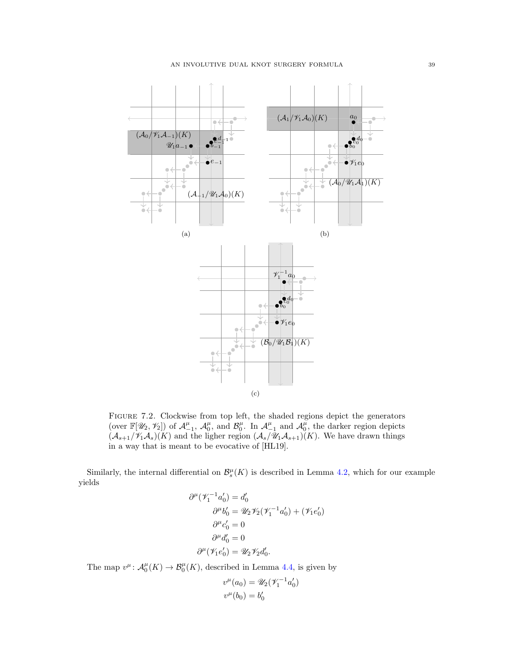

Figure 7.2. Clockwise from top left, the shaded regions depict the generators (over  $\mathbb{F}[\mathscr{U}_2, \mathscr{V}_2]$ ) of  $\mathcal{A}_{-1}^{\mu}$ ,  $\mathcal{A}_{0}^{\mu}$ , and  $\mathcal{B}_{0}^{\mu}$ . In  $\mathcal{A}_{-1}^{\mu}$  and  $\mathcal{A}_{0}^{\mu}$ , the darker region depicts  $(\mathcal{A}_{s+1}/\mathcal{V}_1\mathcal{A}_s)(K)$  and the ligher region  $(\mathcal{A}_s/\mathcal{U}_1\mathcal{A}_{s+1})(K)$ . We have drawn things in a way that is meant to be evocative of [\[HL19\]](#page-45-6).

Similarly, the internal differential on  $\mathcal{B}_{s}^{\mu}(K)$  is described in Lemma [4.2,](#page-20-3) which for our example yields

$$
\partial^{\mu}(\mathscr{V}_{1}^{-1}a'_{0}) = d'_{0}
$$
  
\n
$$
\partial^{\mu}b'_{0} = \mathscr{U}_{2}\mathscr{V}_{2}(\mathscr{V}_{1}^{-1}a'_{0}) + (\mathscr{V}_{1}e'_{0})
$$
  
\n
$$
\partial^{\mu}c'_{0} = 0
$$
  
\n
$$
\partial^{\mu}d'_{0} = 0
$$
  
\n
$$
\partial^{\mu}(\mathscr{V}_{1}e'_{0}) = \mathscr{U}_{2}\mathscr{V}_{2}d'_{0}.
$$

The map  $v^{\mu}$ :  $\mathcal{A}_0^{\mu}(K) \to \mathcal{B}_0^{\mu}(K)$ , described in Lemma [4.4,](#page-21-0) is given by

$$
v^{\mu}(a_0) = \mathscr{U}_2(\mathscr{V}_1^{-1}a'_0)
$$
  

$$
v^{\mu}(b_0) = b'_0
$$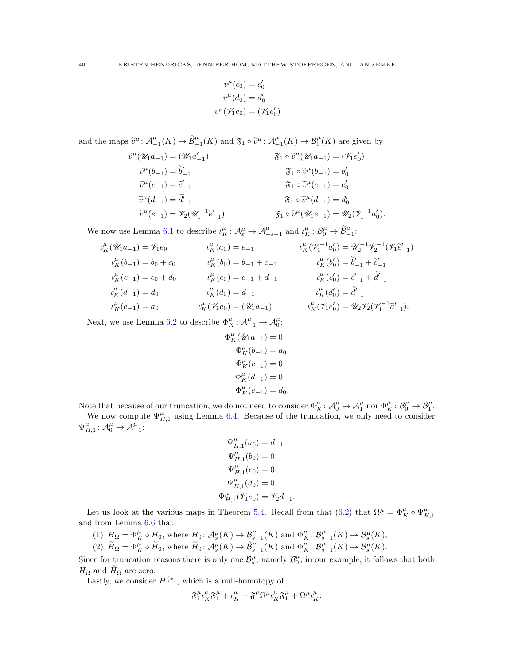$$
v^{\mu}(c_0) = c'_0
$$
  

$$
v^{\mu}(d_0) = d'_0
$$
  

$$
v^{\mu}(\mathscr{V}_1e_0) = (\mathscr{V}_1e'_0)
$$

and the maps  $\widetilde{v}^{\mu}$ :  $\mathcal{A}_{-1}^{\mu}(K) \to \widetilde{\mathcal{B}}_{-1}^{\mu}(K)$  and  $\mathfrak{F}_1 \circ \widetilde{v}^{\mu}$ :  $\mathcal{A}_{-1}^{\mu}(K) \to \mathcal{B}_0^{\mu}(K)$  are given by

$$
\widetilde{v}^{\mu}(\mathscr{U}_{1}a_{-1}) = (\mathscr{U}_{1}\widetilde{a}'_{-1}) \qquad \qquad \mathfrak{F}_{1} \circ \widetilde{v}^{\mu}(\mathscr{U}_{1}a_{-1}) = (\mathscr{V}_{1}e'_{0})
$$
  
\n
$$
\widetilde{v}^{\mu}(b_{-1}) = \widetilde{b}'_{-1} \qquad \qquad \mathfrak{F}_{1} \circ \widetilde{v}^{\mu}(\mathscr{U}_{1}a_{-1}) = (\mathscr{V}_{1}e'_{0})
$$
  
\n
$$
\widetilde{v}^{\mu}(c_{-1}) = \widetilde{c}'_{-1} \qquad \qquad \mathfrak{F}_{1} \circ \widetilde{v}^{\mu}(c_{-1}) = c'_{0}
$$
  
\n
$$
\widetilde{v}^{\mu}(d_{-1}) = \widetilde{d}'_{-1} \qquad \qquad \mathfrak{F}_{1} \circ \widetilde{v}^{\mu}(d_{-1}) = d'_{0}
$$
  
\n
$$
\widetilde{v}^{\mu}(e_{-1}) = \mathscr{V}_{2}(\mathscr{U}_{1}^{-1}\widetilde{e}'_{-1}) \qquad \qquad \mathfrak{F}_{1} \circ \widetilde{v}^{\mu}(\mathscr{U}_{1}e_{-1}) = \mathscr{U}_{2}(\mathscr{V}_{1}^{-1}a'_{0}).
$$

We now use Lemma [6.1](#page-33-4) to describe  $\iota_K^{\mu} : \mathcal{A}_s^{\mu} \to \mathcal{A}_{-s-1}^{\mu}$  and  $\iota_K^{\mu} : \mathcal{B}_0^{\mu} \to \widetilde{\mathcal{B}}_{-1}^{\mu}$ :

$$
\iota_K^{\mu}(\mathcal{U}_1 a_{-1}) = \mathcal{V}_1 e_0
$$
\n
$$
\iota_K^{\mu}(\mathcal{U}_0) = e_{-1}
$$
\n
$$
\iota_K^{\mu}(\mathcal{V}_1^{-1} a_0') = \mathcal{U}_2^{-1} \mathcal{V}_2^{-1}(\mathcal{V}_1 \tilde{e}_{-1}')
$$
\n
$$
\iota_K^{\mu}(\mathcal{b}_{-1}) = \mathcal{b}_0 + \mathcal{c}_0
$$
\n
$$
\iota_K^{\mu}(\mathcal{b}_0) = \mathcal{b}_{-1} + \mathcal{c}_{-1}
$$
\n
$$
\iota_K^{\mu}(\mathcal{b}_0') = \tilde{\mathcal{b}}_{-1}' + \tilde{\mathcal{c}}_{-1}'
$$
\n
$$
\iota_K^{\mu}(\mathcal{c}_{0} - \tilde{\mathcal{b}}_{-1}' + \tilde{\mathcal{c}}_{-1}'
$$
\n
$$
\iota_K^{\mu}(\mathcal{c}_0) = \mathcal{c}_{-1} + \mathcal{d}_{-1}
$$
\n
$$
\iota_K^{\mu}(\mathcal{c}_0') = \tilde{\mathcal{C}}_{-1} + \tilde{\mathcal{d}}_{-1}'
$$
\n
$$
\iota_K^{\mu}(\mathcal{d}_0) = \mathcal{d}_{-1}
$$
\n
$$
\iota_K^{\mu}(\mathcal{d}_0') = \tilde{\mathcal{d}}_{-1}
$$
\n
$$
\iota_K^{\mu}(\mathcal{d}_0) = \tilde{\mathcal{d}}_{-1}
$$
\n
$$
\iota_K^{\mu}(\mathcal{d}_0') = \tilde{\mathcal{d}}_{-1}
$$
\n
$$
\iota_K^{\mu}(\mathcal{H}_1 e_0') = \mathcal{U}_2 \mathcal{V}_2(\mathcal{V}_1^{-1} \tilde{\mathcal{d}}_{-1}').
$$

Next, we use Lemma [6.2](#page-34-1) to describe  $\Phi_K^{\mu} : \mathcal{A}_{-1}^{\mu} \to \mathcal{A}_0^{\mu}$ :

$$
\Phi_K^{\mu}(\mathscr{U}_1 a_{-1}) = 0
$$
  
\n
$$
\Phi_K^{\mu} (b_{-1}) = a_0
$$
  
\n
$$
\Phi_K^{\mu} (c_{-1}) = 0
$$
  
\n
$$
\Phi_K^{\mu} (d_{-1}) = 0
$$
  
\n
$$
\Phi_K^{\mu} (e_{-1}) = d_0.
$$

Note that because of our truncation, we do not need to consider  $\Phi_K^{\mu} \colon \mathcal{A}_0^{\mu} \to \mathcal{A}_1^{\mu}$  nor  $\Phi_K^{\mu} \colon \mathcal{B}_0^{\mu} \to \mathcal{B}_1^{\mu}$ .

We now compute  $\Psi_{H,1}^{\mu}$  using Lemma [6.4.](#page-34-0) Because of the truncation, we only need to consider  $\Psi_{H,1}^{\mu} : \mathcal{A}_0^{\mu} \to \mathcal{A}_{-1}^{\mu}:$ 

$$
\Psi_{H,1}^{\mu}(a_0) = d_{-1}
$$
  
\n
$$
\Psi_{H,1}^{\mu}(b_0) = 0
$$
  
\n
$$
\Psi_{H,1}^{\mu}(c_0) = 0
$$
  
\n
$$
\Psi_{H,1}^{\mu}(d_0) = 0
$$
  
\n
$$
\Psi_{H,1}^{\mu}(\mathscr{V}_{1}e_0) = \mathscr{V}_{2}d_{-1}.
$$

Let us look at the various maps in Theorem [5.4.](#page-29-2) Recall from that  $(6.2)$  that  $\Omega^{\mu} = \Phi_{K}^{\mu} \circ \Psi_{H,1}^{\mu}$ and from Lemma [6.6](#page-35-1) that

(1)  $H_{\Omega} = \Phi_K^{\mu} \circ H_0$ , where  $H_0: \mathcal{A}_s^{\mu}(K) \to \mathcal{B}_{s-1}^{\mu}(K)$  and  $\Phi_K^{\mu}: \mathcal{B}_{s-1}^{\mu}(K) \to \mathcal{B}_s^{\mu}(K)$ ,

(2) 
$$
\widetilde{H}_{\Omega} = \Phi_K^{\mu} \circ \widetilde{H}_0
$$
, where  $\widetilde{H}_0 \colon \mathcal{A}_s^{\mu}(K) \to \widetilde{\mathcal{B}}_{s-1}^{\mu}(K)$  and  $\Phi_K^{\mu} \colon \mathcal{B}_{s-1}^{\mu}(K) \to \mathcal{B}_s^{\mu}(K)$ .

Since for truncation reasons there is only one  $\mathcal{B}_s^{\mu}$ , namely  $\mathcal{B}_0^{\mu}$ , in our example, it follows that both  $H_{\Omega}$  and  $H_{\Omega}$  are zero.

Lastly, we consider  $H^{\{\ast\}}$ , which is a null-homotopy of

$$
\mathfrak{F}_{1}^{\mu}\iota_{K}^{\mu}\mathfrak{F}_{1}^{\mu}+\iota_{K}^{\mu}+\mathfrak{F}_{1}^{\mu}\Omega^{\mu}\iota_{K}^{\mu}\mathfrak{F}_{1}^{\mu}+\Omega^{\mu}\iota_{K}^{\mu}.
$$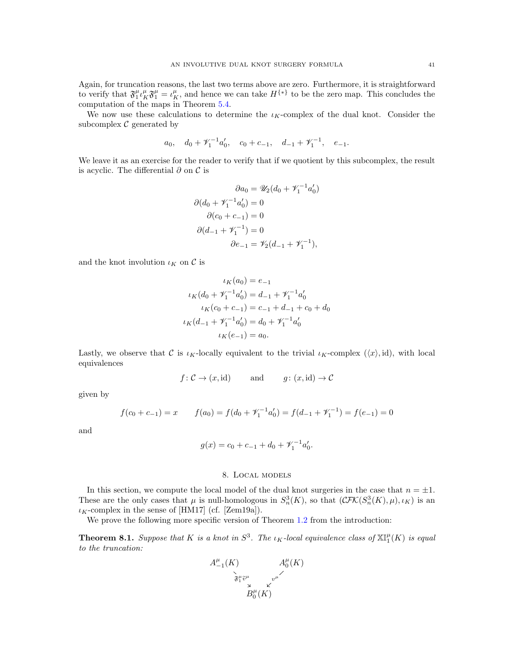Again, for truncation reasons, the last two terms above are zero. Furthermore, it is straightforward to verify that  $\mathfrak{F}_1^{\mu} \iota_K^{\mu} \mathfrak{F}_1^{\mu} = \iota_K^{\mu}$ , and hence we can take  $H^{\{*\}}$  to be the zero map. This concludes the computation of the maps in Theorem [5.4.](#page-29-2)

We now use these calculations to determine the  $\iota_K$ -complex of the dual knot. Consider the subcomplex  $C$  generated by

$$
a_0
$$
,  $d_0 + \mathscr{V}_1^{-1}a'_0$ ,  $c_0 + c_{-1}$ ,  $d_{-1} + \mathscr{V}_1^{-1}$ ,  $e_{-1}$ .

We leave it as an exercise for the reader to verify that if we quotient by this subcomplex, the result is acyclic. The differential  $\partial$  on  $\mathcal C$  is

$$
\partial a_0 = \mathscr{U}_2(d_0 + \mathscr{V}_1^{-1} a_0')
$$
  

$$
\partial (d_0 + \mathscr{V}_1^{-1} a_0') = 0
$$
  

$$
\partial (c_0 + c_{-1}) = 0
$$
  

$$
\partial (d_{-1} + \mathscr{V}_1^{-1}) = 0
$$
  

$$
\partial e_{-1} = \mathscr{V}_2(d_{-1} + \mathscr{V}_1^{-1}),
$$

and the knot involution  $\iota_K$  on  $\mathcal C$  is

$$
\iota_K(a_0) = e_{-1}
$$
  
\n
$$
\iota_K(d_0 + \mathscr{V}_1^{-1}a'_0) = d_{-1} + \mathscr{V}_1^{-1}a'_0
$$
  
\n
$$
\iota_K(c_0 + c_{-1}) = c_{-1} + d_{-1} + c_0 + d_0
$$
  
\n
$$
\iota_K(d_{-1} + \mathscr{V}_1^{-1}a'_0) = d_0 + \mathscr{V}_1^{-1}a'_0
$$
  
\n
$$
\iota_K(e_{-1}) = a_0.
$$

Lastly, we observe that C is  $\iota_K$ -locally equivalent to the trivial  $\iota_K$ -complex  $(\langle x \rangle, id)$ , with local equivalences

$$
f: \mathcal{C} \to (x, id)
$$
 and  $g: (x, id) \to \mathcal{C}$ 

given by

$$
f(c_0 + c_{-1}) = x \qquad f(a_0) = f(d_0 + \mathcal{V}_1^{-1} a_0') = f(d_{-1} + \mathcal{V}_1^{-1}) = f(e_{-1}) = 0
$$

and

$$
g(x) = c_0 + c_{-1} + d_0 + \mathcal{V}_1^{-1} a'_0.
$$

## 8. Local models

<span id="page-40-0"></span>In this section, we compute the local model of the dual knot surgeries in the case that  $n = \pm 1$ . These are the only cases that  $\mu$  is null-homologous in  $S_n^3(K)$ , so that  $(\mathcal{CFK}(S_n^3(K), \mu), \iota_K)$  is an  $\iota_K$ -complex in the sense of [\[HM17\]](#page-45-13) (cf. [\[Zem19a\]](#page-45-31)).

We prove the following more specific version of Theorem [1.2](#page-2-2) from the introduction:

<span id="page-40-1"></span>**Theorem 8.1.** Suppose that K is a knot in  $S^3$ . The  $\iota_K$ -local equivalence class of  $\mathbb{X} \mathbb{I}^{\mu}_1(K)$  is equal to the truncation:

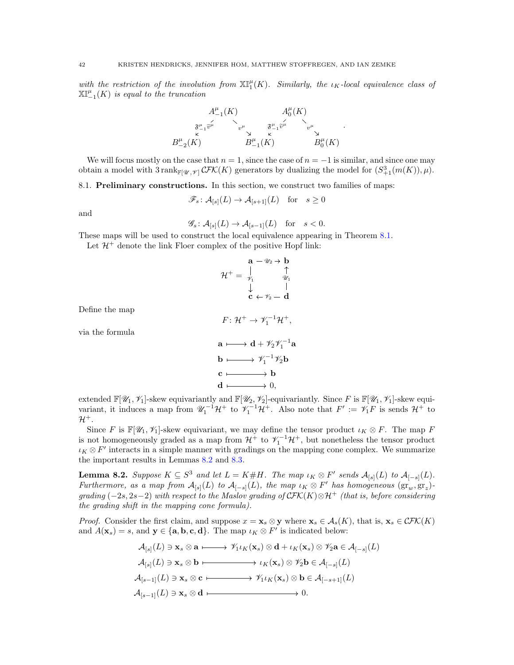with the restriction of the involution from  $\mathbb{XI}^{\mu}_1(K)$ . Similarly, the  $\iota_K$ -local equivalence class of  $\mathbb{XI}_{-1}^{\mu}(K)$  is equal to the truncation



We will focus mostly on the case that  $n = 1$ , since the case of  $n = -1$  is similar, and since one may obtain a model with  $3 \text{ rank}_{\mathbb{F}[\mathscr{U},\mathscr{V}]} \mathcal{CFK}(K)$  generators by dualizing the model for  $(S^3_{+1}(m(K)), \mu)$ .

<span id="page-41-0"></span>8.1. Preliminary constructions. In this section, we construct two families of maps:

$$
\mathscr{F}_s \colon \mathcal{A}_{[s]}(L) \to \mathcal{A}_{[s+1]}(L) \quad \text{for} \quad s \ge 0
$$

and

$$
\mathscr{G}_s \colon \mathcal{A}_{[s]}(L) \to \mathcal{A}_{[s-1]}(L) \quad \text{for} \quad s < 0.
$$

These maps will be used to construct the local equivalence appearing in Theorem [8.1.](#page-40-1)

Let  $\mathcal{H}^+$  denote the link Floer complex of the positive Hopf link:

$$
\mathcal{H}^{+} = \begin{array}{ccc} \mathbf{a} - \mathcal{U}_2 \rightarrow \mathbf{b} \\ \uparrow \\ \mathcal{H}^{+} = \begin{array}{ccc} \downarrow & \uparrow \\ \mathcal{V}_1 & \mathcal{U}_1 \\ \downarrow & \downarrow \\ \mathbf{c} & \leftarrow \mathcal{V}_2 - \mathbf{d} \end{array}
$$

Define the map

$$
F\colon \mathcal{H}^+ \to \mathscr{V}_1^{-1}\mathcal{H}^+,
$$

via the formula

$$
\mathbf{a} \longmapsto \mathbf{d} + \mathscr{V}_2 \mathscr{V}_1^{-1} \mathbf{a}
$$
  
\n
$$
\mathbf{b} \longmapsto \mathscr{V}_1^{-1} \mathscr{V}_2 \mathbf{b}
$$
  
\n
$$
\mathbf{c} \longmapsto \mathbf{b}
$$
  
\n
$$
\mathbf{d} \longmapsto 0,
$$

extended  $\mathbb{F}[\mathscr{U}_1,\mathscr{V}_1]$ -skew equivariantly and  $\mathbb{F}[\mathscr{U}_2,\mathscr{V}_2]$ -equivariantly. Since F is  $\mathbb{F}[\mathscr{U}_1,\mathscr{V}_1]$ -skew equivariant, it induces a map from  $\mathcal{U}_1^{-1}\mathcal{H}^+$  to  $\mathcal{V}_1^{-1}\mathcal{H}^+$ . Also note that  $F' := \mathcal{V}_1 F$  is sends  $\mathcal{H}^+$  to  $\mathcal{H}^+$ .

Since F is  $\mathbb{F}[\mathscr{U}_1, \mathscr{V}_1]$ -skew equivariant, we may define the tensor product  $\iota_K \otimes F$ . The map F is not homogeneously graded as a map from  $\mathcal{H}^+$  to  $\mathscr{V}_1^{-1}\mathcal{H}^+$ , but nonetheless the tensor product  $\iota_K \otimes F'$  interacts in a simple manner with gradings on the mapping cone complex. We summarize the important results in Lemmas [8.2](#page-41-1) and [8.3.](#page-42-0)

<span id="page-41-1"></span>**Lemma 8.2.** Suppose  $K \subseteq S^3$  and let  $L = K \# H$ . The map  $\iota_K \otimes F'$  sends  $\mathcal{A}_{[s]}(L)$  to  $\mathcal{A}_{[-s]}(L)$ . Furthermore, as a map from  $\mathcal{A}_{[s]}(L)$  to  $\mathcal{A}_{[-s]}(L)$ , the map  $\iota_K \otimes F'$  has homogeneous  $(\operatorname{gr}_{w}, \operatorname{gr}_{z})$ grading (−2s, 2s−2) with respect to the Maslov grading of  $\mathcal{CFK}(K) \otimes \mathcal{H}^+$  (that is, before considering the grading shift in the mapping cone formula).

*Proof.* Consider the first claim, and suppose  $x = \mathbf{x}_s \otimes \mathbf{y}$  where  $\mathbf{x}_s \in \mathcal{A}_s(K)$ , that is,  $\mathbf{x}_s \in \mathcal{CFK}(K)$ and  $A(\mathbf{x}_s) = s$ , and  $\mathbf{y} \in \{\mathbf{a}, \mathbf{b}, \mathbf{c}, \mathbf{d}\}\)$ . The map  $\iota_K \otimes F'$  is indicated below:

$$
\mathcal{A}_{[s]}(L) \ni \mathbf{x}_s \otimes \mathbf{a} \longmapsto \mathscr{V}_1 \iota_K(\mathbf{x}_s) \otimes \mathbf{d} + \iota_K(\mathbf{x}_s) \otimes \mathscr{V}_2 \mathbf{a} \in \mathcal{A}_{[-s]}(L)
$$
\n
$$
\mathcal{A}_{[s]}(L) \ni \mathbf{x}_s \otimes \mathbf{b} \longmapsto \iota_K(\mathbf{x}_s) \otimes \mathscr{V}_2 \mathbf{b} \in \mathcal{A}_{[-s]}(L)
$$
\n
$$
\mathcal{A}_{[s-1]}(L) \ni \mathbf{x}_s \otimes \mathbf{c} \longmapsto \mathscr{V}_1 \iota_K(\mathbf{x}_s) \otimes \mathbf{b} \in \mathcal{A}_{[-s+1]}(L)
$$
\n
$$
\mathcal{A}_{[s-1]}(L) \ni \mathbf{x}_s \otimes \mathbf{d} \longmapsto 0.
$$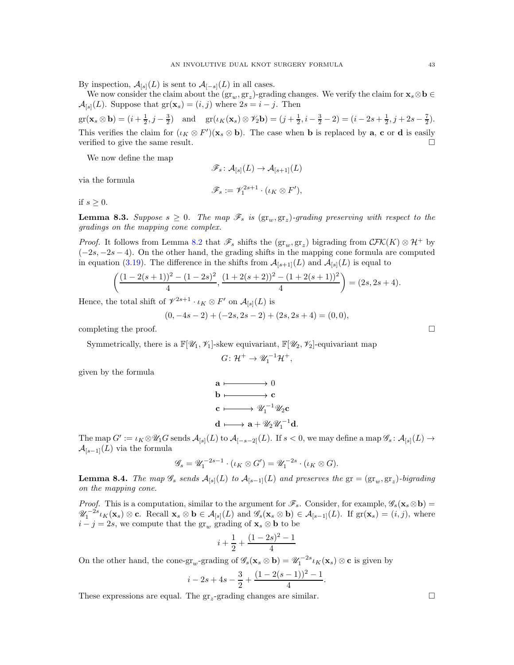By inspection,  $\mathcal{A}_{[s]}(L)$  is sent to  $\mathcal{A}_{[-s]}(L)$  in all cases.

We now consider the claim about the  $(\text{gr}_w, \text{gr}_z)$ -grading changes. We verify the claim for  $\mathbf{x}_s \otimes \mathbf{b} \in \mathbb{R}$  $\mathcal{A}_{[s]}(L)$ . Suppose that  $gr(\mathbf{x}_s) = (i, j)$  where  $2s = i - j$ . Then

 $gr(\mathbf{x}_s \otimes \mathbf{b}) = (i + \frac{1}{2}, j - \frac{3}{2})$  and  $gr(\iota_K(\mathbf{x}_s) \otimes \mathcal{V}_2 \mathbf{b}) = (j + \frac{1}{2}, i - \frac{3}{2} - 2) = (i - 2s + \frac{1}{2}, j + 2s - \frac{7}{2}).$ This verifies the claim for  $(\iota_K \otimes F')(\mathbf{x}_s \otimes \mathbf{b})$ . The case when **b** is replaced by **a**, **c** or **d** is easily verified to give the same result.

We now define the map

$$
\mathscr{F}_s \colon \mathcal{A}_{[s]}(L) \to \mathcal{A}_{[s+1]}(L)
$$
  

$$
\mathscr{F}_s := \mathscr{V}_1^{2s+1} \cdot (\iota_K \otimes F'),
$$

via the formula

if  $s > 0$ .

<span id="page-42-0"></span>**Lemma 8.3.** Suppose  $s \geq 0$ . The map  $\mathscr{F}_s$  is  $(\text{gr}_w, \text{gr}_z)$ -grading preserving with respect to the gradings on the mapping cone complex.

*Proof.* It follows from Lemma [8.2](#page-41-1) that  $\mathscr{F}_s$  shifts the  $(\text{gr}_w, \text{gr}_z)$  bigrading from  $\mathcal{CFK}(K) \otimes \mathcal{H}^+$  by  $(-2s, -2s - 4)$ . On the other hand, the grading shifts in the mapping cone formula are computed in equation [\(3.19\)](#page-18-2). The difference in the shifts from  $\mathcal{A}_{[s+1]}(L)$  and  $\mathcal{A}_{[s]}(L)$  is equal to

$$
\left(\frac{(1-2(s+1))^{2}-(1-2s)^{2}}{4}, \frac{(1+2(s+2))^{2}-(1+2(s+1))^{2}}{4}\right)=(2s, 2s+4).
$$

Hence, the total shift of  $\mathscr{V}^{2s+1} \cdot \iota_K \otimes F'$  on  $\mathcal{A}_{[s]}(L)$  is

$$
(0, -4s - 2) + (-2s, 2s - 2) + (2s, 2s + 4) = (0, 0),
$$

completing the proof.

Symmetrically, there is a  $\mathbb{F}[\mathscr{U}_1, \mathscr{V}_1]$ -skew equivariant,  $\mathbb{F}[\mathscr{U}_2, \mathscr{V}_2]$ -equivariant map

$$
G\colon \mathcal{H}^+ \to \mathscr{U}_1^{-1}\mathcal{H}^+,
$$

given by the formula

$$
\mathbf{a} \longmapsto 0
$$
\n
$$
\mathbf{b} \longmapsto \mathbf{c}
$$
\n
$$
\mathbf{c} \longmapsto \mathscr{U}_1^{-1} \mathscr{U}_2 \mathbf{c}
$$
\n
$$
\mathbf{d} \longmapsto \mathbf{a} + \mathscr{U}_2 \mathscr{U}_1^{-1} \mathbf{d}.
$$

The map  $G' := \iota_K \otimes \mathscr{U}_1 G$  sends  $\mathcal{A}_{[s]}(L)$  to  $\mathcal{A}_{[-s-2]}(L)$ . If  $s < 0$ , we may define a map  $\mathscr{G}_s : \mathcal{A}_{[s]}(L) \to$  $\mathcal{A}_{[s-1]}(L)$  via the formula

$$
\mathscr{G}_s = \mathscr{U}_1^{-2s-1} \cdot (\iota_K \otimes G') = \mathscr{U}_1^{-2s} \cdot (\iota_K \otimes G).
$$

**Lemma 8.4.** The map  $\mathscr{G}_s$  sends  $\mathcal{A}_{[s]}(L)$  to  $\mathcal{A}_{[s-1]}(L)$  and preserves the  $gr = (gr_w, gr_z)$ -bigrading on the mapping cone.

*Proof.* This is a computation, similar to the argument for  $\mathscr{F}_s$ . Consider, for example,  $\mathscr{G}_s(\mathbf{x}_s\otimes\mathbf{b})=$  $\mathscr{U}_1^{-2s}\iota_K(\mathbf{x}_s)\otimes\mathbf{c}$ . Recall  $\mathbf{x}_s\otimes\mathbf{b}\in\mathcal{A}_{[s]}(L)$  and  $\mathscr{G}_s(\mathbf{x}_s\otimes\mathbf{b})\in\mathcal{A}_{[s-1]}(L)$ . If  $gr(\mathbf{x}_s)=(i,j)$ , where  $i - j = 2s$ , we compute that the  $gr_w$  grading of  $\mathbf{x}_s \otimes \mathbf{b}$  to be

$$
i + \frac{1}{2} + \frac{(1 - 2s)^2 - 1}{4}
$$

On the other hand, the cone-gr<sub>w</sub>-grading of  $\mathscr{G}_s(\mathbf{x}_s \otimes \mathbf{b}) = \mathscr{U}_1^{-2s} \iota_K(\mathbf{x}_s) \otimes \mathbf{c}$  is given by

$$
i - 2s + 4s - \frac{3}{2} + \frac{(1 - 2(s - 1))^2 - 1}{4}.
$$

These expressions are equal. The  $gr_z$ -grading changes are similar.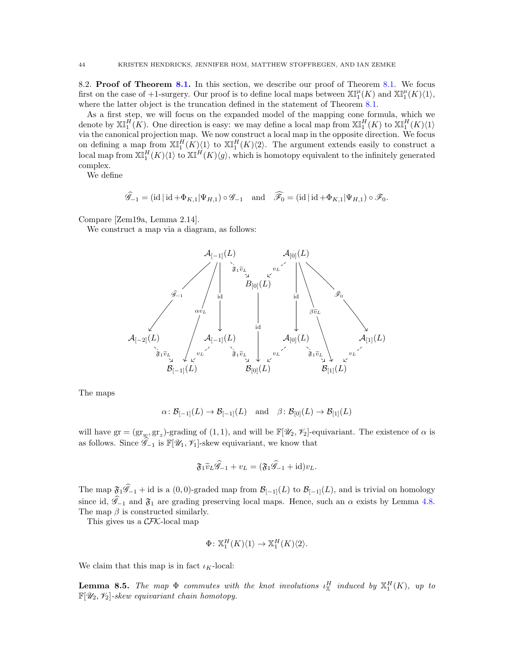<span id="page-43-0"></span>8.2. Proof of Theorem [8.1.](#page-40-1) In this section, we describe our proof of Theorem [8.1.](#page-40-1) We focus first on the case of +1-surgery. Our proof is to define local maps between  $\mathbb{XI}^{\mu}_1(K)$  and  $\mathbb{XI}^{\mu}_1(K)\langle 1 \rangle$ , where the latter object is the truncation defined in the statement of Theorem [8.1.](#page-40-1)

As a first step, we will focus on the expanded model of the mapping cone formula, which we denote by  $\mathbb{X}^H_1(K)$ . One direction is easy: we may define a local map from  $\mathbb{X}^H_1(K)$  to  $\mathbb{X}^H_1(K)\langle 1 \rangle$ via the canonical projection map. We now construct a local map in the opposite direction. We focus on defining a map from  $\mathbb{X}^H_1(K)\langle 1 \rangle$  to  $\mathbb{X}^H_1(K)\langle 2 \rangle$ . The argument extends easily to construct a local map from  $\mathbb{X}^H_1(K)\langle 1 \rangle$  to  $\mathbb{X}^H(K)\langle g \rangle$ , which is homotopy equivalent to the infinitely generated complex.

We define

$$
\widehat{\mathscr{G}}_{-1} = (\mathrm{id} \,|\, \mathrm{id} + \Phi_{K,1} | \Psi_{H,1}) \circ \mathscr{G}_{-1} \quad \mathrm{and} \quad \widehat{\mathscr{F}}_0 = (\mathrm{id} \,|\, \mathrm{id} + \Phi_{K,1} | \Psi_{H,1}) \circ \mathscr{F}_0.
$$

Compare [\[Zem19a,](#page-45-31) Lemma 2.14].

We construct a map via a diagram, as follows:



The maps

$$
\alpha \colon \mathcal{B}_{[-1]}(L) \to \mathcal{B}_{[-1]}(L) \text{ and } \beta \colon \mathcal{B}_{[0]}(L) \to \mathcal{B}_{[1]}(L)
$$

will have  $gr = (gr_w, gr_z)$ -grading of  $(1, 1)$ , and will be  $\mathbb{F}[\mathscr{U}_2, \mathscr{V}_2]$ -equivariant. The existence of  $\alpha$  is as follows. Since  $\widehat{\mathscr{G}}_{-1}$  is  $\mathbb{F}[\mathscr{U}_1, \mathscr{V}_1]$ -skew equivariant, we know that

$$
\mathfrak{F}_1 \widetilde{v}_L \widehat{\mathscr{G}}_{-1} + v_L = (\mathfrak{F}_1 \widehat{\mathscr{G}}_{-1} + \mathrm{id}) v_L.
$$

The map  $\mathfrak{F}_1\widehat{\mathscr{G}}_{-1}$  + id is a  $(0,0)$ -graded map from  $\mathcal{B}_{[-1]}(L)$  to  $\mathcal{B}_{[-1]}(L)$ , and is trivial on homology since id,  $\hat{\mathscr{G}}_{-1}$  and  $\mathfrak{F}_1$  are grading preserving local maps. Hence, such an  $\alpha$  exists by Lemma [4.8.](#page-24-2) The map  $\beta$  is constructed similarly.

This gives us a CFK-local map

$$
\Phi \colon \mathbb{X}^H_1(K)\langle 1 \rangle \to \mathbb{X}^H_1(K)\langle 2 \rangle.
$$

We claim that this map is in fact  $\iota_K$ -local:

**Lemma 8.5.** The map  $\Phi$  commutes with the knot involutions  $\iota_X^H$  induced by  $X_1^H(K)$ , up to  $\mathbb{F}[U_2, V_2]$ -skew equivariant chain homotopy.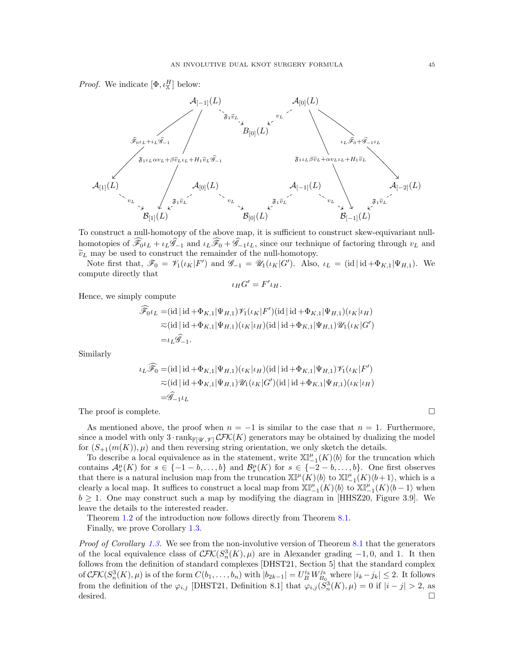*Proof.* We indicate  $[\Phi, \iota^H]$  below:



To construct a null-homotopy of the above map, it is sufficient to construct skew-equivariant nullhomotopies of  $\widehat{\mathscr{F}}_{0} \iota_L + \iota_L \widehat{\mathscr{F}}_{-1}$  and  $\iota_L \widehat{\mathscr{F}}_{0} + \widehat{\mathscr{G}}_{-1} \iota_L$ , since our technique of factoring through  $v_L$  and  $\widetilde{v}_L$  may be used to construct the remainder of the null-homotopy.

Note first that,  $\mathscr{F}_0 = \mathscr{V}_1(\iota_K|F')$  and  $\mathscr{G}_{-1} = \mathscr{U}_1(\iota_K|G')$ . Also,  $\iota_L = (\text{id}| \text{id} + \Phi_{K,1}|\Psi_{H,1})$ . We compute directly that

$$
\iota_H G' = F' \iota_H.
$$

Hence, we simply compute

$$
\widehat{\mathcal{F}}_{0} \iota_{L} = (\text{id} \mid \text{id} + \Phi_{K,1} | \Psi_{H,1}) \mathcal{V}_{1}(\iota_{K} | F') (\text{id} \mid \text{id} + \Phi_{K,1} | \Psi_{H,1}) (\iota_{K} | \iota_{H})
$$
  
\n
$$
\overline{\sim} (\text{id} \mid \text{id} + \Phi_{K,1} | \Psi_{H,1}) (\iota_{K} | \iota_{H}) (\text{id} \mid \text{id} + \Phi_{K,1} | \Psi_{H,1}) \mathcal{U}_{1} (\iota_{K} | G')
$$
  
\n
$$
= \iota_{L} \widehat{\mathcal{G}}_{-1}.
$$

Similarly

$$
\iota_L \widehat{\mathcal{F}}_0 = (\mathrm{id} \,|\, \mathrm{id} + \Phi_{K,1} | \Psi_{H,1}) (\iota_K | \iota_H) (\mathrm{id} \,|\, \mathrm{id} + \Phi_{K,1} | \Psi_{H,1}) \mathcal{V}_1 (\iota_K | F')
$$
  
\n
$$
\approx (\mathrm{id} \,|\, \mathrm{id} + \Phi_{K,1} | \Psi_{H,1}) \mathcal{U}_1 (\iota_K | G') (\mathrm{id} \,|\, \mathrm{id} + \Phi_{K,1} | \Psi_{H,1}) (\iota_K | \iota_H)
$$
  
\n
$$
= \widehat{\mathcal{G}}_{-1} \iota_L
$$

The proof is complete.  $\Box$ 

As mentioned above, the proof when  $n = -1$  is similar to the case that  $n = 1$ . Furthermore, since a model with only  $3 \cdot \text{rank}_{\mathbb{F}[\mathscr{U},\mathscr{V}]} \mathcal{CFK}(K)$  generators may be obtained by dualizing the model for  $(S_{+1}(m(K)), \mu)$  and then reversing string orientation, we only sketch the details.

To describe a local equivalence as in the statement, write  $\mathbb{XI}_{-1}^{\mu}(K)\langle b \rangle$  for the truncation which contains  $\mathcal{A}_s^{\mu}(K)$  for  $s \in \{-1-b,\ldots,b\}$  and  $\mathcal{B}_s^{\mu}(K)$  for  $s \in \{-2-b,\ldots,b\}$ . One first observes that there is a natural inclusion map from the truncation  $\mathbb{XI}^{\mu}(K)\langle b\rangle$  to  $\mathbb{XI}_{-1}^{\mu}(K)\langle b+1\rangle$ , which is a clearly a local map. It suffices to construct a local map from  $\mathbb{X}[\mathbb{I}_{-1}^{\mu}(K)\langle b\rangle$  to  $\mathbb{X}[\mathbb{I}_{-1}^{\mu}(K)\langle b-1\rangle$  when  $b \geq 1$ . One may construct such a map by modifying the diagram in [\[HHSZ20,](#page-45-8) Figure 3.9]. We leave the details to the interested reader.

Theorem [1.2](#page-2-2) of the introduction now follows directly from Theorem [8.1.](#page-40-1)

Finally, we prove Corollary [1.3.](#page-3-4)

Proof of Corollary [1.3.](#page-3-4) We see from the non-involutive version of Theorem [8.1](#page-40-1) that the generators of the local equivalence class of  $\mathcal{CFK}(S_n^3(K), \mu)$  are in Alexander grading -1,0, and 1. It then follows from the definition of standard complexes [\[DHST21,](#page-45-11) Section 5] that the standard complex of  $\mathcal{CFK}(S_n^3(K), \mu)$  is of the form  $C(b_1, \ldots, b_n)$  with  $|b_{2k-1}| = U_B^{i_k} W_{B_0}^{j_k}$  where  $|i_k - j_k| \leq 2$ . It follows from the definition of the  $\varphi_{i,j}$  [\[DHST21,](#page-45-11) Definition 8.1] that  $\varphi_{i,j}(S_n^3(K), \mu) = 0$  if  $|i - j| > 2$ , as desired.  $\Box$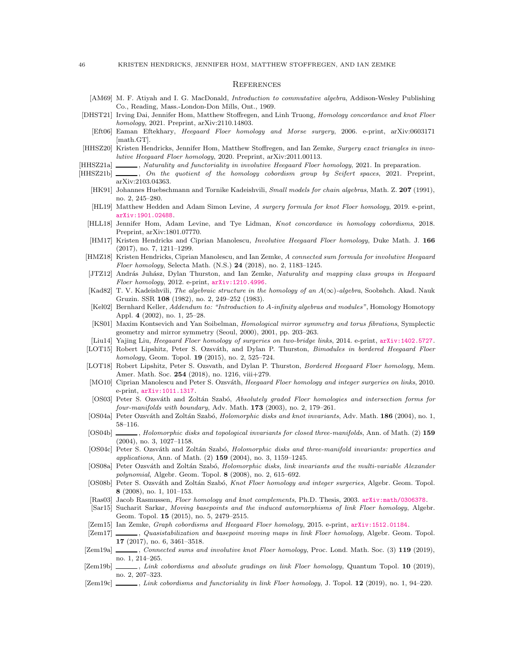#### <span id="page-45-0"></span>**REFERENCES**

- [AM69] M. F. Atiyah and I. G. MacDonald, *Introduction to commutative algebra*, Addison-Wesley Publishing Co., Reading, Mass.-London-Don Mills, Ont., 1969.
- <span id="page-45-11"></span>[DHST21] Irving Dai, Jennifer Hom, Matthew Stoffregen, and Linh Truong, Homology concordance and knot Floer homology, 2021. Preprint, arXiv:2110.14803.
- <span id="page-45-7"></span>[Eft06] Eaman Eftekhary, Heegaard Floer homology and Morse surgery, 2006. e-print, arXiv:0603171 [math.GT].
- <span id="page-45-8"></span>[HHSZ20] Kristen Hendricks, Jennifer Hom, Matthew Stoffregen, and Ian Zemke, Surgery exact triangles in involutive Heegaard Floer homology, 2020. Preprint, arXiv:2011.00113.
- <span id="page-45-19"></span>[HHSZ21a] , Naturality and functoriality in involutive Heegaard Floer homology, 2021. In preparation.
- <span id="page-45-30"></span><span id="page-45-24"></span><span id="page-45-23"></span><span id="page-45-22"></span><span id="page-45-21"></span><span id="page-45-20"></span><span id="page-45-18"></span><span id="page-45-15"></span><span id="page-45-14"></span><span id="page-45-13"></span><span id="page-45-12"></span><span id="page-45-10"></span><span id="page-45-6"></span>[HHSZ21b] , On the quotient of the homology cobordism group by Seifert spaces, 2021. Preprint, arXiv:2103.04363.
	- [HK91] Johannes Huebschmann and Tornike Kadeishvili, Small models for chain algebras, Math. Z. 207 (1991), no. 2, 245–280.
	- [HL19] Matthew Hedden and Adam Simon Levine, A surgery formula for knot Floer homology, 2019. e-print, <arXiv:1901.02488>.
	- [HLL18] Jennifer Hom, Adam Levine, and Tye Lidman, Knot concordance in homology cobordisms, 2018. Preprint, arXiv:1801.07770.
	- [HM17] Kristen Hendricks and Ciprian Manolescu, Involutive Heegaard Floer homology, Duke Math. J. 166 (2017), no. 7, 1211–1299.
	- [HMZ18] Kristen Hendricks, Ciprian Manolescu, and Ian Zemke, A connected sum formula for involutive Heegaard Floer homology, Selecta Math. (N.S.) 24 (2018), no. 2, 1183–1245.
	- [JTZ12] András Juhász, Dylan Thurston, and Ian Zemke, Naturality and mapping class groups in Heegaard Floer homology, 2012. e-print, <arXiv:1210.4996>.
	- [Kad82] T. V. Kadeishvili, The algebraic structure in the homology of an  $A(\infty)$ -algebra, Soobshch. Akad. Nauk Gruzin. SSR 108 (1982), no. 2, 249–252 (1983).
	- [Kel02] Bernhard Keller, Addendum to: "Introduction to A-infinity algebras and modules", Homology Homotopy Appl. 4 (2002), no. 1, 25–28.
	- [KS01] Maxim Kontsevich and Yan Soibelman, Homological mirror symmetry and torus fibrations, Symplectic geometry and mirror symmetry (Seoul, 2000), 2001, pp. 203–263.
	- [Liu14] Yajing Liu, Heegaard Floer homology of surgeries on two-bridge links, 2014. e-print, <arXiv:1402.5727>.
	- [LOT15] Robert Lipshitz, Peter S. Ozsváth, and Dylan P. Thurston, Bimodules in bordered Heegaard Floer homology, Geom. Topol. 19 (2015), no. 2, 525–724.
	- [LOT18] Robert Lipshitz, Peter S. Ozsvath, and Dylan P. Thurston, Bordered Heegaard Floer homology, Mem. Amer. Math. Soc. 254 (2018), no. 1216, viii+279.
	- [MO10] Ciprian Manolescu and Peter S. Ozsváth, Heegaard Floer homology and integer surgeries on links, 2010. e-print, <arXiv:1011.1317>.
	- [OS03] Peter S. Ozsváth and Zoltán Szabó, Absolutely graded Floer homologies and intersection forms for four-manifolds with boundary, Adv. Math. 173 (2003), no. 2, 179–261.
	- [OS04a] Peter Ozsváth and Zoltán Szabó, *Holomorphic disks and knot invariants*, Adv. Math. 186 (2004), no. 1, 58–116.
	- [OS04b] , Holomorphic disks and topological invariants for closed three-manifolds, Ann. of Math. (2) 159 (2004), no. 3, 1027–1158.
	- [OS04c] Peter S. Ozsváth and Zoltán Szabó, *Holomorphic disks and three-manifold invariants: properties and* applications, Ann. of Math. (2) 159 (2004), no. 3, 1159–1245.
	- [OS08a] Peter Ozsváth and Zoltán Szabó, Holomorphic disks, link invariants and the multi-variable Alexander polynomial, Algebr. Geom. Topol. 8 (2008), no. 2, 615–692.
	- [OS08b] Peter S. Ozsváth and Zoltán Szabó, Knot Floer homology and integer surgeries, Algebr. Geom. Topol. 8 (2008), no. 1, 101–153.
	- [Ras03] Jacob Rasmussen, Floer homology and knot complements, Ph.D. Thesis, 2003. <arXiv:math/0306378>.
	- [Sar15] Sucharit Sarkar, Moving basepoints and the induced automorphisms of link Floer homology, Algebr. Geom. Topol. 15 (2015), no. 5, 2479–2515.
	- [Zem15] Ian Zemke, Graph cobordisms and Heegaard Floer homology, 2015. e-print, <arXiv:1512.01184>.
	- [Zem17] , Quasistabilization and basepoint moving maps in link Floer homology, Algebr. Geom. Topol. 17 (2017), no. 6, 3461–3518.
	- [Zem19a] , Connected sums and involutive knot Floer homology, Proc. Lond. Math. Soc. (3) 119 (2019), no. 1, 214–265.
- <span id="page-45-31"></span><span id="page-45-29"></span><span id="page-45-28"></span><span id="page-45-27"></span><span id="page-45-26"></span><span id="page-45-17"></span><span id="page-45-16"></span><span id="page-45-9"></span><span id="page-45-5"></span><span id="page-45-4"></span><span id="page-45-3"></span><span id="page-45-2"></span><span id="page-45-1"></span>[Zem19b]  $\_\_\_\_\_\$  Link cobordisms and absolute gradings on link Floer homology, Quantum Topol. 10 (2019), no. 2, 207–323.
- <span id="page-45-25"></span>[Zem19c] , Link cobordisms and functoriality in link Floer homology, J. Topol. 12 (2019), no. 1, 94–220.